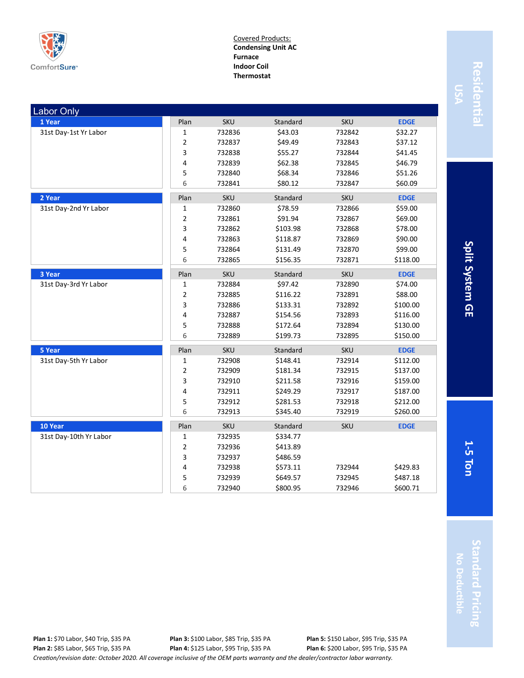

Covered Products: **Condensing Unit AC Furnace Indoor Coil Thermostat**

| <b>Labor Only</b>      |                |            |          |            |             |
|------------------------|----------------|------------|----------|------------|-------------|
| 1 Year                 | Plan           | <b>SKU</b> | Standard | <b>SKU</b> | <b>EDGE</b> |
| 31st Day-1st Yr Labor  | 1              | 732836     | \$43.03  | 732842     | \$32.27     |
|                        | $\overline{2}$ | 732837     | \$49.49  | 732843     | \$37.12     |
|                        | 3              | 732838     | \$55.27  | 732844     | \$41.45     |
|                        | 4              | 732839     | \$62.38  | 732845     | \$46.79     |
|                        | 5              | 732840     | \$68.34  | 732846     | \$51.26     |
|                        | 6              | 732841     | \$80.12  | 732847     | \$60.09     |
| 2 Year                 | Plan           | <b>SKU</b> | Standard | <b>SKU</b> | <b>EDGE</b> |
| 31st Day-2nd Yr Labor  | $\mathbf 1$    | 732860     | \$78.59  | 732866     | \$59.00     |
|                        | $\overline{2}$ | 732861     | \$91.94  | 732867     | \$69.00     |
|                        | 3              | 732862     | \$103.98 | 732868     | \$78.00     |
|                        | 4              | 732863     | \$118.87 | 732869     | \$90.00     |
|                        | 5              | 732864     | \$131.49 | 732870     | \$99.00     |
|                        | 6              | 732865     | \$156.35 | 732871     | \$118.00    |
| 3 Year                 | Plan           | <b>SKU</b> | Standard | <b>SKU</b> | <b>EDGE</b> |
| 31st Day-3rd Yr Labor  | 1              | 732884     | \$97.42  | 732890     | \$74.00     |
|                        | $\mathbf 2$    | 732885     | \$116.22 | 732891     | \$88.00     |
|                        | 3              | 732886     | \$133.31 | 732892     | \$100.00    |
|                        | 4              | 732887     | \$154.56 | 732893     | \$116.00    |
|                        | 5              | 732888     | \$172.64 | 732894     | \$130.00    |
|                        | 6              | 732889     | \$199.73 | 732895     | \$150.00    |
| 5 Year                 | Plan           | <b>SKU</b> | Standard | <b>SKU</b> | <b>EDGE</b> |
| 31st Day-5th Yr Labor  | $\mathbf 1$    | 732908     | \$148.41 | 732914     | \$112.00    |
|                        | $\overline{2}$ | 732909     | \$181.34 | 732915     | \$137.00    |
|                        | 3              | 732910     | \$211.58 | 732916     | \$159.00    |
|                        | 4              | 732911     | \$249.29 | 732917     | \$187.00    |
|                        | 5              | 732912     | \$281.53 | 732918     | \$212.00    |
|                        | 6              | 732913     | \$345.40 | 732919     | \$260.00    |
| 10 Year                | Plan           | <b>SKU</b> | Standard | <b>SKU</b> | <b>EDGE</b> |
| 31st Day-10th Yr Labor | 1              | 732935     | \$334.77 |            |             |
|                        | $\overline{2}$ | 732936     | \$413.89 |            |             |
|                        | 3              | 732937     | \$486.59 |            |             |
|                        | 4              | 732938     | \$573.11 | 732944     | \$429.83    |
|                        | 5              | 732939     | \$649.57 | 732945     | \$487.18    |
|                        | 6              | 732940     | \$800.95 | 732946     | \$600.71    |

Residentia **Residential**

Split System GE **5 Ton Split System GE**

**1-**

*Creation/revision date: October 2020. All coverage inclusive of the OEM parts warranty and the dealer/contractor labor warranty.* **Plan 1:** \$70 Labor, \$40 Trip, \$35 PA **Plan 2:** \$85 Labor, \$65 Trip, \$35 PA **Plan 3:** \$100 Labor, \$85 Trip, \$35 PA **Plan 4:** \$125 Labor, \$95 Trip, \$35 PA **Plan 5:** \$150 Labor, \$95 Trip, \$35 PA **Plan 6:** \$200 Labor, \$95 Trip, \$35 PA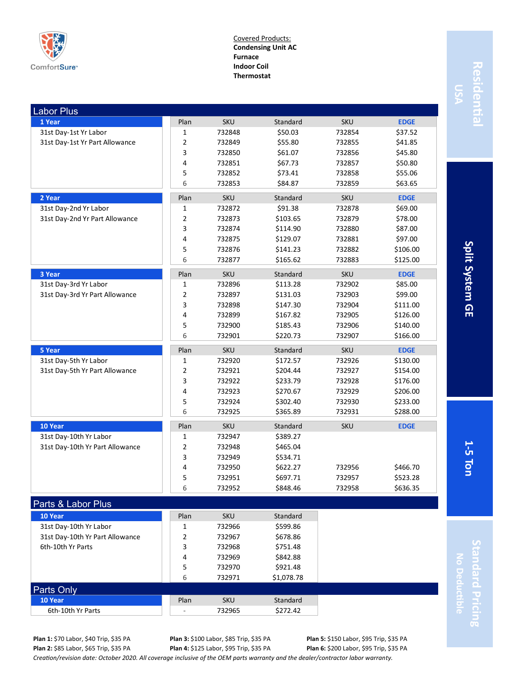

Covered Products: **Condensing Unit AC Furnace Indoor Coil Thermostat**

| <b>Labor Plus</b>               |                |                  |                      |            |             |
|---------------------------------|----------------|------------------|----------------------|------------|-------------|
| 1 Year                          | Plan           | <b>SKU</b>       | Standard             | <b>SKU</b> | <b>EDGE</b> |
| 31st Day-1st Yr Labor           | $\mathbf{1}$   | 732848           | \$50.03              | 732854     | \$37.52     |
| 31st Day-1st Yr Part Allowance  | $\overline{2}$ | 732849           | \$55.80              | 732855     | \$41.85     |
|                                 | 3              | 732850           | \$61.07              | 732856     | \$45.80     |
|                                 | 4              | 732851           | \$67.73              | 732857     | \$50.80     |
|                                 | 5              | 732852           | \$73.41              | 732858     | \$55.06     |
|                                 | 6              | 732853           | \$84.87              | 732859     | \$63.65     |
| 2 Year                          | Plan           | <b>SKU</b>       | Standard             | <b>SKU</b> | <b>EDGE</b> |
| 31st Day-2nd Yr Labor           | 1              | 732872           | \$91.38              | 732878     | \$69.00     |
| 31st Day-2nd Yr Part Allowance  | $\mathbf 2$    | 732873           | \$103.65             | 732879     | \$78.00     |
|                                 | 3              | 732874           | \$114.90             | 732880     | \$87.00     |
|                                 | 4              | 732875           | \$129.07             | 732881     | \$97.00     |
|                                 | 5              | 732876           | \$141.23             | 732882     | \$106.00    |
|                                 | 6              | 732877           | \$165.62             | 732883     | \$125.00    |
| 3 Year                          | Plan           | <b>SKU</b>       | Standard             | <b>SKU</b> | <b>EDGE</b> |
| 31st Day-3rd Yr Labor           | $\mathbf{1}$   | 732896           | \$113.28             | 732902     | \$85.00     |
| 31st Day-3rd Yr Part Allowance  | $\overline{2}$ | 732897           | \$131.03             | 732903     | \$99.00     |
|                                 | 3              | 732898           | \$147.30             | 732904     | \$111.00    |
|                                 | 4              | 732899           | \$167.82             | 732905     | \$126.00    |
|                                 | 5              | 732900           | \$185.43             | 732906     | \$140.00    |
|                                 | 6              | 732901           | \$220.73             | 732907     | \$166.00    |
|                                 |                |                  |                      |            |             |
| 5 Year                          | Plan           | SKU              | Standard             | <b>SKU</b> | <b>EDGE</b> |
| 31st Day-5th Yr Labor           | 1              | 732920           | \$172.57             | 732926     | \$130.00    |
| 31st Day-5th Yr Part Allowance  | $\overline{2}$ | 732921           | \$204.44             | 732927     | \$154.00    |
|                                 | 3              | 732922           | \$233.79             | 732928     | \$176.00    |
|                                 | 4              | 732923           | \$270.67             | 732929     | \$206.00    |
|                                 | 5              | 732924           | \$302.40             | 732930     | \$233.00    |
|                                 | 6              | 732925           | \$365.89             | 732931     | \$288.00    |
| 10 Year                         | Plan           | <b>SKU</b>       | Standard             | <b>SKU</b> | <b>EDGE</b> |
| 31st Day-10th Yr Labor          | 1              | 732947           | \$389.27             |            |             |
| 31st Day-10th Yr Part Allowance | $\overline{2}$ | 732948           | \$465.04             |            |             |
|                                 | 3              | 732949           | \$534.71             |            |             |
|                                 | 4              | 732950           | \$622.27             | 732956     | \$466.70    |
|                                 | 5              | 732951           | \$697.71             | 732957     | \$523.28    |
|                                 | 6              | 732952           | \$848.46             | 732958     | \$636.35    |
|                                 |                |                  |                      |            |             |
| Parts & Labor Plus              |                |                  |                      |            |             |
| 10 Year                         | Plan           | SKU              | Standard             |            |             |
| 31st Day-10th Yr Labor          | 1              | 732966           | \$599.86             |            |             |
| 31st Day-10th Yr Part Allowance | 2              | 732967           | \$678.86             |            |             |
| 6th-10th Yr Parts               | 3<br>4         | 732968<br>732969 | \$751.48<br>\$842.88 |            |             |

Split System GE **5 Ton Split System GE**

**1-**

**Standard Pricing** tandard Pricing **No Deductible**

**Plan 1:** \$70 Labor, \$40 Trip, \$35 PA **Plan 2:** \$85 Labor, \$65 Trip, \$35 PA **Plan 4:** \$125 Labor, \$95 Trip, \$35 PA

**10 Year** Standard **Plan** SKU Standard 6th-10th Yr Parts - 732965 \$272.42

Parts Only

**Plan 3:** \$100 Labor, \$85 Trip, \$35 PA **Plan 5:** \$150 Labor, \$95 Trip, \$35 PA **Plan 6:** \$200 Labor, \$95 Trip, \$35 PA

*Creation/revision date: October 2020. All coverage inclusive of the OEM parts warranty and the dealer/contractor labor warranty.*

6 732971 \$1,078.78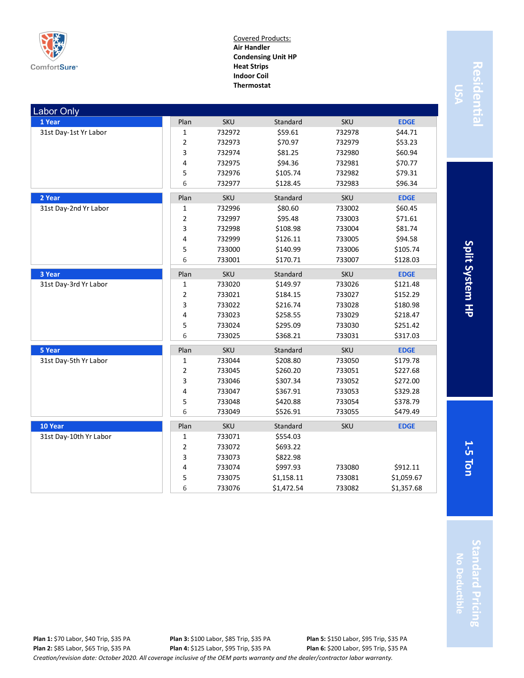

Covered Products: **Air Handler Condensing Unit HP Heat Strips Indoor Coil Thermostat**

| <b>Labor Only</b>      |                |            |            |            |             |
|------------------------|----------------|------------|------------|------------|-------------|
| 1 Year                 | Plan           | <b>SKU</b> | Standard   | <b>SKU</b> | <b>EDGE</b> |
| 31st Day-1st Yr Labor  | 1              | 732972     | \$59.61    | 732978     | \$44.71     |
|                        | 2              | 732973     | \$70.97    | 732979     | \$53.23     |
|                        | 3              | 732974     | \$81.25    | 732980     | \$60.94     |
|                        | 4              | 732975     | \$94.36    | 732981     | \$70.77     |
|                        | 5              | 732976     | \$105.74   | 732982     | \$79.31     |
|                        | 6              | 732977     | \$128.45   | 732983     | \$96.34     |
| 2 Year                 | Plan           | <b>SKU</b> | Standard   | <b>SKU</b> | <b>EDGE</b> |
| 31st Day-2nd Yr Labor  | $\mathbf 1$    | 732996     | \$80.60    | 733002     | \$60.45     |
|                        | 2              | 732997     | \$95.48    | 733003     | \$71.61     |
|                        | 3              | 732998     | \$108.98   | 733004     | \$81.74     |
|                        | 4              | 732999     | \$126.11   | 733005     | \$94.58     |
|                        | 5              | 733000     | \$140.99   | 733006     | \$105.74    |
|                        | 6              | 733001     | \$170.71   | 733007     | \$128.03    |
| 3 Year                 | Plan           | <b>SKU</b> | Standard   | <b>SKU</b> | <b>EDGE</b> |
| 31st Day-3rd Yr Labor  | 1              | 733020     | \$149.97   | 733026     | \$121.48    |
|                        | 2              | 733021     | \$184.15   | 733027     | \$152.29    |
|                        | 3              | 733022     | \$216.74   | 733028     | \$180.98    |
|                        | 4              | 733023     | \$258.55   | 733029     | \$218.47    |
|                        | 5              | 733024     | \$295.09   | 733030     | \$251.42    |
|                        | 6              | 733025     | \$368.21   | 733031     | \$317.03    |
| 5 Year                 | Plan           | <b>SKU</b> | Standard   | <b>SKU</b> | <b>EDGE</b> |
| 31st Day-5th Yr Labor  | 1              | 733044     | \$208.80   | 733050     | \$179.78    |
|                        | $\overline{2}$ | 733045     | \$260.20   | 733051     | \$227.68    |
|                        | 3              | 733046     | \$307.34   | 733052     | \$272.00    |
|                        | 4              | 733047     | \$367.91   | 733053     | \$329.28    |
|                        | 5              | 733048     | \$420.88   | 733054     | \$378.79    |
|                        | 6              | 733049     | \$526.91   | 733055     | \$479.49    |
| 10 Year                | Plan           | <b>SKU</b> | Standard   | <b>SKU</b> | <b>EDGE</b> |
| 31st Day-10th Yr Labor | 1              | 733071     | \$554.03   |            |             |
|                        | 2              | 733072     | \$693.22   |            |             |
|                        | 3              | 733073     | \$822.98   |            |             |
|                        | 4              | 733074     | \$997.93   | 733080     | \$912.11    |
|                        | 5              | 733075     | \$1,158.11 | 733081     | \$1,059.67  |
|                        | 6              | 733076     | \$1,472.54 | 733082     | \$1,357.68  |

Residentia **Residential**

> Split System HP **5 Ton Split System HP**

**1-**

*Creation/revision date: October 2020. All coverage inclusive of the OEM parts warranty and the dealer/contractor labor warranty.* **Plan 1:** \$70 Labor, \$40 Trip, \$35 PA **Plan 2:** \$85 Labor, \$65 Trip, \$35 PA **Plan 3:** \$100 Labor, \$85 Trip, \$35 PA **Plan 4:** \$125 Labor, \$95 Trip, \$35 PA **Plan 5:** \$150 Labor, \$95 Trip, \$35 PA **Plan 6:** \$200 Labor, \$95 Trip, \$35 PA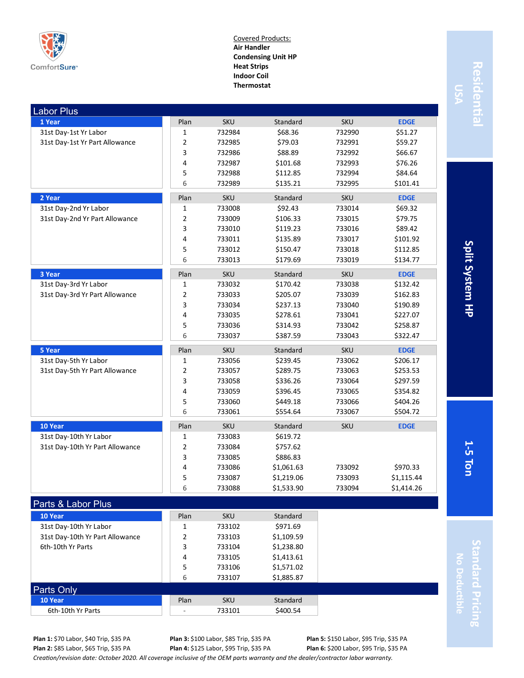

Covered Products: **Air Handler Condensing Unit HP Heat Strips Indoor Coil Thermostat**

| <b>Labor Plus</b>               |                |            |            |            |             |
|---------------------------------|----------------|------------|------------|------------|-------------|
| 1 Year                          | Plan           | <b>SKU</b> | Standard   | <b>SKU</b> | <b>EDGE</b> |
| 31st Day-1st Yr Labor           | $\mathbf{1}$   | 732984     | \$68.36    | 732990     | \$51.27     |
| 31st Day-1st Yr Part Allowance  | $\overline{2}$ | 732985     | \$79.03    | 732991     | \$59.27     |
|                                 | 3              | 732986     | \$88.89    | 732992     | \$66.67     |
|                                 | 4              | 732987     | \$101.68   | 732993     | \$76.26     |
|                                 | 5              | 732988     | \$112.85   | 732994     | \$84.64     |
|                                 | 6              | 732989     | \$135.21   | 732995     | \$101.41    |
| 2 Year                          | Plan           | SKU        | Standard   | <b>SKU</b> | <b>EDGE</b> |
| 31st Day-2nd Yr Labor           | $\mathbf 1$    | 733008     | \$92.43    | 733014     | \$69.32     |
| 31st Day-2nd Yr Part Allowance  | $\overline{2}$ | 733009     | \$106.33   | 733015     | \$79.75     |
|                                 | 3              | 733010     | \$119.23   | 733016     | \$89.42     |
|                                 | 4              | 733011     | \$135.89   | 733017     | \$101.92    |
|                                 | 5              | 733012     | \$150.47   | 733018     | \$112.85    |
|                                 | 6              | 733013     | \$179.69   | 733019     | \$134.77    |
| 3 Year                          | Plan           | <b>SKU</b> | Standard   | <b>SKU</b> | <b>EDGE</b> |
| 31st Day-3rd Yr Labor           | 1              | 733032     | \$170.42   | 733038     | \$132.42    |
| 31st Day-3rd Yr Part Allowance  | 2              | 733033     | \$205.07   | 733039     | \$162.83    |
|                                 | 3              | 733034     | \$237.13   | 733040     | \$190.89    |
|                                 | 4              | 733035     | \$278.61   | 733041     | \$227.07    |
|                                 | 5              | 733036     | \$314.93   | 733042     | \$258.87    |
|                                 | 6              | 733037     | \$387.59   | 733043     | \$322.47    |
| 5 Year                          | Plan           | SKU        | Standard   | <b>SKU</b> | <b>EDGE</b> |
| 31st Day-5th Yr Labor           | $\mathbf{1}$   | 733056     | \$239.45   | 733062     | \$206.17    |
| 31st Day-5th Yr Part Allowance  | $\overline{2}$ | 733057     | \$289.75   | 733063     | \$253.53    |
|                                 | 3              | 733058     | \$336.26   | 733064     | \$297.59    |
|                                 | 4              | 733059     | \$396.45   | 733065     | \$354.82    |
|                                 | 5              | 733060     | \$449.18   | 733066     | \$404.26    |
|                                 | 6              | 733061     | \$554.64   | 733067     | \$504.72    |
| 10 Year                         | Plan           | <b>SKU</b> | Standard   | <b>SKU</b> | <b>EDGE</b> |
| 31st Day-10th Yr Labor          | $\mathbf 1$    | 733083     | \$619.72   |            |             |
| 31st Day-10th Yr Part Allowance | $\overline{2}$ | 733084     | \$757.62   |            |             |
|                                 | 3              | 733085     | \$886.83   |            |             |
|                                 | 4              | 733086     | \$1,061.63 | 733092     | \$970.33    |
|                                 | 5              | 733087     | \$1,219.06 | 733093     | \$1,115.44  |
|                                 | 6              | 733088     | \$1,533.90 | 733094     | \$1,414.26  |
| Parts & Labor Plus              |                |            |            |            |             |
| 10 Year                         | Plan           | <b>SKU</b> | Standard   |            |             |
| 31st Day-10th Yr Labor          | 1              | 733102     | \$971.69   |            |             |

Residentia **Residential**

> Split System HP **5 Ton Split System HP**

**1-**

**Standard Pricing** tandard Pricing **No Deductible**

**Plan 1:** \$70 Labor, \$40 Trip, \$35 PA **Plan 2:** \$85 Labor, \$65 Trip, \$35 PA

31st Day-10th Yr Part Allowance 2 733103 \$1,109.59 6th-10th Yr Parts **3** 733104 \$1,238.80

**10 Year** Standard **Plan** SKU Standard 6th-10th Yr Parts  $\begin{array}{|c|c|c|c|c|c|c|c|c|} \hline \text{6th-10th Yr Parts} & & \text{733101} & & \text{5400.54} \ \hline \end{array}$ 

Parts Only

**Plan 3:** \$100 Labor, \$85 Trip, \$35 PA **Plan 4:** \$125 Labor, \$95 Trip, \$35 PA

4 733105 \$1,413.61 5 733106 \$1,571.02 6 733107 \$1,885.87

**Plan 6:** \$200 Labor, \$95 Trip, \$35 PA

**Plan 5:** \$150 Labor, \$95 Trip, \$35 PA

*Creation/revision date: October 2020. All coverage inclusive of the OEM parts warranty and the dealer/contractor labor warranty.*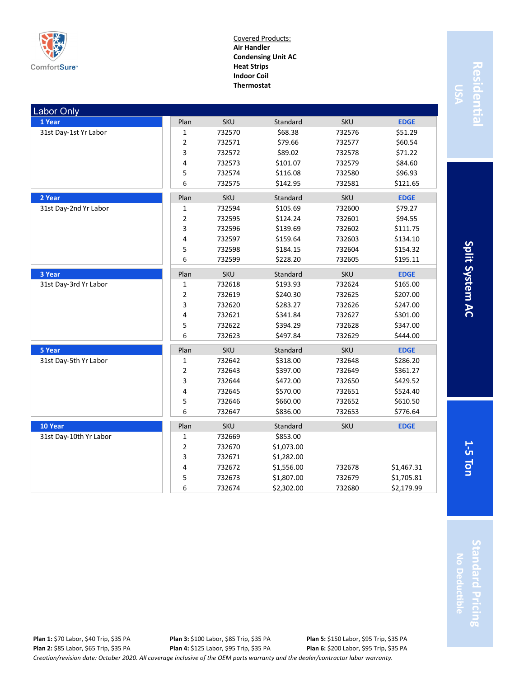

Covered Products: **Air Handler Condensing Unit AC Heat Strips Indoor Coil Thermostat**

| <b>Labor Only</b>      |                |            |            |            |             |
|------------------------|----------------|------------|------------|------------|-------------|
| 1 Year                 | Plan           | <b>SKU</b> | Standard   | <b>SKU</b> | <b>EDGE</b> |
| 31st Day-1st Yr Labor  | 1              | 732570     | \$68.38    | 732576     | \$51.29     |
|                        | 2              | 732571     | \$79.66    | 732577     | \$60.54     |
|                        | 3              | 732572     | \$89.02    | 732578     | \$71.22     |
|                        | 4              | 732573     | \$101.07   | 732579     | \$84.60     |
|                        | 5              | 732574     | \$116.08   | 732580     | \$96.93     |
|                        | 6              | 732575     | \$142.95   | 732581     | \$121.65    |
| 2 Year                 | Plan           | <b>SKU</b> | Standard   | SKU        | <b>EDGE</b> |
| 31st Day-2nd Yr Labor  | $\mathbf 1$    | 732594     | \$105.69   | 732600     | \$79.27     |
|                        | 2              | 732595     | \$124.24   | 732601     | \$94.55     |
|                        | 3              | 732596     | \$139.69   | 732602     | \$111.75    |
|                        | 4              | 732597     | \$159.64   | 732603     | \$134.10    |
|                        | 5              | 732598     | \$184.15   | 732604     | \$154.32    |
|                        | 6              | 732599     | \$228.20   | 732605     | \$195.11    |
| 3 Year                 | Plan           | <b>SKU</b> | Standard   | <b>SKU</b> | <b>EDGE</b> |
| 31st Day-3rd Yr Labor  | 1              | 732618     | \$193.93   | 732624     | \$165.00    |
|                        | 2              | 732619     | \$240.30   | 732625     | \$207.00    |
|                        | 3              | 732620     | \$283.27   | 732626     | \$247.00    |
|                        | 4              | 732621     | \$341.84   | 732627     | \$301.00    |
|                        | 5              | 732622     | \$394.29   | 732628     | \$347.00    |
|                        | 6              | 732623     | \$497.84   | 732629     | \$444.00    |
| 5 Year                 | Plan           | <b>SKU</b> | Standard   | SKU        | <b>EDGE</b> |
| 31st Day-5th Yr Labor  | 1              | 732642     | \$318.00   | 732648     | \$286.20    |
|                        | $\overline{2}$ | 732643     | \$397.00   | 732649     | \$361.27    |
|                        | 3              | 732644     | \$472.00   | 732650     | \$429.52    |
|                        | 4              | 732645     | \$570.00   | 732651     | \$524.40    |
|                        | 5              | 732646     | \$660.00   | 732652     | \$610.50    |
|                        | 6              | 732647     | \$836.00   | 732653     | \$776.64    |
| 10 Year                | Plan           | <b>SKU</b> | Standard   | <b>SKU</b> | <b>EDGE</b> |
| 31st Day-10th Yr Labor | 1              | 732669     | \$853.00   |            |             |
|                        | $\overline{2}$ | 732670     | \$1,073.00 |            |             |
|                        | 3              | 732671     | \$1,282.00 |            |             |
|                        | 4              | 732672     | \$1,556.00 | 732678     | \$1,467.31  |
|                        | 5              | 732673     | \$1,807.00 | 732679     | \$1,705.81  |
|                        | 6              | 732674     | \$2,302.00 | 732680     | \$2,179.99  |

Residentia **Residential**

Split System AC **5 Ton Split System AC**

**1-**

**Standard Pricing** tandard Pricing **No Deductible**

*Creation/revision date: October 2020. All coverage inclusive of the OEM parts warranty and the dealer/contractor labor warranty.* **Plan 1:** \$70 Labor, \$40 Trip, \$35 PA **Plan 2:** \$85 Labor, \$65 Trip, \$35 PA **Plan 3:** \$100 Labor, \$85 Trip, \$35 PA **Plan 4:** \$125 Labor, \$95 Trip, \$35 PA **Plan 5:** \$150 Labor, \$95 Trip, \$35 PA **Plan 6:** \$200 Labor, \$95 Trip, \$35 PA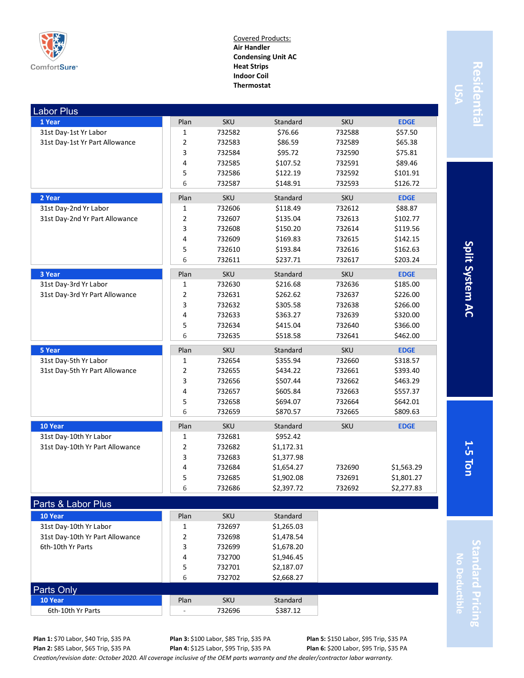

Covered Products: **Air Handler Condensing Unit AC Heat Strips Indoor Coil Thermostat**

| <b>Labor Plus</b>               |                |            |            |            |             |
|---------------------------------|----------------|------------|------------|------------|-------------|
| 1 Year                          | Plan           | <b>SKU</b> | Standard   | <b>SKU</b> | <b>EDGE</b> |
| 31st Day-1st Yr Labor           | $\mathbf{1}$   | 732582     | \$76.66    | 732588     | \$57.50     |
| 31st Day-1st Yr Part Allowance  | $\overline{2}$ | 732583     | \$86.59    | 732589     | \$65.38     |
|                                 | 3              | 732584     | \$95.72    | 732590     | \$75.81     |
|                                 | 4              | 732585     | \$107.52   | 732591     | \$89.46     |
|                                 | 5              | 732586     | \$122.19   | 732592     | \$101.91    |
|                                 | 6              | 732587     | \$148.91   | 732593     | \$126.72    |
| 2 Year                          | Plan           | <b>SKU</b> | Standard   | <b>SKU</b> | <b>EDGE</b> |
| 31st Day-2nd Yr Labor           | $\mathbf{1}$   | 732606     | \$118.49   | 732612     | \$88.87     |
| 31st Day-2nd Yr Part Allowance  | $\overline{2}$ | 732607     | \$135.04   | 732613     | \$102.77    |
|                                 | 3              | 732608     | \$150.20   | 732614     | \$119.56    |
|                                 | 4              | 732609     | \$169.83   | 732615     | \$142.15    |
|                                 | 5              | 732610     | \$193.84   | 732616     | \$162.63    |
|                                 | 6              | 732611     | \$237.71   | 732617     | \$203.24    |
| 3 Year                          | Plan           | <b>SKU</b> | Standard   | <b>SKU</b> | <b>EDGE</b> |
| 31st Day-3rd Yr Labor           | $\mathbf{1}$   | 732630     | \$216.68   | 732636     | \$185.00    |
| 31st Day-3rd Yr Part Allowance  | $\overline{2}$ | 732631     | \$262.62   | 732637     | \$226.00    |
|                                 | 3              | 732632     | \$305.58   | 732638     | \$266.00    |
|                                 | 4              | 732633     | \$363.27   | 732639     | \$320.00    |
|                                 | 5              | 732634     | \$415.04   | 732640     | \$366.00    |
|                                 | 6              | 732635     | \$518.58   | 732641     | \$462.00    |
| 5 Year                          | Plan           | <b>SKU</b> | Standard   | <b>SKU</b> | <b>EDGE</b> |
| 31st Day-5th Yr Labor           | $\mathbf{1}$   | 732654     | \$355.94   | 732660     | \$318.57    |
| 31st Day-5th Yr Part Allowance  | $\overline{2}$ | 732655     | \$434.22   | 732661     | \$393.40    |
|                                 | 3              | 732656     | \$507.44   | 732662     | \$463.29    |
|                                 | 4              | 732657     | \$605.84   | 732663     | \$557.37    |
|                                 | 5              | 732658     | \$694.07   | 732664     | \$642.01    |
|                                 | 6              | 732659     | \$870.57   | 732665     | \$809.63    |
| 10 Year                         | Plan           | <b>SKU</b> | Standard   | <b>SKU</b> | <b>EDGE</b> |
| 31st Day-10th Yr Labor          | $\mathbf 1$    | 732681     | \$952.42   |            |             |
| 31st Day-10th Yr Part Allowance | $\overline{2}$ | 732682     | \$1,172.31 |            |             |
|                                 | 3              | 732683     | \$1,377.98 |            |             |
|                                 | 4              | 732684     | \$1,654.27 | 732690     | \$1,563.29  |
|                                 | 5              | 732685     | \$1,902.08 | 732691     | \$1,801.27  |
|                                 | 6              | 732686     | \$2,397.72 | 732692     | \$2,277.83  |
| Parts & Labor Plus              |                |            |            |            |             |
| 10 Year                         | Plan           | <b>SKU</b> | Standard   |            |             |
| 31st Day-10th Yr Labor          | 1              | 732697     | \$1,265.03 |            |             |

**Residential** Residentia

**1-**

**Plan 1:** \$70 Labor, \$40 Trip, \$35 PA **Plan 2:** \$85 Labor, \$65 Trip, \$35 PA

Parts Only

**Plan 3:** \$100 Labor, \$85 Trip, \$35 PA **Plan 4:** \$125 Labor, \$95 Trip, \$35 PA

4 732700 \$1,946.45 5 732701 \$2,187.07 6 732702 \$2,668.27

> **Plan 5:** \$150 Labor, \$95 Trip, \$35 PA **Plan 6:** \$200 Labor, \$95 Trip, \$35 PA

*Creation/revision date: October 2020. All coverage inclusive of the OEM parts warranty and the dealer/contractor labor warranty.*

31st Day-10th Yr Part Allowance 2 732698 \$1,478.54 6th-10th Yr Parts **3** 732699 \$1,678.20

**10 Year** Standard **Plan** SKU Standard 6th-10th Yr Parts  $\begin{array}{|c|c|c|c|c|c|c|c|c|} \hline \text{6th-10th Yr Parts} & & \text{732696} & & \text{5387.12} \ \hline \end{array}$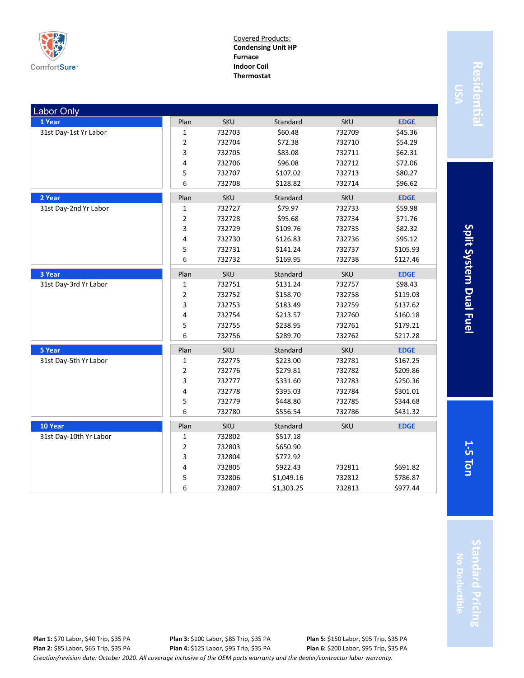

Covered Products: **Condensing Unit HP Furnace Indoor Coil Thermostat**

| <b>Labor Only</b>      |      |            |            |            |             |
|------------------------|------|------------|------------|------------|-------------|
| 1 Year                 | Plan | <b>SKU</b> | Standard   | <b>SKU</b> | <b>EDGE</b> |
| 31st Day-1st Yr Labor  | 1    | 732703     | \$60.48    | 732709     | \$45.36     |
|                        | 2    | 732704     | \$72.38    | 732710     | \$54.29     |
|                        | 3    | 732705     | \$83.08    | 732711     | \$62.31     |
|                        | 4    | 732706     | \$96.08    | 732712     | \$72.06     |
|                        | 5    | 732707     | \$107.02   | 732713     | \$80.27     |
|                        | 6    | 732708     | \$128.82   | 732714     | \$96.62     |
| 2 Year                 | Plan | <b>SKU</b> | Standard   | SKU        | <b>EDGE</b> |
| 31st Day-2nd Yr Labor  | 1    | 732727     | \$79.97    | 732733     | \$59.98     |
|                        | 2    | 732728     | \$95.68    | 732734     | \$71.76     |
|                        | 3    | 732729     | \$109.76   | 732735     | \$82.32     |
|                        | 4    | 732730     | \$126.83   | 732736     | \$95.12     |
|                        | 5    | 732731     | \$141.24   | 732737     | \$105.93    |
|                        | 6    | 732732     | \$169.95   | 732738     | \$127.46    |
| 3 Year                 | Plan | <b>SKU</b> | Standard   | <b>SKU</b> | <b>EDGE</b> |
| 31st Day-3rd Yr Labor  | 1    | 732751     | \$131.24   | 732757     | \$98.43     |
|                        | 2    | 732752     | \$158.70   | 732758     | \$119.03    |
|                        | 3    | 732753     | \$183.49   | 732759     | \$137.62    |
|                        | 4    | 732754     | \$213.57   | 732760     | \$160.18    |
|                        | 5    | 732755     | \$238.95   | 732761     | \$179.21    |
|                        | 6    | 732756     | \$289.70   | 732762     | \$217.28    |
| 5 Year                 | Plan | SKU        | Standard   | SKU        | <b>EDGE</b> |
| 31st Day-5th Yr Labor  | 1    | 732775     | \$223.00   | 732781     | \$167.25    |
|                        | 2    | 732776     | \$279.81   | 732782     | \$209.86    |
|                        | 3    | 732777     | \$331.60   | 732783     | \$250.36    |
|                        | 4    | 732778     | \$395.03   | 732784     | \$301.01    |
|                        | 5    | 732779     | \$448.80   | 732785     | \$344.68    |
|                        | 6    | 732780     | \$556.54   | 732786     | \$431.32    |
| 10 Year                | Plan | <b>SKU</b> | Standard   | SKU        | <b>EDGE</b> |
| 31st Day-10th Yr Labor | 1    | 732802     | \$517.18   |            |             |
|                        | 2    | 732803     | \$650.90   |            |             |
|                        | 3    | 732804     | \$772.92   |            |             |
|                        | 4    | 732805     | \$922.43   | 732811     | \$691.82    |
|                        | 5    | 732806     | \$1,049.16 | 732812     | \$786.87    |
|                        | 6    | 732807     | \$1,303.25 | 732813     | \$977.44    |

Residentia **Residential**

Split System Dual Fuel **5 Ton Split System Dual Fuel**

**1-**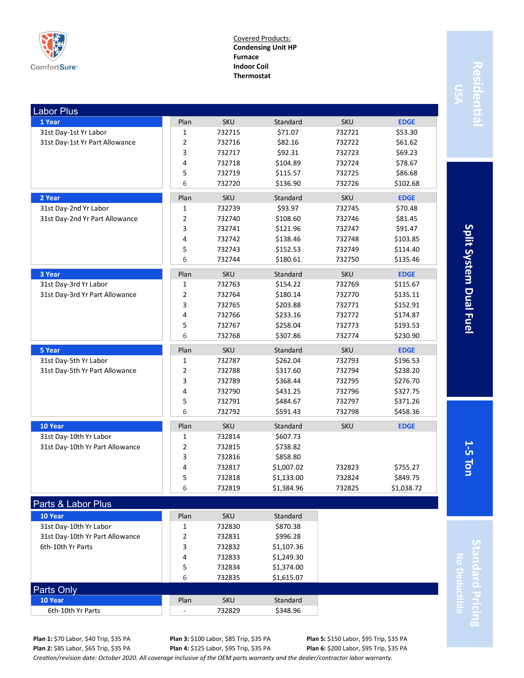

Covered Products: **Condensing Unit HP Furnace Indoor Coil Thermostat**

| <b>Labor Plus</b>               |                |            |            |            |             |
|---------------------------------|----------------|------------|------------|------------|-------------|
| 1 Year                          | Plan           | <b>SKU</b> | Standard   | <b>SKU</b> | <b>EDGE</b> |
| 31st Day-1st Yr Labor           | $\mathbf 1$    | 732715     | \$71.07    | 732721     | \$53.30     |
| 31st Day-1st Yr Part Allowance  | 2              | 732716     | \$82.16    | 732722     | \$61.62     |
|                                 | 3              | 732717     | \$92.31    | 732723     | \$69.23     |
|                                 | 4              | 732718     | \$104.89   | 732724     | \$78.67     |
|                                 | 5              | 732719     | \$115.57   | 732725     | \$86.68     |
|                                 | 6              | 732720     | \$136.90   | 732726     | \$102.68    |
| 2 Year                          | Plan           | <b>SKU</b> | Standard   | <b>SKU</b> | <b>EDGE</b> |
| 31st Day-2nd Yr Labor           | 1              | 732739     | \$93.97    | 732745     | \$70.48     |
| 31st Day-2nd Yr Part Allowance  | $\overline{2}$ | 732740     | \$108.60   | 732746     | \$81.45     |
|                                 | 3              | 732741     | \$121.96   | 732747     | \$91.47     |
|                                 | 4              | 732742     | \$138.46   | 732748     | \$103.85    |
|                                 | 5              | 732743     | \$152.53   | 732749     | \$114.40    |
|                                 | 6              | 732744     | \$180.61   | 732750     | \$135.46    |
| 3 Year                          | Plan           | <b>SKU</b> | Standard   | <b>SKU</b> | <b>EDGE</b> |
| 31st Day-3rd Yr Labor           | 1              | 732763     | \$154.22   | 732769     | \$115.67    |
| 31st Day-3rd Yr Part Allowance  | $\overline{2}$ | 732764     | \$180.14   | 732770     | \$135.11    |
|                                 | 3              | 732765     | \$203.88   | 732771     | \$152.91    |
|                                 | 4              | 732766     | \$233.16   | 732772     | \$174.87    |
|                                 | 5              | 732767     | \$258.04   | 732773     | \$193.53    |
|                                 | 6              | 732768     | \$307.86   | 732774     | \$230.90    |
| 5 Year                          | Plan           | <b>SKU</b> | Standard   | <b>SKU</b> | <b>EDGE</b> |
| 31st Day-5th Yr Labor           | 1              | 732787     | \$262.04   | 732793     | \$196.53    |
|                                 | $\overline{2}$ | 732788     | \$317.60   | 732794     | \$238.20    |
| 31st Day-5th Yr Part Allowance  | 3              | 732789     | \$368.44   | 732795     | \$276.70    |
|                                 | 4              | 732790     |            | 732796     |             |
|                                 |                |            | \$431.25   |            | \$327.75    |
|                                 | 5<br>6         | 732791     | \$484.67   | 732797     | \$371.26    |
|                                 |                | 732792     | \$591.43   | 732798     | \$458.36    |
| 10 Year                         | Plan           | <b>SKU</b> | Standard   | <b>SKU</b> | <b>EDGE</b> |
| 31st Day-10th Yr Labor          | 1              | 732814     | \$607.73   |            |             |
| 31st Day-10th Yr Part Allowance | $\overline{2}$ | 732815     | \$738.82   |            |             |
|                                 | 3              | 732816     | \$858.80   |            |             |
|                                 | 4              | 732817     | \$1,007.02 | 732823     | \$755.27    |
|                                 | 5              | 732818     | \$1,133.00 | 732824     | \$849.75    |
|                                 | 6              | 732819     | \$1,384.96 | 732825     | \$1,038.72  |
| Parts & Labor Plus              |                |            |            |            |             |
| 10 Year                         | Plan           | <b>SKU</b> | Standard   |            |             |
| 31st Day-10th Yr Labor          | 1              | 732830     | \$870.38   |            |             |

# Residentia **Residential**

Split System Dual Fuel **5 Ton Split System Dual Fuel**

**1-**

**Plan 1:** \$70 Labor, \$40 Trip, \$35 PA **Plan 2:** \$85 Labor, \$65 Trip, \$35 PA

Parts Only

**Plan 3:** \$100 Labor, \$85 Trip, \$35 PA **Plan 4:** \$125 Labor, \$95 Trip, \$35 PA

4 732833 \$1,249.30 5 732834 \$1,374.00 6 732835 \$1,615.07

> **Plan 5:** \$150 Labor, \$95 Trip, \$35 PA **Plan 6:** \$200 Labor, \$95 Trip, \$35 PA

*Creation/revision date: October 2020. All coverage inclusive of the OEM parts warranty and the dealer/contractor labor warranty.*

31st Day-10th Yr Part Allowance 2 732831 \$996.28 6th-10th Yr Parts **3** 732832 \$1,107.36

**10 Year** Standard **Plan** SKU Standard 6th-10th Yr Parts  $\begin{array}{|c|c|c|c|c|c|c|c|c|} \hline \text{6th-10th Yr Parts} & & \text{732829} & & \text{5348.96} \ \hline \end{array}$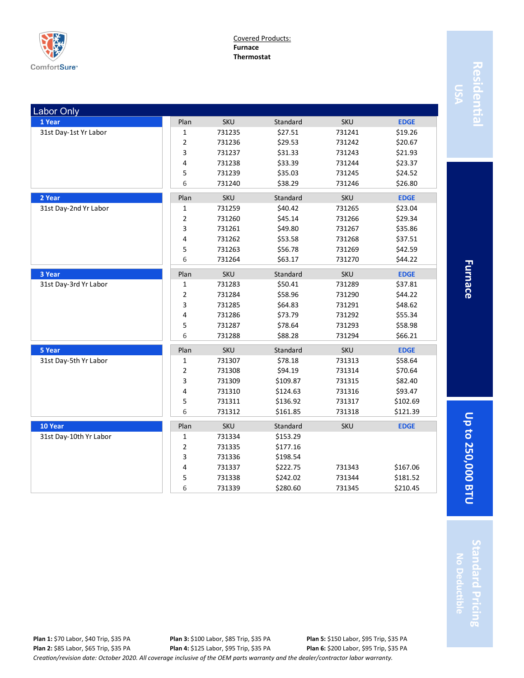

Covered Products: **Furnace Thermostat**

| <b>Labor Only</b>      |                |            |          |            |             |
|------------------------|----------------|------------|----------|------------|-------------|
| 1 Year                 | Plan           | <b>SKU</b> | Standard | <b>SKU</b> | <b>EDGE</b> |
| 31st Day-1st Yr Labor  | 1              | 731235     | \$27.51  | 731241     | \$19.26     |
|                        | 2              | 731236     | \$29.53  | 731242     | \$20.67     |
|                        | 3              | 731237     | \$31.33  | 731243     | \$21.93     |
|                        | 4              | 731238     | \$33.39  | 731244     | \$23.37     |
|                        | 5              | 731239     | \$35.03  | 731245     | \$24.52     |
|                        | 6              | 731240     | \$38.29  | 731246     | \$26.80     |
| 2 Year                 | Plan           | <b>SKU</b> | Standard | <b>SKU</b> | <b>EDGE</b> |
| 31st Day-2nd Yr Labor  | 1              | 731259     | \$40.42  | 731265     | \$23.04     |
|                        | 2              | 731260     | \$45.14  | 731266     | \$29.34     |
|                        | 3              | 731261     | \$49.80  | 731267     | \$35.86     |
|                        | 4              | 731262     | \$53.58  | 731268     | \$37.51     |
|                        | 5              | 731263     | \$56.78  | 731269     | \$42.59     |
|                        | 6              | 731264     | \$63.17  | 731270     | \$44.22     |
| 3 Year                 | Plan           | SKU        | Standard | <b>SKU</b> | <b>EDGE</b> |
| 31st Day-3rd Yr Labor  | 1              | 731283     | \$50.41  | 731289     | \$37.81     |
|                        | 2              | 731284     | \$58.96  | 731290     | \$44.22     |
|                        | 3              | 731285     | \$64.83  | 731291     | \$48.62     |
|                        | 4              | 731286     | \$73.79  | 731292     | \$55.34     |
|                        | 5              | 731287     | \$78.64  | 731293     | \$58.98     |
|                        | 6              | 731288     | \$88.28  | 731294     | \$66.21     |
| 5 Year                 | Plan           | <b>SKU</b> | Standard | <b>SKU</b> | <b>EDGE</b> |
| 31st Day-5th Yr Labor  | 1              | 731307     | \$78.18  | 731313     | \$58.64     |
|                        | 2              | 731308     | \$94.19  | 731314     | \$70.64     |
|                        | 3              | 731309     | \$109.87 | 731315     | \$82.40     |
|                        | 4              | 731310     | \$124.63 | 731316     | \$93.47     |
|                        | 5              | 731311     | \$136.92 | 731317     | \$102.69    |
|                        | 6              | 731312     | \$161.85 | 731318     | \$121.39    |
| 10 Year                | Plan           | <b>SKU</b> | Standard | <b>SKU</b> | <b>EDGE</b> |
| 31st Day-10th Yr Labor | 1              | 731334     | \$153.29 |            |             |
|                        | $\overline{2}$ | 731335     | \$177.16 |            |             |
|                        | 3              | 731336     | \$198.54 |            |             |
|                        | 4              | 731337     | \$222.75 | 731343     | \$167.06    |
|                        | 5              | 731338     | \$242.02 | 731344     | \$181.52    |
|                        | 6              | 731339     | \$280.60 | 731345     | \$210.45    |

Residentia **Residential**

**Furnace**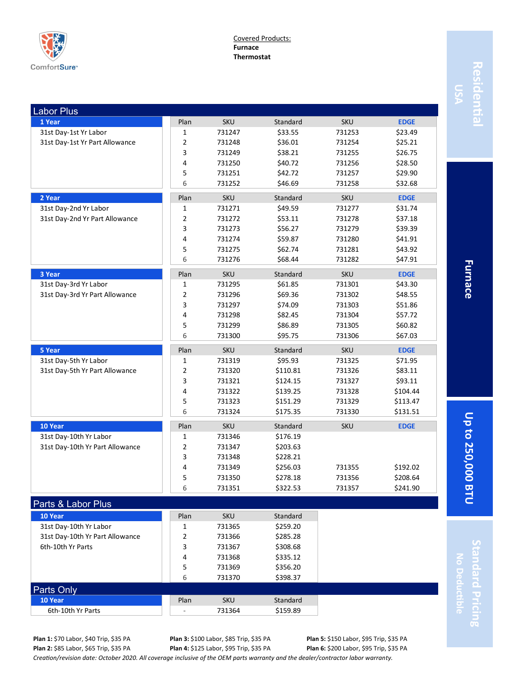

Covered Products: **Furnace Thermostat**

| <b>Labor Plus</b>               |              |            |          |            |             |
|---------------------------------|--------------|------------|----------|------------|-------------|
| 1 Year                          | Plan         | <b>SKU</b> | Standard | <b>SKU</b> | <b>EDGE</b> |
| 31st Day-1st Yr Labor           | 1            | 731247     | \$33.55  | 731253     | \$23.49     |
| 31st Day-1st Yr Part Allowance  | 2            | 731248     | \$36.01  | 731254     | \$25.21     |
|                                 | 3            | 731249     | \$38.21  | 731255     | \$26.75     |
|                                 | 4            | 731250     | \$40.72  | 731256     | \$28.50     |
|                                 | 5            | 731251     | \$42.72  | 731257     | \$29.90     |
|                                 | 6            | 731252     | \$46.69  | 731258     | \$32.68     |
| 2 Year                          | Plan         | <b>SKU</b> | Standard | <b>SKU</b> | <b>EDGE</b> |
| 31st Day-2nd Yr Labor           | 1            | 731271     | \$49.59  | 731277     | \$31.74     |
| 31st Day-2nd Yr Part Allowance  | 2            | 731272     | \$53.11  | 731278     | \$37.18     |
|                                 | 3            | 731273     | \$56.27  | 731279     | \$39.39     |
|                                 | 4            | 731274     | \$59.87  | 731280     | \$41.91     |
|                                 | 5            | 731275     | \$62.74  | 731281     | \$43.92     |
|                                 | 6            | 731276     | \$68.44  | 731282     | \$47.91     |
| 3 Year                          | Plan         | <b>SKU</b> | Standard | <b>SKU</b> | <b>EDGE</b> |
| 31st Day-3rd Yr Labor           | $\mathbf{1}$ | 731295     | \$61.85  | 731301     | \$43.30     |
| 31st Day-3rd Yr Part Allowance  | 2            | 731296     | \$69.36  | 731302     | \$48.55     |
|                                 | 3            | 731297     | \$74.09  | 731303     | \$51.86     |
|                                 | 4            | 731298     | \$82.45  | 731304     | \$57.72     |
|                                 | 5            | 731299     | \$86.89  | 731305     | \$60.82     |
|                                 | 6            | 731300     | \$95.75  | 731306     | \$67.03     |
| 5 Year                          | Plan         | <b>SKU</b> | Standard | <b>SKU</b> | <b>EDGE</b> |
| 31st Day-5th Yr Labor           | 1            | 731319     | \$95.93  | 731325     | \$71.95     |
| 31st Day-5th Yr Part Allowance  | 2            | 731320     | \$110.81 | 731326     | \$83.11     |
|                                 | 3            | 731321     | \$124.15 | 731327     | \$93.11     |
|                                 | 4            | 731322     | \$139.25 | 731328     | \$104.44    |
|                                 | 5            | 731323     | \$151.29 | 731329     | \$113.47    |
|                                 | 6            | 731324     | \$175.35 | 731330     | \$131.51    |
| 10 Year                         | Plan         | <b>SKU</b> | Standard | <b>SKU</b> | <b>EDGE</b> |
| 31st Day-10th Yr Labor          | 1            | 731346     | \$176.19 |            |             |
| 31st Day-10th Yr Part Allowance | 2            | 731347     | \$203.63 |            |             |
|                                 | 3            | 731348     | \$228.21 |            |             |
|                                 | 4            | 731349     | \$256.03 | 731355     | \$192.02    |
|                                 | 5            | 731350     | \$278.18 | 731356     | \$208.64    |
|                                 | 6            | 731351     | \$322.53 | 731357     | \$241.90    |
| Parts & Labor Plus              |              |            |          |            |             |
| 10 Year                         | Plan         | SKU        | Standard |            |             |
| 31st Day-10th Yr Labor          | 1            | 731365     | \$259.20 |            |             |
| 31st Day-10th Yr Part Allowance | 2            | 731366     | \$285.28 |            |             |
| 6th-10th Yr Parts               | 3            | 731367     | \$308.68 |            |             |
|                                 | 4            | 731368     | \$335.12 |            |             |
|                                 | 5            | 731369     | \$356.20 |            |             |
|                                 | 6            | 731370     | \$398.37 |            |             |
| <b>Parts Only</b>               |              |            |          |            |             |

**Furnace** 

**Up to 250,000 BTU Furnace** Up to 250,000 BTU

**Standard Pricing** tandard Pricing **No Deductible**

**Plan 3:** \$100 Labor, \$85 Trip, \$35 PA **Plan 4:** \$125 Labor, \$95 Trip, \$35 PA

*Creation/revision date: October 2020. All coverage inclusive of the OEM parts warranty and the dealer/contractor labor warranty.*

**10 Year** Standard **Plan** SKU Standard 6th-10th Yr Parts  $\begin{array}{|c|c|c|c|c|c|c|c|c|} \hline \text{6th-10th Yr Parts} & & \text{731364} & & \text{5159.89} \ \hline \end{array}$ 

> **Plan 5:** \$150 Labor, \$95 Trip, \$35 PA **Plan 6:** \$200 Labor, \$95 Trip, \$35 PA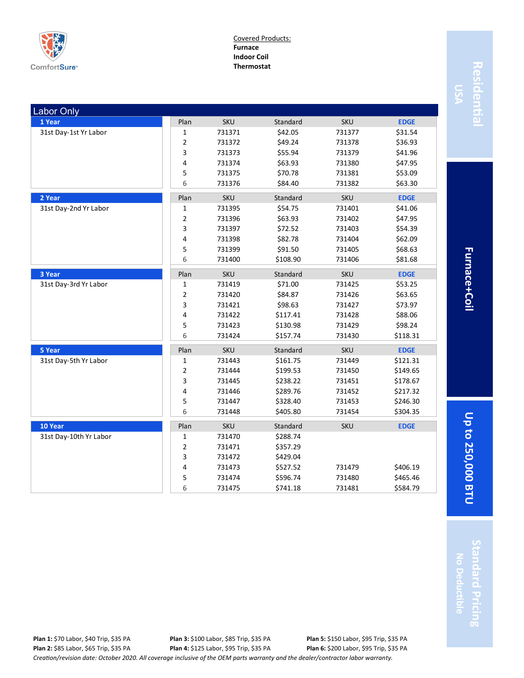

Covered Products: **Furnace Indoor Coil Thermostat**

| <b>Labor Only</b>      |                |            |          |            |             |
|------------------------|----------------|------------|----------|------------|-------------|
| 1 Year                 | Plan           | SKU        | Standard | <b>SKU</b> | <b>EDGE</b> |
| 31st Day-1st Yr Labor  | 1              | 731371     | \$42.05  | 731377     | \$31.54     |
|                        | $\mathbf 2$    | 731372     | \$49.24  | 731378     | \$36.93     |
|                        | 3              | 731373     | \$55.94  | 731379     | \$41.96     |
|                        | 4              | 731374     | \$63.93  | 731380     | \$47.95     |
|                        | 5              | 731375     | \$70.78  | 731381     | \$53.09     |
|                        | 6              | 731376     | \$84.40  | 731382     | \$63.30     |
| 2 Year                 | Plan           | <b>SKU</b> | Standard | <b>SKU</b> | <b>EDGE</b> |
| 31st Day-2nd Yr Labor  | 1              | 731395     | \$54.75  | 731401     | \$41.06     |
|                        | $\overline{2}$ | 731396     | \$63.93  | 731402     | \$47.95     |
|                        | 3              | 731397     | \$72.52  | 731403     | \$54.39     |
|                        | 4              | 731398     | \$82.78  | 731404     | \$62.09     |
|                        | 5              | 731399     | \$91.50  | 731405     | \$68.63     |
|                        | 6              | 731400     | \$108.90 | 731406     | \$81.68     |
| 3 Year                 | Plan           | <b>SKU</b> | Standard | <b>SKU</b> | <b>EDGE</b> |
| 31st Day-3rd Yr Labor  | 1              | 731419     | \$71.00  | 731425     | \$53.25     |
|                        | 2              | 731420     | \$84.87  | 731426     | \$63.65     |
|                        | 3              | 731421     | \$98.63  | 731427     | \$73.97     |
|                        | 4              | 731422     | \$117.41 | 731428     | \$88.06     |
|                        | 5              | 731423     | \$130.98 | 731429     | \$98.24     |
|                        | 6              | 731424     | \$157.74 | 731430     | \$118.31    |
| 5 Year                 | Plan           | <b>SKU</b> | Standard | SKU        | <b>EDGE</b> |
| 31st Day-5th Yr Labor  | 1              | 731443     | \$161.75 | 731449     | \$121.31    |
|                        | 2              | 731444     | \$199.53 | 731450     | \$149.65    |
|                        | 3              | 731445     | \$238.22 | 731451     | \$178.67    |
|                        | 4              | 731446     | \$289.76 | 731452     | \$217.32    |
|                        | 5              | 731447     | \$328.40 | 731453     | \$246.30    |
|                        | 6              | 731448     | \$405.80 | 731454     | \$304.35    |
| 10 Year                | Plan           | <b>SKU</b> | Standard | SKU        | <b>EDGE</b> |
| 31st Day-10th Yr Labor | 1              | 731470     | \$288.74 |            |             |
|                        | 2              | 731471     | \$357.29 |            |             |
|                        | 3              | 731472     | \$429.04 |            |             |
|                        | 4              | 731473     | \$527.52 | 731479     | \$406.19    |
|                        | 5              | 731474     | \$596.74 | 731480     | \$465.46    |
|                        | 6              | 731475     | \$741.18 | 731481     | \$584.79    |
|                        |                |            |          |            |             |

Residentia **Residential**

Furnace+Coil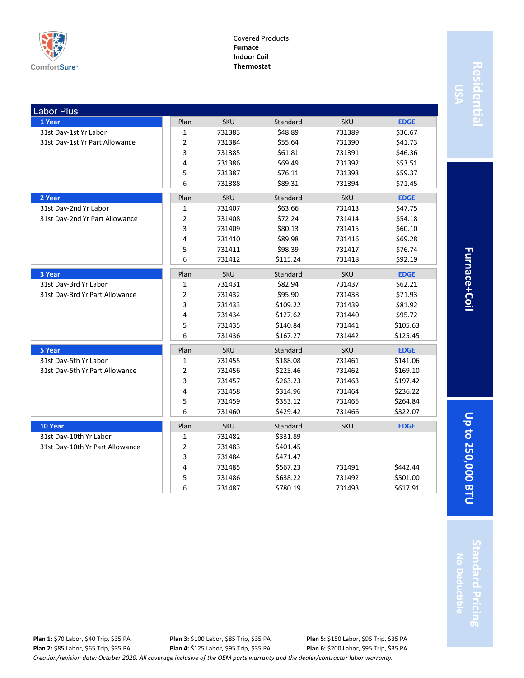

Covered Products: **Furnace Indoor Coil Thermostat**

| <b>Labor Plus</b>               |                |            |          |            |             |
|---------------------------------|----------------|------------|----------|------------|-------------|
| 1 Year                          | Plan           | <b>SKU</b> | Standard | <b>SKU</b> | <b>EDGE</b> |
| 31st Day-1st Yr Labor           | $\mathbf{1}$   | 731383     | \$48.89  | 731389     | \$36.67     |
| 31st Day-1st Yr Part Allowance  | $\overline{2}$ | 731384     | \$55.64  | 731390     | \$41.73     |
|                                 | 3              | 731385     | \$61.81  | 731391     | \$46.36     |
|                                 | $\overline{4}$ | 731386     | \$69.49  | 731392     | \$53.51     |
|                                 | 5              | 731387     | \$76.11  | 731393     | \$59.37     |
|                                 | 6              | 731388     | \$89.31  | 731394     | \$71.45     |
| 2 Year                          | Plan           | <b>SKU</b> | Standard | <b>SKU</b> | <b>EDGE</b> |
| 31st Day-2nd Yr Labor           | $\mathbf{1}$   | 731407     | \$63.66  | 731413     | \$47.75     |
| 31st Day-2nd Yr Part Allowance  | $\overline{2}$ | 731408     | \$72.24  | 731414     | \$54.18     |
|                                 | 3              | 731409     | \$80.13  | 731415     | \$60.10     |
|                                 | 4              | 731410     | \$89.98  | 731416     | \$69.28     |
|                                 | 5              | 731411     | \$98.39  | 731417     | \$76.74     |
|                                 | 6              | 731412     | \$115.24 | 731418     | \$92.19     |
| 3 Year                          | Plan           | <b>SKU</b> | Standard | <b>SKU</b> | <b>EDGE</b> |
| 31st Day-3rd Yr Labor           | 1              | 731431     | \$82.94  | 731437     | \$62.21     |
| 31st Day-3rd Yr Part Allowance  | $\overline{2}$ | 731432     | \$95.90  | 731438     | \$71.93     |
|                                 | 3              | 731433     | \$109.22 | 731439     | \$81.92     |
|                                 | $\overline{4}$ | 731434     | \$127.62 | 731440     | \$95.72     |
|                                 | 5              | 731435     | \$140.84 | 731441     | \$105.63    |
|                                 | 6              | 731436     | \$167.27 | 731442     | \$125.45    |
| 5 Year                          | Plan           | <b>SKU</b> | Standard | <b>SKU</b> | <b>EDGE</b> |
| 31st Day-5th Yr Labor           | $\mathbf{1}$   | 731455     | \$188.08 | 731461     | \$141.06    |
| 31st Day-5th Yr Part Allowance  | $\overline{2}$ | 731456     | \$225.46 | 731462     | \$169.10    |
|                                 | 3              | 731457     | \$263.23 | 731463     | \$197.42    |
|                                 | 4              | 731458     | \$314.96 | 731464     | \$236.22    |
|                                 | 5              | 731459     | \$353.12 | 731465     | \$264.84    |
|                                 | 6              | 731460     | \$429.42 | 731466     | \$322.07    |
| 10 Year                         | Plan           | <b>SKU</b> | Standard | <b>SKU</b> | <b>EDGE</b> |
| 31st Day-10th Yr Labor          | $\mathbf{1}$   | 731482     | \$331.89 |            |             |
| 31st Day-10th Yr Part Allowance | $\overline{2}$ | 731483     | \$401.45 |            |             |
|                                 | 3              | 731484     | \$471.47 |            |             |
|                                 | 4              | 731485     | \$567.23 | 731491     | \$442.44    |
|                                 | 5              | 731486     | \$638.22 | 731492     | \$501.00    |
|                                 | 6              | 731487     | \$780.19 | 731493     | \$617.91    |

Residentia **Residential**

Furnace+Coil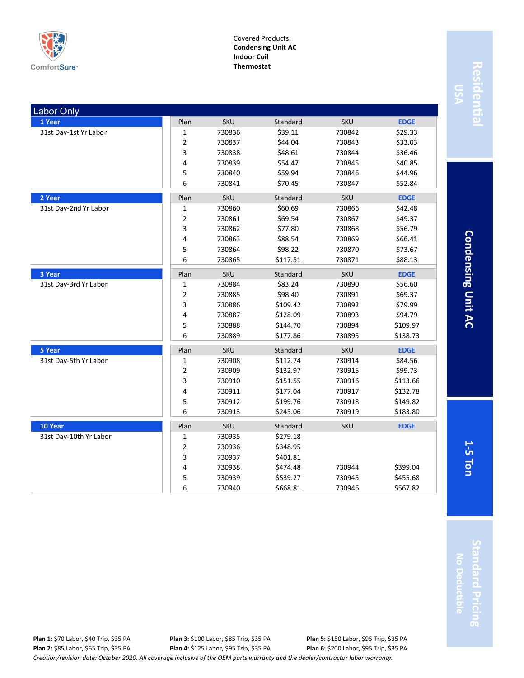

Covered Products: **Condensing Unit AC Indoor Coil Thermostat**

| <b>Labor Only</b>      |             |            |          |            |             |
|------------------------|-------------|------------|----------|------------|-------------|
| 1 Year                 | Plan        | <b>SKU</b> | Standard | <b>SKU</b> | <b>EDGE</b> |
| 31st Day-1st Yr Labor  | 1           | 730836     | \$39.11  | 730842     | \$29.33     |
|                        | 2           | 730837     | \$44.04  | 730843     | \$33.03     |
|                        | 3           | 730838     | \$48.61  | 730844     | \$36.46     |
|                        | 4           | 730839     | \$54.47  | 730845     | \$40.85     |
|                        | 5           | 730840     | \$59.94  | 730846     | \$44.96     |
|                        | 6           | 730841     | \$70.45  | 730847     | \$52.84     |
| 2 Year                 | Plan        | <b>SKU</b> | Standard | SKU        | <b>EDGE</b> |
| 31st Day-2nd Yr Labor  | 1           | 730860     | \$60.69  | 730866     | \$42.48     |
|                        | 2           | 730861     | \$69.54  | 730867     | \$49.37     |
|                        | 3           | 730862     | \$77.80  | 730868     | \$56.79     |
|                        | 4           | 730863     | \$88.54  | 730869     | \$66.41     |
|                        | 5           | 730864     | \$98.22  | 730870     | \$73.67     |
|                        | 6           | 730865     | \$117.51 | 730871     | \$88.13     |
| 3 Year                 | Plan        | <b>SKU</b> | Standard | <b>SKU</b> | <b>EDGE</b> |
| 31st Day-3rd Yr Labor  | 1           | 730884     | \$83.24  | 730890     | \$56.60     |
|                        | 2           | 730885     | \$98.40  | 730891     | \$69.37     |
|                        | з           | 730886     | \$109.42 | 730892     | \$79.99     |
|                        | 4           | 730887     | \$128.09 | 730893     | \$94.79     |
|                        | 5           | 730888     | \$144.70 | 730894     | \$109.97    |
|                        | 6           | 730889     | \$177.86 | 730895     | \$138.73    |
| 5 Year                 | Plan        | <b>SKU</b> | Standard | <b>SKU</b> | <b>EDGE</b> |
| 31st Day-5th Yr Labor  | 1           | 730908     | \$112.74 | 730914     | \$84.56     |
|                        | 2           | 730909     | \$132.97 | 730915     | \$99.73     |
|                        | 3           | 730910     | \$151.55 | 730916     | \$113.66    |
|                        | 4           | 730911     | \$177.04 | 730917     | \$132.78    |
|                        | 5           | 730912     | \$199.76 | 730918     | \$149.82    |
|                        | 6           | 730913     | \$245.06 | 730919     | \$183.80    |
| 10 Year                | Plan        | <b>SKU</b> | Standard | <b>SKU</b> | <b>EDGE</b> |
| 31st Day-10th Yr Labor | 1           | 730935     | \$279.18 |            |             |
|                        | $\mathbf 2$ | 730936     | \$348.95 |            |             |
|                        | 3           | 730937     | \$401.81 |            |             |
|                        | 4           | 730938     | \$474.48 | 730944     | \$399.04    |
|                        | 5           | 730939     | \$539.27 | 730945     | \$455.68    |
|                        | 6           | 730940     | \$668.81 | 730946     | \$567.82    |

Condensing Unit AC **5 Ton Condensing Unit AC**

**1-**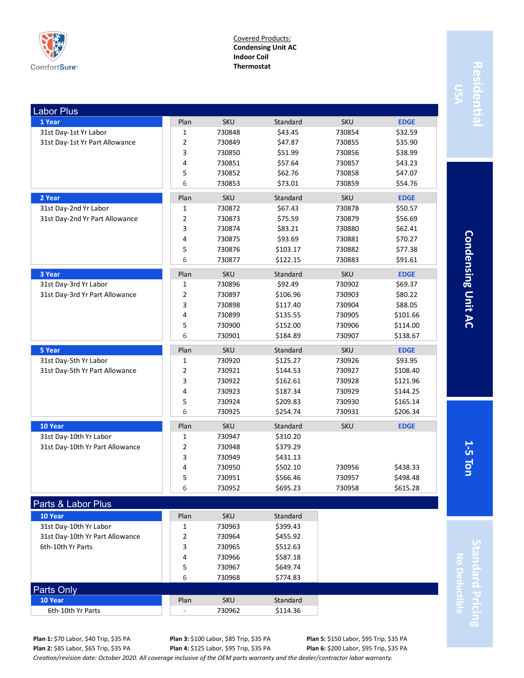

Covered Products: **Condensing Unit AC Indoor Coil Thermostat**

| <b>Labor Plus</b>               |                |            |          |            |             |
|---------------------------------|----------------|------------|----------|------------|-------------|
| 1 Year                          | Plan           | <b>SKU</b> | Standard | <b>SKU</b> | <b>EDGE</b> |
| 31st Day-1st Yr Labor           | 1              | 730848     | \$43.45  | 730854     | \$32.59     |
| 31st Day-1st Yr Part Allowance  | 2              | 730849     | \$47.87  | 730855     | \$35.90     |
|                                 | 3              | 730850     | \$51.99  | 730856     | \$38.99     |
|                                 | 4              | 730851     | \$57.64  | 730857     | \$43.23     |
|                                 | 5              | 730852     | \$62.76  | 730858     | \$47.07     |
|                                 | 6              | 730853     | \$73.01  | 730859     | \$54.76     |
| 2 Year                          | Plan           | <b>SKU</b> | Standard | <b>SKU</b> | <b>EDGE</b> |
| 31st Day-2nd Yr Labor           | $\mathbf 1$    | 730872     | \$67.43  | 730878     | \$50.57     |
| 31st Day-2nd Yr Part Allowance  | $\overline{2}$ | 730873     | \$75.59  | 730879     | \$56.69     |
|                                 | 3              | 730874     | \$83.21  | 730880     | \$62.41     |
|                                 | 4              | 730875     | \$93.69  | 730881     | \$70.27     |
|                                 | 5              | 730876     | \$103.17 | 730882     | \$77.38     |
|                                 | 6              | 730877     | \$122.15 | 730883     | \$91.61     |
| 3 Year                          | Plan           | <b>SKU</b> | Standard | <b>SKU</b> | <b>EDGE</b> |
| 31st Day-3rd Yr Labor           | 1              | 730896     | \$92.49  | 730902     | \$69.37     |
| 31st Day-3rd Yr Part Allowance  | 2              | 730897     | \$106.96 | 730903     | \$80.22     |
|                                 | 3              | 730898     | \$117.40 | 730904     | \$88.05     |
|                                 | 4              | 730899     | \$135.55 | 730905     | \$101.66    |
|                                 | 5              | 730900     | \$152.00 | 730906     | \$114.00    |
|                                 | 6              | 730901     | \$184.89 | 730907     | \$138.67    |
| <b>5 Year</b>                   | Plan           | <b>SKU</b> | Standard | <b>SKU</b> | <b>EDGE</b> |
| 31st Day-5th Yr Labor           | 1              | 730920     | \$125.27 | 730926     | \$93.95     |
| 31st Day-5th Yr Part Allowance  | 2              | 730921     | \$144.53 | 730927     | \$108.40    |
|                                 | 3              | 730922     | \$162.61 | 730928     | \$121.96    |
|                                 | 4              | 730923     | \$187.34 | 730929     | \$144.25    |
|                                 | 5              | 730924     | \$209.83 | 730930     | \$165.14    |
|                                 | 6              | 730925     | \$254.74 | 730931     | \$206.34    |
| 10 Year                         | Plan           | SKU        | Standard | <b>SKU</b> | <b>EDGE</b> |
| 31st Day-10th Yr Labor          | $\mathbf 1$    | 730947     | \$310.20 |            |             |
| 31st Day-10th Yr Part Allowance |                |            |          |            |             |
|                                 | $\overline{2}$ | 730948     | \$379.29 |            |             |
|                                 | 3              | 730949     | \$431.13 |            |             |
|                                 | 4              | 730950     | \$502.10 | 730956     | \$438.33    |
|                                 | 5              | 730951     | \$566.46 | 730957     | \$498.48    |
|                                 | 6              | 730952     | \$695.23 | 730958     | \$615.28    |
|                                 |                |            |          |            |             |
| Parts & Labor Plus<br>10 Year   | Plan           | <b>SKU</b> | Standard |            |             |

**Residential** Resident

> **Condensing Unit AC 5 Ton Condensing Unit AC**

**1-**

**Standard Pricing No Deductible** ndard Pricing

**Plan 1:** \$70 Labor, \$40 Trip, \$35 PA **Plan 2:** \$85 Labor, \$65 Trip, \$35 PA **Plan 3:** \$100 Labor, \$85 Trip, \$35 PA **Plan 4:** \$125 Labor, \$95 Trip, \$35 PA

31st Day-10th Yr Part Allowance 2 730964 \$455.92 6th-10th Yr Parts **3** 730965 \$512.63

**10 Year** Standard **Plan** SKU Standard 6th-10th Yr Parts  $\begin{array}{|c|c|c|c|c|c|}\n\hline\n\text{6th-10th Yr Parts} & & \text{730962} & \text{5114.36}\n\end{array}$ 

Parts Only

**Plan 5:** \$150 Labor, \$95 Trip, \$35 PA **Plan 6:** \$200 Labor, \$95 Trip, \$35 PA

*Creation/revision date: October 2020. All coverage inclusive of the OEM parts warranty and the dealer/contractor labor warranty.*

4 730966 \$587.18 5 730967 \$649.74 6 730968 \$774.83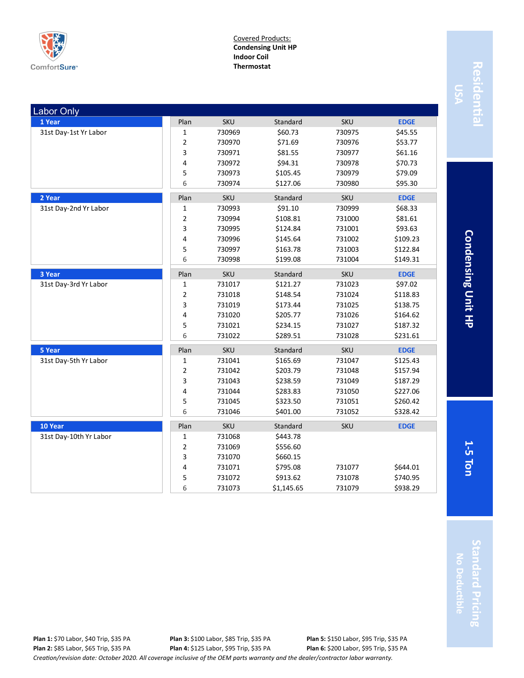

Covered Products: **Condensing Unit HP Indoor Coil Thermostat**

| <b>Labor Only</b>      |             |            |            |            |             |
|------------------------|-------------|------------|------------|------------|-------------|
| 1 Year                 | Plan        | <b>SKU</b> | Standard   | <b>SKU</b> | <b>EDGE</b> |
| 31st Day-1st Yr Labor  | 1           | 730969     | \$60.73    | 730975     | \$45.55     |
|                        | 2           | 730970     | \$71.69    | 730976     | \$53.77     |
|                        | 3           | 730971     | \$81.55    | 730977     | \$61.16     |
|                        | 4           | 730972     | \$94.31    | 730978     | \$70.73     |
|                        | 5           | 730973     | \$105.45   | 730979     | \$79.09     |
|                        | 6           | 730974     | \$127.06   | 730980     | \$95.30     |
| 2 Year                 | Plan        | <b>SKU</b> | Standard   | SKU        | <b>EDGE</b> |
| 31st Day-2nd Yr Labor  | 1           | 730993     | \$91.10    | 730999     | \$68.33     |
|                        | 2           | 730994     | \$108.81   | 731000     | \$81.61     |
|                        | з           | 730995     | \$124.84   | 731001     | \$93.63     |
|                        | 4           | 730996     | \$145.64   | 731002     | \$109.23    |
|                        | 5           | 730997     | \$163.78   | 731003     | \$122.84    |
|                        | 6           | 730998     | \$199.08   | 731004     | \$149.31    |
| 3 Year                 | Plan        | <b>SKU</b> | Standard   | <b>SKU</b> | <b>EDGE</b> |
| 31st Day-3rd Yr Labor  | 1           | 731017     | \$121.27   | 731023     | \$97.02     |
|                        | 2           | 731018     | \$148.54   | 731024     | \$118.83    |
|                        | з           | 731019     | \$173.44   | 731025     | \$138.75    |
|                        | 4           | 731020     | \$205.77   | 731026     | \$164.62    |
|                        | 5           | 731021     | \$234.15   | 731027     | \$187.32    |
|                        | 6           | 731022     | \$289.51   | 731028     | \$231.61    |
| 5 Year                 | Plan        | <b>SKU</b> | Standard   | <b>SKU</b> | <b>EDGE</b> |
| 31st Day-5th Yr Labor  | 1           | 731041     | \$165.69   | 731047     | \$125.43    |
|                        | 2           | 731042     | \$203.79   | 731048     | \$157.94    |
|                        | 3           | 731043     | \$238.59   | 731049     | \$187.29    |
|                        | 4           | 731044     | \$283.83   | 731050     | \$227.06    |
|                        | 5           | 731045     | \$323.50   | 731051     | \$260.42    |
|                        | 6           | 731046     | \$401.00   | 731052     | \$328.42    |
| 10 Year                | Plan        | <b>SKU</b> | Standard   | <b>SKU</b> | <b>EDGE</b> |
| 31st Day-10th Yr Labor | 1           | 731068     | \$443.78   |            |             |
|                        | $\mathbf 2$ | 731069     | \$556.60   |            |             |
|                        | 3           | 731070     | \$660.15   |            |             |
|                        | 4           | 731071     | \$795.08   | 731077     | \$644.01    |
|                        | 5           | 731072     | \$913.62   | 731078     | \$740.95    |
|                        | 6           | 731073     | \$1,145.65 | 731079     | \$938.29    |

**Condensing Unit HP 5 Ton Condensing Unit HP**

**1-**

**Standard Pricing** tandard Pricing **No Deductible**

*Creation/revision date: October 2020. All coverage inclusive of the OEM parts warranty and the dealer/contractor labor warranty.* **Plan 1:** \$70 Labor, \$40 Trip, \$35 PA **Plan 2:** \$85 Labor, \$65 Trip, \$35 PA **Plan 3:** \$100 Labor, \$85 Trip, \$35 PA **Plan 4:** \$125 Labor, \$95 Trip, \$35 PA **Plan 5:** \$150 Labor, \$95 Trip, \$35 PA **Plan 6:** \$200 Labor, \$95 Trip, \$35 PA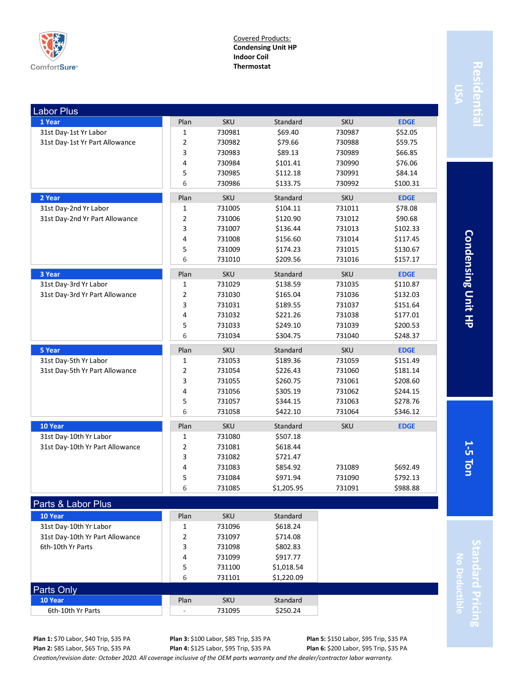

Covered Products: **Condensing Unit HP Indoor Coil Thermostat**

| _abor Plus                      |                |            |            |            |             |
|---------------------------------|----------------|------------|------------|------------|-------------|
| 1 Year                          | Plan           | <b>SKU</b> | Standard   | <b>SKU</b> | <b>EDGE</b> |
| 31st Day-1st Yr Labor           | 1              | 730981     | \$69.40    | 730987     | \$52.05     |
| 31st Day-1st Yr Part Allowance  | $\overline{2}$ | 730982     | \$79.66    | 730988     | \$59.75     |
|                                 | 3              | 730983     | \$89.13    | 730989     | \$66.85     |
|                                 | 4              | 730984     | \$101.41   | 730990     | \$76.06     |
|                                 | 5              | 730985     | \$112.18   | 730991     | \$84.14     |
|                                 | 6              | 730986     | \$133.75   | 730992     | \$100.31    |
| 2 Year                          | Plan           | <b>SKU</b> | Standard   | SKU        | <b>EDGE</b> |
| 31st Day-2nd Yr Labor           | 1              | 731005     | \$104.11   | 731011     | \$78.08     |
| 31st Day-2nd Yr Part Allowance  | $\overline{2}$ | 731006     | \$120.90   | 731012     | \$90.68     |
|                                 | 3              | 731007     | \$136.44   | 731013     | \$102.33    |
|                                 | 4              | 731008     | \$156.60   | 731014     | \$117.45    |
|                                 | 5              | 731009     | \$174.23   | 731015     | \$130.67    |
|                                 | 6              | 731010     | \$209.56   | 731016     | \$157.17    |
|                                 |                |            |            |            |             |
| 3 Year                          | Plan           | <b>SKU</b> | Standard   | <b>SKU</b> | <b>EDGE</b> |
| 31st Day-3rd Yr Labor           | $\mathbf{1}$   | 731029     | \$138.59   | 731035     | \$110.87    |
| 31st Day-3rd Yr Part Allowance  | $\mathbf 2$    | 731030     | \$165.04   | 731036     | \$132.03    |
|                                 | 3              | 731031     | \$189.55   | 731037     | \$151.64    |
|                                 | 4              | 731032     | \$221.26   | 731038     | \$177.01    |
|                                 | 5              | 731033     | \$249.10   | 731039     | \$200.53    |
|                                 | 6              | 731034     | \$304.75   | 731040     | \$248.37    |
| 5 Year                          | Plan           | <b>SKU</b> | Standard   | <b>SKU</b> | <b>EDGE</b> |
| 31st Day-5th Yr Labor           | 1              | 731053     | \$189.36   | 731059     | \$151.49    |
| 31st Day-5th Yr Part Allowance  | $\overline{2}$ | 731054     | \$226.43   | 731060     | \$181.14    |
|                                 | 3              | 731055     | \$260.75   | 731061     | \$208.60    |
|                                 | 4              | 731056     | \$305.19   | 731062     | \$244.15    |
|                                 | 5              | 731057     | \$344.15   | 731063     | \$278.76    |
|                                 | 6              | 731058     | \$422.10   | 731064     | \$346.12    |
| 10 Year                         | Plan           | <b>SKU</b> | Standard   | <b>SKU</b> | <b>EDGE</b> |
| 31st Day-10th Yr Labor          | 1              | 731080     | \$507.18   |            |             |
| 31st Day-10th Yr Part Allowance | $\overline{2}$ | 731081     | \$618.44   |            |             |
|                                 | 3              | 731082     | \$721.47   |            |             |
|                                 | 4              | 731083     | \$854.92   | 731089     | \$692.49    |
|                                 | 5              | 731084     | \$971.94   | 731090     | \$792.13    |
|                                 | 6              | 731085     | \$1,205.95 | 731091     | \$988.88    |
|                                 |                |            |            |            |             |
| <b>Parts &amp; Labor Plus</b>   |                |            |            |            |             |

| Parts & Labor Plus              |      |            |            |
|---------------------------------|------|------------|------------|
| 10 Year                         | Plan | <b>SKU</b> | Standard   |
| 31st Day-10th Yr Labor          |      | 731096     | \$618.24   |
| 31st Day-10th Yr Part Allowance | 2    | 731097     | \$714.08   |
| 6th-10th Yr Parts               | 3    | 731098     | \$802.83   |
|                                 | 4    | 731099     | \$917.77   |
|                                 | 5    | 731100     | \$1,018.54 |
|                                 | 6    | 731101     | \$1,220.09 |
| Parts Only                      |      |            |            |
| 10 Year                         | Plan | <b>SKU</b> | Standard   |
| 6th-10th Yr Parts               |      | 731095     | \$250.24   |
|                                 |      |            |            |

# Residentia **Residential**

**Condensing Unit HP 5 Ton Condensing Unit HP**

**1-**

**Standard Pricing** tandard Pricing **No Deductible**

*Creation/revision date: October 2020. All coverage inclusive of the OEM parts warranty and the dealer/contractor labor warranty.* **Plan 1:** \$70 Labor, \$40 Trip, \$35 PA **Plan 2:** \$85 Labor, \$65 Trip, \$35 PA

**Plan 3:** \$100 Labor, \$85 Trip, \$35 PA **Plan 4:** \$125 Labor, \$95 Trip, \$35 PA

**Plan 5:** \$150 Labor, \$95 Trip, \$35 PA **Plan 6:** \$200 Labor, \$95 Trip, \$35 PA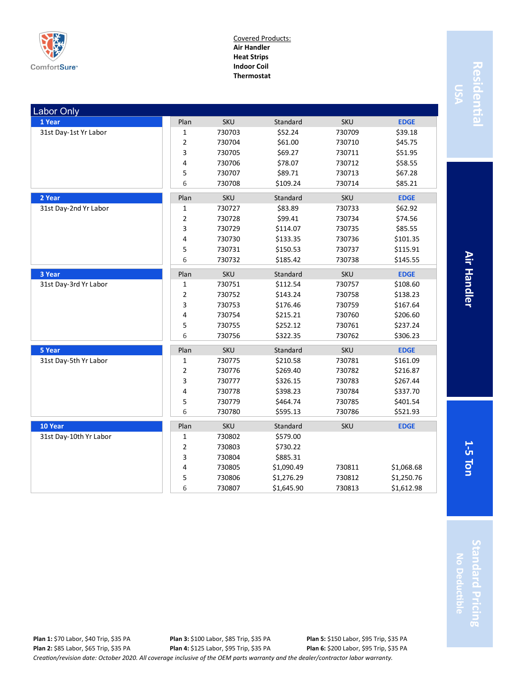

#### Covered Products: **Air Handler Heat Strips Indoor Coil Thermostat**

| <b>Labor Only</b>      |                |            |            |            |             |
|------------------------|----------------|------------|------------|------------|-------------|
| 1 Year                 | Plan           | <b>SKU</b> | Standard   | <b>SKU</b> | <b>EDGE</b> |
| 31st Day-1st Yr Labor  | $\mathbf 1$    | 730703     | \$52.24    | 730709     | \$39.18     |
|                        | $\overline{2}$ | 730704     | \$61.00    | 730710     | \$45.75     |
|                        | 3              | 730705     | \$69.27    | 730711     | \$51.95     |
|                        | 4              | 730706     | \$78.07    | 730712     | \$58.55     |
|                        | 5              | 730707     | \$89.71    | 730713     | \$67.28     |
|                        | 6              | 730708     | \$109.24   | 730714     | \$85.21     |
| 2 Year                 | Plan           | <b>SKU</b> | Standard   | SKU        | <b>EDGE</b> |
| 31st Day-2nd Yr Labor  | 1              | 730727     | \$83.89    | 730733     | \$62.92     |
|                        | 2              | 730728     | \$99.41    | 730734     | \$74.56     |
|                        | 3              | 730729     | \$114.07   | 730735     | \$85.55     |
|                        | 4              | 730730     | \$133.35   | 730736     | \$101.35    |
|                        | 5              | 730731     | \$150.53   | 730737     | \$115.91    |
|                        | 6              | 730732     | \$185.42   | 730738     | \$145.55    |
| 3 Year                 | Plan           | <b>SKU</b> | Standard   | <b>SKU</b> | <b>EDGE</b> |
| 31st Day-3rd Yr Labor  | 1              | 730751     | \$112.54   | 730757     | \$108.60    |
|                        | 2              | 730752     | \$143.24   | 730758     | \$138.23    |
|                        | 3              | 730753     | \$176.46   | 730759     | \$167.64    |
|                        | 4              | 730754     | \$215.21   | 730760     | \$206.60    |
|                        | 5              | 730755     | \$252.12   | 730761     | \$237.24    |
|                        | 6              | 730756     | \$322.35   | 730762     | \$306.23    |
| 5 Year                 | Plan           | <b>SKU</b> | Standard   | <b>SKU</b> | <b>EDGE</b> |
| 31st Day-5th Yr Labor  | 1              | 730775     | \$210.58   | 730781     | \$161.09    |
|                        | $\overline{2}$ | 730776     | \$269.40   | 730782     | \$216.87    |
|                        | 3              | 730777     | \$326.15   | 730783     | \$267.44    |
|                        | 4              | 730778     | \$398.23   | 730784     | \$337.70    |
|                        | 5              | 730779     | \$464.74   | 730785     | \$401.54    |
|                        | 6              | 730780     | \$595.13   | 730786     | \$521.93    |
| 10 Year                | Plan           | SKU        | Standard   | SKU        | <b>EDGE</b> |
| 31st Day-10th Yr Labor | $\mathbf{1}$   | 730802     | \$579.00   |            |             |
|                        | 2              | 730803     | \$730.22   |            |             |
|                        | 3              | 730804     | \$885.31   |            |             |
|                        | 4              | 730805     | \$1,090.49 | 730811     | \$1,068.68  |
|                        | 5              | 730806     | \$1,276.29 | 730812     | \$1,250.76  |
|                        | 6              | 730807     | \$1,645.90 | 730813     | \$1,612.98  |

Residentia **Residential**

> **Air Handler 5 Ton Air Handler**

**1-**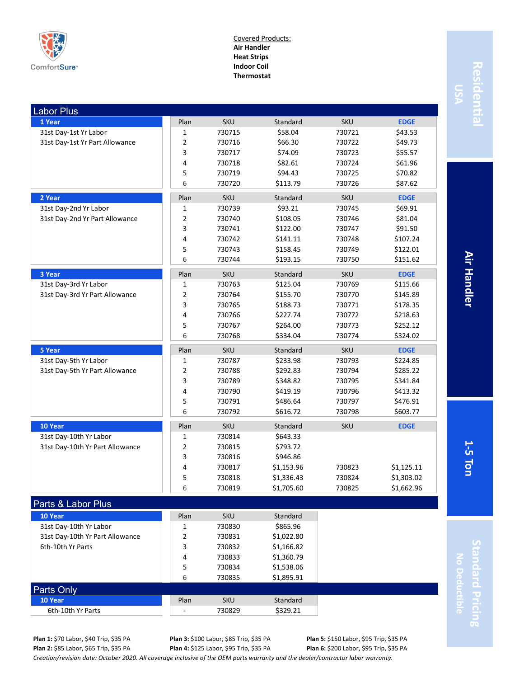

#### Covered Products: **Air Handler Heat Strips Indoor Coil Thermostat**

| Plan<br>1 Year<br><b>SKU</b><br>Standard<br><b>SKU</b><br><b>EDGE</b><br>31st Day-1st Yr Labor<br>730715<br>\$58.04<br>730721<br>\$43.53<br>1<br>$\overline{2}$<br>730716<br>\$66.30<br>730722<br>\$49.73<br>31st Day-1st Yr Part Allowance<br>3<br>730717<br>\$74.09<br>730723<br>\$55.57<br>4<br>730718<br>\$82.61<br>\$61.96<br>730724<br>5<br>730719<br>\$94.43<br>730725<br>\$70.82<br>6<br>730720<br>\$113.79<br>730726<br>\$87.62<br>2 Year<br>SKU<br>Standard<br>SKU<br><b>EDGE</b><br>Plan<br>31st Day-2nd Yr Labor<br>730739<br>\$93.21<br>730745<br>\$69.91<br>1<br>31st Day-2nd Yr Part Allowance<br>2<br>730740<br>\$108.05<br>730746<br>\$81.04<br>3<br>\$91.50<br>730741<br>\$122.00<br>730747<br>4<br>\$107.24<br>730742<br>\$141.11<br>730748<br>5<br>730743<br>\$158.45<br>730749<br>\$122.01<br>6<br>730744<br>\$193.15<br>730750<br>\$151.62<br>3 Year<br>Plan<br>SKU<br>Standard<br>SKU<br><b>EDGE</b><br>31st Day-3rd Yr Labor<br>730763<br>\$125.04<br>730769<br>\$115.66<br>1<br>$\overline{2}$<br>\$145.89<br>31st Day-3rd Yr Part Allowance<br>730764<br>\$155.70<br>730770<br>3<br>730765<br>\$188.73<br>730771<br>\$178.35<br>4<br>\$227.74<br>730766<br>730772<br>\$218.63<br>5<br>730767<br>\$264.00<br>730773<br>\$252.12<br>6<br>730768<br>\$334.04<br>730774<br>\$324.02<br>5 Year<br>Plan<br><b>SKU</b><br>Standard<br><b>SKU</b><br><b>EDGE</b><br>31st Day-5th Yr Labor<br>1<br>730787<br>\$233.98<br>730793<br>\$224.85<br>$\overline{2}$<br>\$292.83<br>\$285.22<br>31st Day-5th Yr Part Allowance<br>730788<br>730794<br>3<br>\$348.82<br>730789<br>730795<br>\$341.84<br>4<br>730790<br>\$419.19<br>730796<br>\$413.32<br>5<br>730791<br>\$486.64<br>730797<br>\$476.91<br>6<br>730792<br>\$616.72<br>730798<br>\$603.77<br>10 Year<br>Plan<br><b>SKU</b><br>Standard<br><b>SKU</b><br><b>EDGE</b><br>31st Day-10th Yr Labor<br>730814<br>1<br>\$643.33<br>$\overline{2}$<br>31st Day-10th Yr Part Allowance<br>730815<br>\$793.72<br>3<br>\$946.86<br>730816<br>4<br>730817<br>\$1,153.96<br>730823<br>\$1,125.11<br>\$1,303.02<br>5<br>730818<br>\$1,336.43<br>730824<br>6<br>730819<br>\$1,705.60<br>\$1,662.96<br>730825<br>Parts & Labor Plus<br>10 Year<br>Plan<br><b>SKU</b><br>Standard | <b>Labor Plus</b>      |   |        |          |  |
|-----------------------------------------------------------------------------------------------------------------------------------------------------------------------------------------------------------------------------------------------------------------------------------------------------------------------------------------------------------------------------------------------------------------------------------------------------------------------------------------------------------------------------------------------------------------------------------------------------------------------------------------------------------------------------------------------------------------------------------------------------------------------------------------------------------------------------------------------------------------------------------------------------------------------------------------------------------------------------------------------------------------------------------------------------------------------------------------------------------------------------------------------------------------------------------------------------------------------------------------------------------------------------------------------------------------------------------------------------------------------------------------------------------------------------------------------------------------------------------------------------------------------------------------------------------------------------------------------------------------------------------------------------------------------------------------------------------------------------------------------------------------------------------------------------------------------------------------------------------------------------------------------------------------------------------------------------------------------------------------------------------------------------------------------------------------------------------------------------------------------------------------------------------------------------------------------------------------------------------------|------------------------|---|--------|----------|--|
|                                                                                                                                                                                                                                                                                                                                                                                                                                                                                                                                                                                                                                                                                                                                                                                                                                                                                                                                                                                                                                                                                                                                                                                                                                                                                                                                                                                                                                                                                                                                                                                                                                                                                                                                                                                                                                                                                                                                                                                                                                                                                                                                                                                                                                         |                        |   |        |          |  |
|                                                                                                                                                                                                                                                                                                                                                                                                                                                                                                                                                                                                                                                                                                                                                                                                                                                                                                                                                                                                                                                                                                                                                                                                                                                                                                                                                                                                                                                                                                                                                                                                                                                                                                                                                                                                                                                                                                                                                                                                                                                                                                                                                                                                                                         |                        |   |        |          |  |
|                                                                                                                                                                                                                                                                                                                                                                                                                                                                                                                                                                                                                                                                                                                                                                                                                                                                                                                                                                                                                                                                                                                                                                                                                                                                                                                                                                                                                                                                                                                                                                                                                                                                                                                                                                                                                                                                                                                                                                                                                                                                                                                                                                                                                                         |                        |   |        |          |  |
|                                                                                                                                                                                                                                                                                                                                                                                                                                                                                                                                                                                                                                                                                                                                                                                                                                                                                                                                                                                                                                                                                                                                                                                                                                                                                                                                                                                                                                                                                                                                                                                                                                                                                                                                                                                                                                                                                                                                                                                                                                                                                                                                                                                                                                         |                        |   |        |          |  |
|                                                                                                                                                                                                                                                                                                                                                                                                                                                                                                                                                                                                                                                                                                                                                                                                                                                                                                                                                                                                                                                                                                                                                                                                                                                                                                                                                                                                                                                                                                                                                                                                                                                                                                                                                                                                                                                                                                                                                                                                                                                                                                                                                                                                                                         |                        |   |        |          |  |
|                                                                                                                                                                                                                                                                                                                                                                                                                                                                                                                                                                                                                                                                                                                                                                                                                                                                                                                                                                                                                                                                                                                                                                                                                                                                                                                                                                                                                                                                                                                                                                                                                                                                                                                                                                                                                                                                                                                                                                                                                                                                                                                                                                                                                                         |                        |   |        |          |  |
|                                                                                                                                                                                                                                                                                                                                                                                                                                                                                                                                                                                                                                                                                                                                                                                                                                                                                                                                                                                                                                                                                                                                                                                                                                                                                                                                                                                                                                                                                                                                                                                                                                                                                                                                                                                                                                                                                                                                                                                                                                                                                                                                                                                                                                         |                        |   |        |          |  |
|                                                                                                                                                                                                                                                                                                                                                                                                                                                                                                                                                                                                                                                                                                                                                                                                                                                                                                                                                                                                                                                                                                                                                                                                                                                                                                                                                                                                                                                                                                                                                                                                                                                                                                                                                                                                                                                                                                                                                                                                                                                                                                                                                                                                                                         |                        |   |        |          |  |
|                                                                                                                                                                                                                                                                                                                                                                                                                                                                                                                                                                                                                                                                                                                                                                                                                                                                                                                                                                                                                                                                                                                                                                                                                                                                                                                                                                                                                                                                                                                                                                                                                                                                                                                                                                                                                                                                                                                                                                                                                                                                                                                                                                                                                                         |                        |   |        |          |  |
|                                                                                                                                                                                                                                                                                                                                                                                                                                                                                                                                                                                                                                                                                                                                                                                                                                                                                                                                                                                                                                                                                                                                                                                                                                                                                                                                                                                                                                                                                                                                                                                                                                                                                                                                                                                                                                                                                                                                                                                                                                                                                                                                                                                                                                         |                        |   |        |          |  |
|                                                                                                                                                                                                                                                                                                                                                                                                                                                                                                                                                                                                                                                                                                                                                                                                                                                                                                                                                                                                                                                                                                                                                                                                                                                                                                                                                                                                                                                                                                                                                                                                                                                                                                                                                                                                                                                                                                                                                                                                                                                                                                                                                                                                                                         |                        |   |        |          |  |
|                                                                                                                                                                                                                                                                                                                                                                                                                                                                                                                                                                                                                                                                                                                                                                                                                                                                                                                                                                                                                                                                                                                                                                                                                                                                                                                                                                                                                                                                                                                                                                                                                                                                                                                                                                                                                                                                                                                                                                                                                                                                                                                                                                                                                                         |                        |   |        |          |  |
|                                                                                                                                                                                                                                                                                                                                                                                                                                                                                                                                                                                                                                                                                                                                                                                                                                                                                                                                                                                                                                                                                                                                                                                                                                                                                                                                                                                                                                                                                                                                                                                                                                                                                                                                                                                                                                                                                                                                                                                                                                                                                                                                                                                                                                         |                        |   |        |          |  |
|                                                                                                                                                                                                                                                                                                                                                                                                                                                                                                                                                                                                                                                                                                                                                                                                                                                                                                                                                                                                                                                                                                                                                                                                                                                                                                                                                                                                                                                                                                                                                                                                                                                                                                                                                                                                                                                                                                                                                                                                                                                                                                                                                                                                                                         |                        |   |        |          |  |
|                                                                                                                                                                                                                                                                                                                                                                                                                                                                                                                                                                                                                                                                                                                                                                                                                                                                                                                                                                                                                                                                                                                                                                                                                                                                                                                                                                                                                                                                                                                                                                                                                                                                                                                                                                                                                                                                                                                                                                                                                                                                                                                                                                                                                                         |                        |   |        |          |  |
|                                                                                                                                                                                                                                                                                                                                                                                                                                                                                                                                                                                                                                                                                                                                                                                                                                                                                                                                                                                                                                                                                                                                                                                                                                                                                                                                                                                                                                                                                                                                                                                                                                                                                                                                                                                                                                                                                                                                                                                                                                                                                                                                                                                                                                         |                        |   |        |          |  |
|                                                                                                                                                                                                                                                                                                                                                                                                                                                                                                                                                                                                                                                                                                                                                                                                                                                                                                                                                                                                                                                                                                                                                                                                                                                                                                                                                                                                                                                                                                                                                                                                                                                                                                                                                                                                                                                                                                                                                                                                                                                                                                                                                                                                                                         |                        |   |        |          |  |
|                                                                                                                                                                                                                                                                                                                                                                                                                                                                                                                                                                                                                                                                                                                                                                                                                                                                                                                                                                                                                                                                                                                                                                                                                                                                                                                                                                                                                                                                                                                                                                                                                                                                                                                                                                                                                                                                                                                                                                                                                                                                                                                                                                                                                                         |                        |   |        |          |  |
|                                                                                                                                                                                                                                                                                                                                                                                                                                                                                                                                                                                                                                                                                                                                                                                                                                                                                                                                                                                                                                                                                                                                                                                                                                                                                                                                                                                                                                                                                                                                                                                                                                                                                                                                                                                                                                                                                                                                                                                                                                                                                                                                                                                                                                         |                        |   |        |          |  |
|                                                                                                                                                                                                                                                                                                                                                                                                                                                                                                                                                                                                                                                                                                                                                                                                                                                                                                                                                                                                                                                                                                                                                                                                                                                                                                                                                                                                                                                                                                                                                                                                                                                                                                                                                                                                                                                                                                                                                                                                                                                                                                                                                                                                                                         |                        |   |        |          |  |
|                                                                                                                                                                                                                                                                                                                                                                                                                                                                                                                                                                                                                                                                                                                                                                                                                                                                                                                                                                                                                                                                                                                                                                                                                                                                                                                                                                                                                                                                                                                                                                                                                                                                                                                                                                                                                                                                                                                                                                                                                                                                                                                                                                                                                                         |                        |   |        |          |  |
|                                                                                                                                                                                                                                                                                                                                                                                                                                                                                                                                                                                                                                                                                                                                                                                                                                                                                                                                                                                                                                                                                                                                                                                                                                                                                                                                                                                                                                                                                                                                                                                                                                                                                                                                                                                                                                                                                                                                                                                                                                                                                                                                                                                                                                         |                        |   |        |          |  |
|                                                                                                                                                                                                                                                                                                                                                                                                                                                                                                                                                                                                                                                                                                                                                                                                                                                                                                                                                                                                                                                                                                                                                                                                                                                                                                                                                                                                                                                                                                                                                                                                                                                                                                                                                                                                                                                                                                                                                                                                                                                                                                                                                                                                                                         |                        |   |        |          |  |
|                                                                                                                                                                                                                                                                                                                                                                                                                                                                                                                                                                                                                                                                                                                                                                                                                                                                                                                                                                                                                                                                                                                                                                                                                                                                                                                                                                                                                                                                                                                                                                                                                                                                                                                                                                                                                                                                                                                                                                                                                                                                                                                                                                                                                                         |                        |   |        |          |  |
|                                                                                                                                                                                                                                                                                                                                                                                                                                                                                                                                                                                                                                                                                                                                                                                                                                                                                                                                                                                                                                                                                                                                                                                                                                                                                                                                                                                                                                                                                                                                                                                                                                                                                                                                                                                                                                                                                                                                                                                                                                                                                                                                                                                                                                         |                        |   |        |          |  |
|                                                                                                                                                                                                                                                                                                                                                                                                                                                                                                                                                                                                                                                                                                                                                                                                                                                                                                                                                                                                                                                                                                                                                                                                                                                                                                                                                                                                                                                                                                                                                                                                                                                                                                                                                                                                                                                                                                                                                                                                                                                                                                                                                                                                                                         |                        |   |        |          |  |
|                                                                                                                                                                                                                                                                                                                                                                                                                                                                                                                                                                                                                                                                                                                                                                                                                                                                                                                                                                                                                                                                                                                                                                                                                                                                                                                                                                                                                                                                                                                                                                                                                                                                                                                                                                                                                                                                                                                                                                                                                                                                                                                                                                                                                                         |                        |   |        |          |  |
|                                                                                                                                                                                                                                                                                                                                                                                                                                                                                                                                                                                                                                                                                                                                                                                                                                                                                                                                                                                                                                                                                                                                                                                                                                                                                                                                                                                                                                                                                                                                                                                                                                                                                                                                                                                                                                                                                                                                                                                                                                                                                                                                                                                                                                         |                        |   |        |          |  |
|                                                                                                                                                                                                                                                                                                                                                                                                                                                                                                                                                                                                                                                                                                                                                                                                                                                                                                                                                                                                                                                                                                                                                                                                                                                                                                                                                                                                                                                                                                                                                                                                                                                                                                                                                                                                                                                                                                                                                                                                                                                                                                                                                                                                                                         |                        |   |        |          |  |
|                                                                                                                                                                                                                                                                                                                                                                                                                                                                                                                                                                                                                                                                                                                                                                                                                                                                                                                                                                                                                                                                                                                                                                                                                                                                                                                                                                                                                                                                                                                                                                                                                                                                                                                                                                                                                                                                                                                                                                                                                                                                                                                                                                                                                                         |                        |   |        |          |  |
|                                                                                                                                                                                                                                                                                                                                                                                                                                                                                                                                                                                                                                                                                                                                                                                                                                                                                                                                                                                                                                                                                                                                                                                                                                                                                                                                                                                                                                                                                                                                                                                                                                                                                                                                                                                                                                                                                                                                                                                                                                                                                                                                                                                                                                         |                        |   |        |          |  |
|                                                                                                                                                                                                                                                                                                                                                                                                                                                                                                                                                                                                                                                                                                                                                                                                                                                                                                                                                                                                                                                                                                                                                                                                                                                                                                                                                                                                                                                                                                                                                                                                                                                                                                                                                                                                                                                                                                                                                                                                                                                                                                                                                                                                                                         |                        |   |        |          |  |
|                                                                                                                                                                                                                                                                                                                                                                                                                                                                                                                                                                                                                                                                                                                                                                                                                                                                                                                                                                                                                                                                                                                                                                                                                                                                                                                                                                                                                                                                                                                                                                                                                                                                                                                                                                                                                                                                                                                                                                                                                                                                                                                                                                                                                                         |                        |   |        |          |  |
|                                                                                                                                                                                                                                                                                                                                                                                                                                                                                                                                                                                                                                                                                                                                                                                                                                                                                                                                                                                                                                                                                                                                                                                                                                                                                                                                                                                                                                                                                                                                                                                                                                                                                                                                                                                                                                                                                                                                                                                                                                                                                                                                                                                                                                         |                        |   |        |          |  |
|                                                                                                                                                                                                                                                                                                                                                                                                                                                                                                                                                                                                                                                                                                                                                                                                                                                                                                                                                                                                                                                                                                                                                                                                                                                                                                                                                                                                                                                                                                                                                                                                                                                                                                                                                                                                                                                                                                                                                                                                                                                                                                                                                                                                                                         |                        |   |        |          |  |
|                                                                                                                                                                                                                                                                                                                                                                                                                                                                                                                                                                                                                                                                                                                                                                                                                                                                                                                                                                                                                                                                                                                                                                                                                                                                                                                                                                                                                                                                                                                                                                                                                                                                                                                                                                                                                                                                                                                                                                                                                                                                                                                                                                                                                                         |                        |   |        |          |  |
|                                                                                                                                                                                                                                                                                                                                                                                                                                                                                                                                                                                                                                                                                                                                                                                                                                                                                                                                                                                                                                                                                                                                                                                                                                                                                                                                                                                                                                                                                                                                                                                                                                                                                                                                                                                                                                                                                                                                                                                                                                                                                                                                                                                                                                         |                        |   |        |          |  |
|                                                                                                                                                                                                                                                                                                                                                                                                                                                                                                                                                                                                                                                                                                                                                                                                                                                                                                                                                                                                                                                                                                                                                                                                                                                                                                                                                                                                                                                                                                                                                                                                                                                                                                                                                                                                                                                                                                                                                                                                                                                                                                                                                                                                                                         | 31st Day-10th Yr Labor | 1 | 730830 | \$865.96 |  |

Residentia **Residential**

> **Air Handler 5 Ton Air Handler**

**1-**

**Standard Pricing No Deductible Indard Pricing** 

**Plan 1:** \$70 Labor, \$40 Trip, \$35 PA **Plan 2:** \$85 Labor, \$65 Trip, \$35 PA

Parts Only

**Plan 3:** \$100 Labor, \$85 Trip, \$35 PA **Plan 4:** \$125 Labor, \$95 Trip, \$35 PA

4 730833 \$1,360.79 5 730834 \$1,538.06 6 730835 \$1,895.91

> **Plan 5:** \$150 Labor, \$95 Trip, \$35 PA **Plan 6:** \$200 Labor, \$95 Trip, \$35 PA

*Creation/revision date: October 2020. All coverage inclusive of the OEM parts warranty and the dealer/contractor labor warranty.*

31st Day-10th Yr Part Allowance 2 730831 \$1,022.80 6th-10th Yr Parts **3** 730832 \$1,166.82

**10 Year** Standard **Plan** SKU Standard 6th-10th Yr Parts  $\begin{array}{|c|c|c|c|c|c|c|c|c|} \hline \text{6th-10th Yr Parts} & & \text{730829} & & \text{5329.21} \end{array}$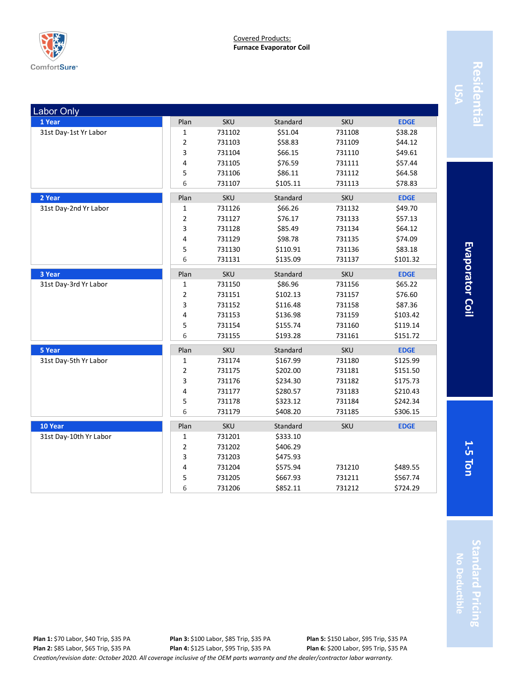

| ٠ |
|---|
|   |
|   |
|   |
|   |
|   |
|   |
|   |

**Evaporator Coil 5 Ton Evaporator Coil**

| <b>Labor Only</b>      |                |            |          |            |             |
|------------------------|----------------|------------|----------|------------|-------------|
| 1 Year                 | Plan           | <b>SKU</b> | Standard | <b>SKU</b> | <b>EDGE</b> |
| 31st Day-1st Yr Labor  | $\mathbf{1}$   | 731102     | \$51.04  | 731108     | \$38.28     |
|                        | $\overline{2}$ | 731103     | \$58.83  | 731109     | \$44.12     |
|                        | $\mathsf{3}$   | 731104     | \$66.15  | 731110     | \$49.61     |
|                        | 4              | 731105     | \$76.59  | 731111     | \$57.44     |
|                        | 5              | 731106     | \$86.11  | 731112     | \$64.58     |
|                        | 6              | 731107     | \$105.11 | 731113     | \$78.83     |
| 2 Year                 | Plan           | <b>SKU</b> | Standard | <b>SKU</b> | <b>EDGE</b> |
| 31st Day-2nd Yr Labor  | $\mathbf{1}$   | 731126     | \$66.26  | 731132     | \$49.70     |
|                        | $\overline{2}$ | 731127     | \$76.17  | 731133     | \$57.13     |
|                        | $\mathsf{3}$   | 731128     | \$85.49  | 731134     | \$64.12     |
|                        | 4              | 731129     | \$98.78  | 731135     | \$74.09     |
|                        | 5              | 731130     | \$110.91 | 731136     | \$83.18     |
|                        | 6              | 731131     | \$135.09 | 731137     | \$101.32    |
| 3 Year                 | Plan           | <b>SKU</b> | Standard | <b>SKU</b> | <b>EDGE</b> |
| 31st Day-3rd Yr Labor  | $\mathbf 1$    | 731150     | \$86.96  | 731156     | \$65.22     |
|                        | $\overline{2}$ | 731151     | \$102.13 | 731157     | \$76.60     |
|                        | 3              | 731152     | \$116.48 | 731158     | \$87.36     |
|                        | 4              | 731153     | \$136.98 | 731159     | \$103.42    |
|                        | 5              | 731154     | \$155.74 | 731160     | \$119.14    |
|                        | 6              | 731155     | \$193.28 | 731161     | \$151.72    |
| 5 Year                 | Plan           | <b>SKU</b> | Standard | <b>SKU</b> | <b>EDGE</b> |
| 31st Day-5th Yr Labor  | $\mathbf{1}$   | 731174     | \$167.99 | 731180     | \$125.99    |
|                        | $\overline{2}$ | 731175     | \$202.00 | 731181     | \$151.50    |
|                        | 3              | 731176     | \$234.30 | 731182     | \$175.73    |
|                        | 4              | 731177     | \$280.57 | 731183     | \$210.43    |
|                        | 5              | 731178     | \$323.12 | 731184     | \$242.34    |
|                        | 6              | 731179     | \$408.20 | 731185     | \$306.15    |
| 10 Year                | Plan           | <b>SKU</b> | Standard | <b>SKU</b> | <b>EDGE</b> |
| 31st Day-10th Yr Labor | 1              | 731201     | \$333.10 |            |             |
|                        | $\overline{2}$ | 731202     | \$406.29 |            |             |
|                        | $\mathsf{3}$   | 731203     | \$475.93 |            |             |
|                        | 4              | 731204     | \$575.94 | 731210     | \$489.55    |
|                        | 5              | 731205     | \$667.93 | 731211     | \$567.74    |
|                        | 6              | 731206     | \$852.11 | 731212     | \$724.29    |
|                        |                |            |          |            |             |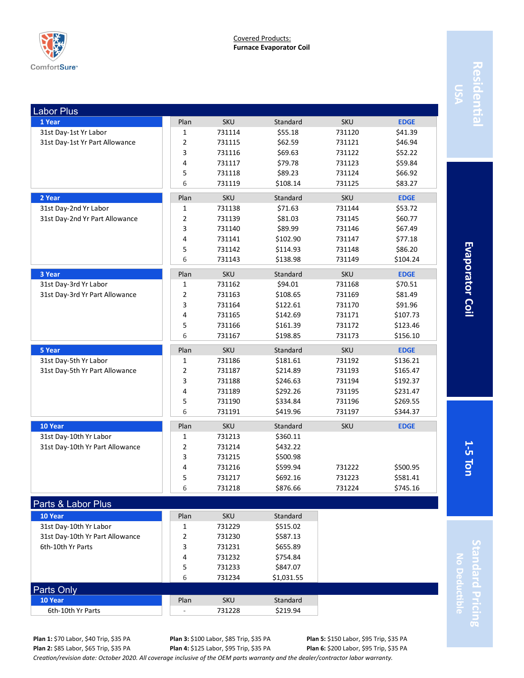

| <b>Labor Plus</b>               |                |            |            |            |             |
|---------------------------------|----------------|------------|------------|------------|-------------|
| 1 Year                          | Plan           | <b>SKU</b> | Standard   | <b>SKU</b> | <b>EDGE</b> |
| 31st Day-1st Yr Labor           | 1              | 731114     | \$55.18    | 731120     | \$41.39     |
| 31st Day-1st Yr Part Allowance  | 2              | 731115     | \$62.59    | 731121     | \$46.94     |
|                                 | 3              | 731116     | \$69.63    | 731122     | \$52.22     |
|                                 | 4              | 731117     | \$79.78    | 731123     | \$59.84     |
|                                 | 5              | 731118     | \$89.23    | 731124     | \$66.92     |
|                                 | 6              | 731119     | \$108.14   | 731125     | \$83.27     |
| 2 Year                          | Plan           | <b>SKU</b> | Standard   | SKU        | <b>EDGE</b> |
| 31st Day-2nd Yr Labor           | 1              | 731138     | \$71.63    | 731144     | \$53.72     |
| 31st Day-2nd Yr Part Allowance  | 2              | 731139     | \$81.03    | 731145     | \$60.77     |
|                                 | 3              | 731140     | \$89.99    | 731146     | \$67.49     |
|                                 | 4              | 731141     | \$102.90   | 731147     | \$77.18     |
|                                 | 5              | 731142     | \$114.93   | 731148     | \$86.20     |
|                                 | 6              | 731143     | \$138.98   | 731149     | \$104.24    |
| 3 Year                          | Plan           | <b>SKU</b> | Standard   | <b>SKU</b> | <b>EDGE</b> |
| 31st Day-3rd Yr Labor           | 1              | 731162     | \$94.01    | 731168     | \$70.51     |
| 31st Day-3rd Yr Part Allowance  | $\overline{2}$ | 731163     | \$108.65   | 731169     | \$81.49     |
|                                 | 3              | 731164     | \$122.61   | 731170     | \$91.96     |
|                                 | 4              | 731165     | \$142.69   | 731171     | \$107.73    |
|                                 | 5              | 731166     | \$161.39   | 731172     | \$123.46    |
|                                 | 6              | 731167     | \$198.85   | 731173     | \$156.10    |
| 5 Year                          | Plan           | <b>SKU</b> | Standard   | <b>SKU</b> | <b>EDGE</b> |
| 31st Day-5th Yr Labor           | 1              | 731186     | \$181.61   | 731192     | \$136.21    |
| 31st Day-5th Yr Part Allowance  | 2              | 731187     | \$214.89   | 731193     | \$165.47    |
|                                 | 3              | 731188     | \$246.63   | 731194     | \$192.37    |
|                                 | $\sqrt{4}$     | 731189     | \$292.26   | 731195     | \$231.47    |
|                                 | 5              | 731190     | \$334.84   | 731196     | \$269.55    |
|                                 | 6              | 731191     | \$419.96   | 731197     | \$344.37    |
| 10 Year                         | Plan           | <b>SKU</b> | Standard   | <b>SKU</b> | <b>EDGE</b> |
| 31st Day-10th Yr Labor          | 1              | 731213     | \$360.11   |            |             |
| 31st Day-10th Yr Part Allowance | 2              | 731214     | \$432.22   |            |             |
|                                 | 3              | 731215     | \$500.98   |            |             |
|                                 | 4              | 731216     | \$599.94   | 731222     | \$500.95    |
|                                 | 5              | 731217     | \$692.16   | 731223     | \$581.41    |
|                                 | 6              | 731218     | \$876.66   | 731224     | \$745.16    |
| Parts & Labor Plus              |                |            |            |            |             |
| 10 Year                         | Plan           | <b>SKU</b> | Standard   |            |             |
| 31st Day-10th Yr Labor          | $\mathbf 1$    | 731229     | \$515.02   |            |             |
| 31st Day-10th Yr Part Allowance | 2              | 731230     | \$587.13   |            |             |
| 6th-10th Yr Parts               | 3              | 731231     | \$655.89   |            |             |
|                                 | 4              | 731232     | \$754.84   |            |             |
|                                 | 5              | 731233     | \$847.07   |            |             |
|                                 | 6              | 731234     | \$1,031.55 |            |             |
| Parts Only                      |                |            |            |            |             |
| 10 Year                         | Plan           | <b>SKU</b> | Standard   |            |             |

**Evaporator Coil 5 Ton Evaporator Coil**

**1-**

**Standard Pricing Standard Pricing No Deductible**

*Creation/revision date: October 2020. All coverage inclusive of the OEM parts warranty and the dealer/contractor labor warranty.* **Plan 3:** \$100 Labor, \$85 Trip, \$35 PA **Plan 4:** \$125 Labor, \$95 Trip, \$35 PA

6th-10th Yr Parts - 731228 \$219.94

**Plan 5:** \$150 Labor, \$95 Trip, \$35 PA **Plan 6:** \$200 Labor, \$95 Trip, \$35 PA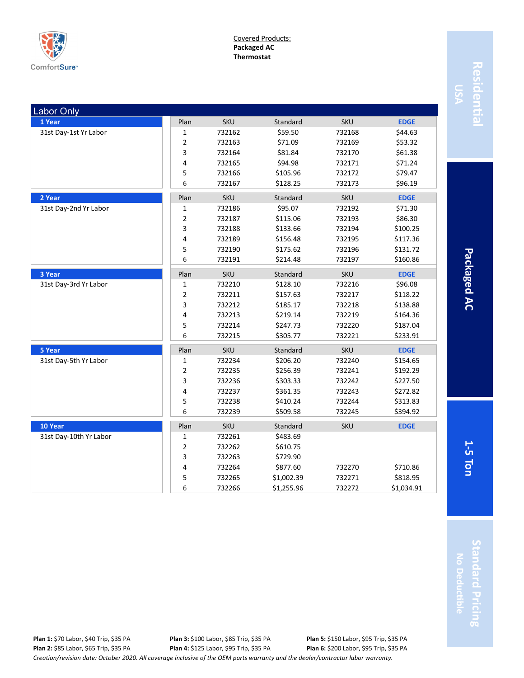

Covered Products: **Packaged AC Thermostat**

| <b>Labor Only</b>      |                         |            |            |            |             |
|------------------------|-------------------------|------------|------------|------------|-------------|
| 1 Year                 | Plan                    | <b>SKU</b> | Standard   | <b>SKU</b> | <b>EDGE</b> |
| 31st Day-1st Yr Labor  | 1                       | 732162     | \$59.50    | 732168     | \$44.63     |
|                        | 2                       | 732163     | \$71.09    | 732169     | \$53.32     |
|                        | 3                       | 732164     | \$81.84    | 732170     | \$61.38     |
|                        | 4                       | 732165     | \$94.98    | 732171     | \$71.24     |
|                        | 5                       | 732166     | \$105.96   | 732172     | \$79.47     |
|                        | 6                       | 732167     | \$128.25   | 732173     | \$96.19     |
| 2 Year                 | Plan                    | SKU        | Standard   | SKU        | <b>EDGE</b> |
| 31st Day-2nd Yr Labor  | 1                       | 732186     | \$95.07    | 732192     | \$71.30     |
|                        | 2                       | 732187     | \$115.06   | 732193     | \$86.30     |
|                        | 3                       | 732188     | \$133.66   | 732194     | \$100.25    |
|                        | 4                       | 732189     | \$156.48   | 732195     | \$117.36    |
|                        | 5                       | 732190     | \$175.62   | 732196     | \$131.72    |
|                        | 6                       | 732191     | \$214.48   | 732197     | \$160.86    |
| 3 Year                 | Plan                    | <b>SKU</b> | Standard   | SKU        | <b>EDGE</b> |
| 31st Day-3rd Yr Labor  | 1                       | 732210     | \$128.10   | 732216     | \$96.08     |
|                        | 2                       | 732211     | \$157.63   | 732217     | \$118.22    |
|                        | 3                       | 732212     | \$185.17   | 732218     | \$138.88    |
|                        | 4                       | 732213     | \$219.14   | 732219     | \$164.36    |
|                        | 5                       | 732214     | \$247.73   | 732220     | \$187.04    |
|                        | 6                       | 732215     | \$305.77   | 732221     | \$233.91    |
| 5 Year                 | Plan                    | <b>SKU</b> | Standard   | <b>SKU</b> | <b>EDGE</b> |
| 31st Day-5th Yr Labor  | 1                       | 732234     | \$206.20   | 732240     | \$154.65    |
|                        | $\overline{\mathbf{c}}$ | 732235     | \$256.39   | 732241     | \$192.29    |
|                        | 3                       | 732236     | \$303.33   | 732242     | \$227.50    |
|                        | 4                       | 732237     | \$361.35   | 732243     | \$272.82    |
|                        | 5                       | 732238     | \$410.24   | 732244     | \$313.83    |
|                        | 6                       | 732239     | \$509.58   | 732245     | \$394.92    |
| 10 Year                | Plan                    | SKU        | Standard   | SKU        | <b>EDGE</b> |
| 31st Day-10th Yr Labor | 1                       | 732261     | \$483.69   |            |             |
|                        | 2                       | 732262     | \$610.75   |            |             |
|                        | 3                       | 732263     | \$729.90   |            |             |
|                        | 4                       | 732264     | \$877.60   | 732270     | \$710.86    |
|                        | 5                       | 732265     | \$1,002.39 | 732271     | \$818.95    |
|                        | 6                       | 732266     | \$1,255.96 | 732272     | \$1,034.91  |

Residentia **Residential**

> Packaged AC **5 Ton Packaged AC**

**1-**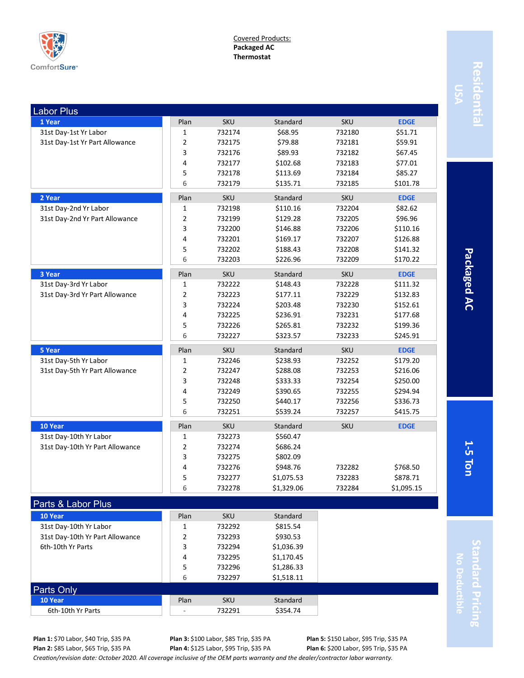

Covered Products: **Packaged AC Thermostat**

| <b>Labor Plus</b>                 |                |                      |                      |            |             |
|-----------------------------------|----------------|----------------------|----------------------|------------|-------------|
| 1 Year                            | Plan           | <b>SKU</b>           | Standard             | <b>SKU</b> | <b>EDGE</b> |
| 31st Day-1st Yr Labor             | 1              | 732174               | \$68.95              | 732180     | \$51.71     |
| 31st Day-1st Yr Part Allowance    | $\overline{2}$ | 732175               | \$79.88              | 732181     | \$59.91     |
|                                   | 3              | 732176               | \$89.93              | 732182     | \$67.45     |
|                                   | 4              | 732177               | \$102.68             | 732183     | \$77.01     |
|                                   | 5              | 732178               | \$113.69             | 732184     | \$85.27     |
|                                   | 6              | 732179               | \$135.71             | 732185     | \$101.78    |
| 2 Year                            | Plan           | <b>SKU</b>           | Standard             | <b>SKU</b> | <b>EDGE</b> |
| 31st Day-2nd Yr Labor             | $\mathbf 1$    | 732198               | \$110.16             | 732204     | \$82.62     |
| 31st Day-2nd Yr Part Allowance    | $\overline{2}$ | 732199               | \$129.28             | 732205     | \$96.96     |
|                                   | 3              | 732200               | \$146.88             | 732206     | \$110.16    |
|                                   | 4              | 732201               | \$169.17             | 732207     | \$126.88    |
|                                   | 5              | 732202               | \$188.43             | 732208     | \$141.32    |
|                                   | 6              | 732203               | \$226.96             | 732209     | \$170.22    |
| 3 Year                            | Plan           | <b>SKU</b>           | Standard             | <b>SKU</b> | <b>EDGE</b> |
| 31st Day-3rd Yr Labor             | 1              | 732222               | \$148.43             | 732228     | \$111.32    |
| 31st Day-3rd Yr Part Allowance    | $\overline{2}$ | 732223               | \$177.11             | 732229     | \$132.83    |
|                                   | 3              | 732224               | \$203.48             | 732230     | \$152.61    |
|                                   | 4              | 732225               | \$236.91             | 732231     | \$177.68    |
|                                   | 5              | 732226               | \$265.81             | 732232     | \$199.36    |
|                                   | 6              | 732227               | \$323.57             | 732233     | \$245.91    |
| 5 Year                            | Plan           | <b>SKU</b>           | Standard             | <b>SKU</b> | <b>EDGE</b> |
| 31st Day-5th Yr Labor             | $\mathbf 1$    | 732246               | \$238.93             | 732252     | \$179.20    |
| 31st Day-5th Yr Part Allowance    | $\overline{2}$ | 732247               | \$288.08             | 732253     | \$216.06    |
|                                   | 3              | 732248               | \$333.33             | 732254     | \$250.00    |
|                                   | 4              | 732249               | \$390.65             | 732255     | \$294.94    |
|                                   | 5              | 732250               | \$440.17             | 732256     | \$336.73    |
|                                   | 6              | 732251               | \$539.24             | 732257     | \$415.75    |
| 10 Year                           | Plan           | <b>SKU</b>           | Standard             | <b>SKU</b> | <b>EDGE</b> |
| 31st Day-10th Yr Labor            | $\mathbf{1}$   | 732273               | \$560.47             |            |             |
| 31st Day-10th Yr Part Allowance   | $\overline{2}$ | 732274               | \$686.24             |            |             |
|                                   | 3              | 732275               | \$802.09             |            |             |
|                                   | 4              | 732276               | \$948.76             | 732282     | \$768.50    |
|                                   | 5              | 732277               | \$1,075.53           | 732283     | \$878.71    |
|                                   | 6              | 732278               | \$1,329.06           | 732284     | \$1,095.15  |
| Parts & Labor Plus                |                |                      |                      |            |             |
|                                   |                |                      |                      |            |             |
|                                   |                |                      |                      |            |             |
| 10 Year<br>31st Day-10th Yr Labor | Plan<br>1      | <b>SKU</b><br>732292 | Standard<br>\$815.54 |            |             |

**Residential** Residenti

Packaged AC **5 Ton Packaged AC**

**1-**

**Standard Pricing** tandard Pricing **No Deductible**

Parts Only

*Creation/revision date: October 2020. All coverage inclusive of the OEM parts warranty and the dealer/contractor labor warranty.* **Plan 3:** \$100 Labor, \$85 Trip, \$35 PA **Plan 4:** \$125 Labor, \$95 Trip, \$35 PA

4 732295 \$1,170.45 5 732296 \$1,286.33 6 732297 \$1,518.11

6th-10th Yr Parts **3** 732294 \$1,036.39

**10 Year** Standard **Plan** SKU Standard 6th-10th Yr Parts  $\begin{array}{|c|c|c|c|c|c|c|c|c|} \hline \text{6th-10th Yr Parts} & & \text{732291} & & \text{5354.74} \ \hline \end{array}$ 

> **Plan 5:** \$150 Labor, \$95 Trip, \$35 PA **Plan 6:** \$200 Labor, \$95 Trip, \$35 PA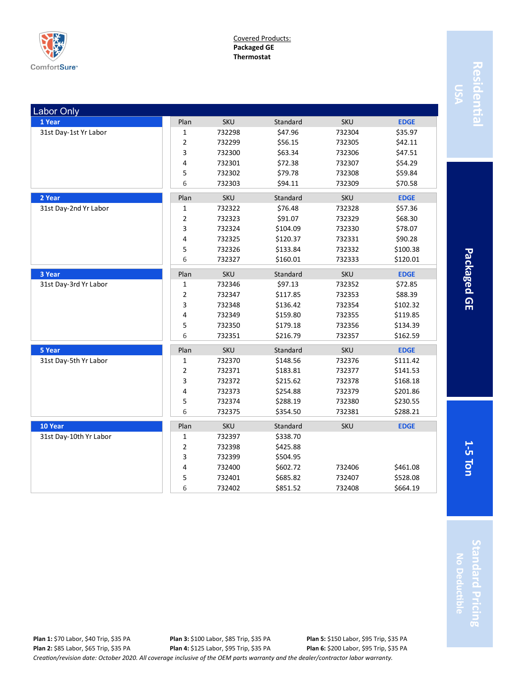

Covered Products: **Packaged GE Thermostat**

| <b>Labor Only</b>      |                         |            |          |            |             |
|------------------------|-------------------------|------------|----------|------------|-------------|
| 1 Year                 | Plan                    | <b>SKU</b> | Standard | <b>SKU</b> | <b>EDGE</b> |
| 31st Day-1st Yr Labor  | 1                       | 732298     | \$47.96  | 732304     | \$35.97     |
|                        | 2                       | 732299     | \$56.15  | 732305     | \$42.11     |
|                        | 3                       | 732300     | \$63.34  | 732306     | \$47.51     |
|                        | 4                       | 732301     | \$72.38  | 732307     | \$54.29     |
|                        | 5                       | 732302     | \$79.78  | 732308     | \$59.84     |
|                        | 6                       | 732303     | \$94.11  | 732309     | \$70.58     |
| 2 Year                 | Plan                    | <b>SKU</b> | Standard | SKU        | <b>EDGE</b> |
| 31st Day-2nd Yr Labor  | 1                       | 732322     | \$76.48  | 732328     | \$57.36     |
|                        | $\overline{\mathbf{c}}$ | 732323     | \$91.07  | 732329     | \$68.30     |
|                        | 3                       | 732324     | \$104.09 | 732330     | \$78.07     |
|                        | 4                       | 732325     | \$120.37 | 732331     | \$90.28     |
|                        | 5                       | 732326     | \$133.84 | 732332     | \$100.38    |
|                        | 6                       | 732327     | \$160.01 | 732333     | \$120.01    |
| 3 Year                 | Plan                    | SKU        | Standard | SKU        | <b>EDGE</b> |
| 31st Day-3rd Yr Labor  | $\mathbf 1$             | 732346     | \$97.13  | 732352     | \$72.85     |
|                        | 2                       | 732347     | \$117.85 | 732353     | \$88.39     |
|                        | 3                       | 732348     | \$136.42 | 732354     | \$102.32    |
|                        | 4                       | 732349     | \$159.80 | 732355     | \$119.85    |
|                        | 5                       | 732350     | \$179.18 | 732356     | \$134.39    |
|                        | 6                       | 732351     | \$216.79 | 732357     | \$162.59    |
| 5 Year                 | Plan                    | <b>SKU</b> | Standard | <b>SKU</b> | <b>EDGE</b> |
| 31st Day-5th Yr Labor  | 1                       | 732370     | \$148.56 | 732376     | \$111.42    |
|                        | 2                       | 732371     | \$183.81 | 732377     | \$141.53    |
|                        | 3                       | 732372     | \$215.62 | 732378     | \$168.18    |
|                        | 4                       | 732373     | \$254.88 | 732379     | \$201.86    |
|                        | 5                       | 732374     | \$288.19 | 732380     | \$230.55    |
|                        | 6                       | 732375     | \$354.50 | 732381     | \$288.21    |
| 10 Year                | Plan                    | <b>SKU</b> | Standard | SKU        | <b>EDGE</b> |
| 31st Day-10th Yr Labor | 1                       | 732397     | \$338.70 |            |             |
|                        | $\overline{\mathbf{c}}$ | 732398     | \$425.88 |            |             |
|                        | 3                       | 732399     | \$504.95 |            |             |
|                        | 4                       | 732400     | \$602.72 | 732406     | \$461.08    |
|                        | 5                       | 732401     | \$685.82 | 732407     | \$528.08    |
|                        | 6                       | 732402     | \$851.52 | 732408     | \$664.19    |

Residentia **Residential**

> Packaged GE **5 Ton Packaged GE**

**1-**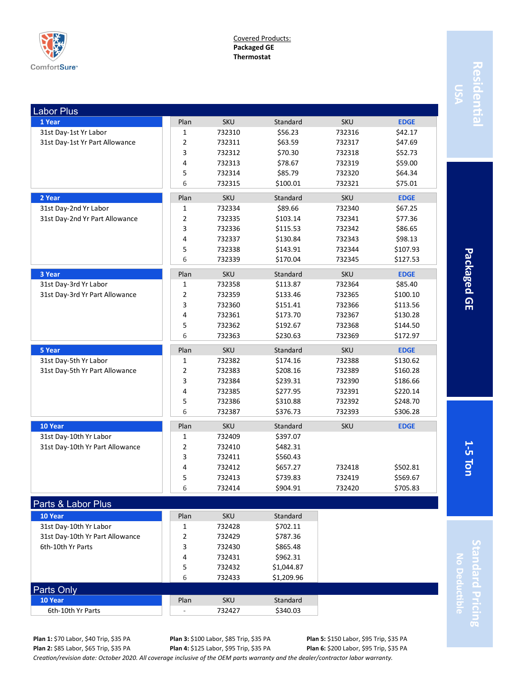

Covered Products: **Packaged GE Thermostat**

| <b>Labor Plus</b>               |                |            |          |            |             |
|---------------------------------|----------------|------------|----------|------------|-------------|
| 1 Year                          | Plan           | <b>SKU</b> | Standard | <b>SKU</b> | <b>EDGE</b> |
| 31st Day-1st Yr Labor           | $\mathbf{1}$   | 732310     | \$56.23  | 732316     | \$42.17     |
| 31st Day-1st Yr Part Allowance  | $\overline{2}$ | 732311     | \$63.59  | 732317     | \$47.69     |
|                                 | 3              | 732312     | \$70.30  | 732318     | \$52.73     |
|                                 | 4              | 732313     | \$78.67  | 732319     | \$59.00     |
|                                 | 5              | 732314     | \$85.79  | 732320     | \$64.34     |
|                                 | 6              | 732315     | \$100.01 | 732321     | \$75.01     |
| 2 Year                          | Plan           | <b>SKU</b> | Standard | <b>SKU</b> | <b>EDGE</b> |
| 31st Day-2nd Yr Labor           | $\mathbf{1}$   | 732334     | \$89.66  | 732340     | \$67.25     |
| 31st Day-2nd Yr Part Allowance  | $\mathbf 2$    | 732335     | \$103.14 | 732341     | \$77.36     |
|                                 | 3              | 732336     | \$115.53 | 732342     | \$86.65     |
|                                 | 4              | 732337     | \$130.84 | 732343     | \$98.13     |
|                                 | 5              | 732338     | \$143.91 | 732344     | \$107.93    |
|                                 | 6              | 732339     | \$170.04 | 732345     | \$127.53    |
| 3 Year                          | Plan           | <b>SKU</b> | Standard | <b>SKU</b> | <b>EDGE</b> |
| 31st Day-3rd Yr Labor           | $\mathbf{1}$   | 732358     | \$113.87 | 732364     | \$85.40     |
| 31st Day-3rd Yr Part Allowance  | $\overline{2}$ | 732359     | \$133.46 | 732365     | \$100.10    |
|                                 | 3              | 732360     | \$151.41 | 732366     | \$113.56    |
|                                 | 4              | 732361     | \$173.70 | 732367     | \$130.28    |
|                                 | 5              | 732362     | \$192.67 | 732368     | \$144.50    |
|                                 | 6              | 732363     | \$230.63 | 732369     | \$172.97    |
| 5 Year                          | Plan           | <b>SKU</b> | Standard | <b>SKU</b> | <b>EDGE</b> |
| 31st Day-5th Yr Labor           | 1              | 732382     | \$174.16 | 732388     | \$130.62    |
| 31st Day-5th Yr Part Allowance  | $\overline{2}$ | 732383     | \$208.16 | 732389     | \$160.28    |
|                                 | 3              | 732384     | \$239.31 | 732390     | \$186.66    |
|                                 | 4              | 732385     | \$277.95 | 732391     | \$220.14    |
|                                 | 5              | 732386     | \$310.88 | 732392     | \$248.70    |
|                                 | 6              | 732387     | \$376.73 | 732393     | \$306.28    |
| 10 Year                         | Plan           | <b>SKU</b> | Standard | <b>SKU</b> | <b>EDGE</b> |
| 31st Day-10th Yr Labor          | $\mathbf{1}$   | 732409     | \$397.07 |            |             |
| 31st Day-10th Yr Part Allowance | $\overline{2}$ | 732410     | \$482.31 |            |             |
|                                 | 3              | 732411     | \$560.43 |            |             |
|                                 | 4              | 732412     | \$657.27 | 732418     | \$502.81    |
|                                 | 5              | 732413     | \$739.83 | 732419     | \$569.67    |
|                                 | 6              | 732414     | \$904.91 | 732420     | \$705.83    |
| Parts & Labor Plus              |                |            |          |            |             |
| 10 Year                         | Plan           | <b>SKU</b> | Standard |            |             |
| 31st Day-10th Yr Labor          | 1              | 732428     | \$702.11 |            |             |

Residenti **Residential**

> Packaged GE **5 Ton Packaged GE**

**1-**

**Standard Pricing** tandard Pricing **No Deductible**

Parts Only

**Plan 3:** \$100 Labor, \$85 Trip, \$35 PA **Plan 4:** \$125 Labor, \$95 Trip, \$35 PA

4 732431 \$962.31 5 732432 \$1,044.87 6 732433 \$1,209.96

31st Day-10th Yr Part Allowance 2 2 732429 \$787.36 6th-10th Yr Parts **3 732430** \$865.48

**10 Year** Standard **Plan** SKU Standard 6th-10th Yr Parts  $\begin{array}{|c|c|c|c|c|c|c|c|c|} \hline \text{6th-10th Yr Parts} & & \text{732427} & & \text{5340.03} \ \hline \end{array}$ 

> **Plan 5:** \$150 Labor, \$95 Trip, \$35 PA **Plan 6:** \$200 Labor, \$95 Trip, \$35 PA

*Creation/revision date: October 2020. All coverage inclusive of the OEM parts warranty and the dealer/contractor labor warranty.*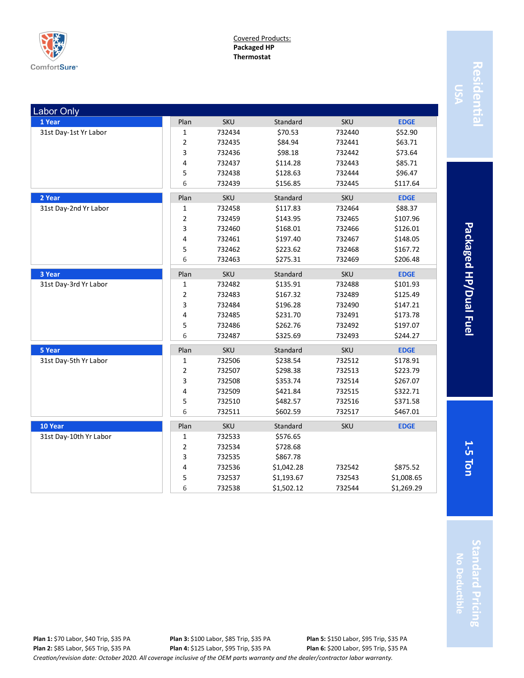

Covered Products: **Packaged HP Thermostat**

| <b>Labor Only</b>      |                |            |            |            |             |
|------------------------|----------------|------------|------------|------------|-------------|
| 1 Year                 | Plan           | <b>SKU</b> | Standard   | <b>SKU</b> | <b>EDGE</b> |
| 31st Day-1st Yr Labor  | 1              | 732434     | \$70.53    | 732440     | \$52.90     |
|                        | $\overline{2}$ | 732435     | \$84.94    | 732441     | \$63.71     |
|                        | 3              | 732436     | \$98.18    | 732442     | \$73.64     |
|                        | 4              | 732437     | \$114.28   | 732443     | \$85.71     |
|                        | 5              | 732438     | \$128.63   | 732444     | \$96.47     |
|                        | 6              | 732439     | \$156.85   | 732445     | \$117.64    |
| 2 Year                 | Plan           | <b>SKU</b> | Standard   | <b>SKU</b> | <b>EDGE</b> |
| 31st Day-2nd Yr Labor  | $\mathbf 1$    | 732458     | \$117.83   | 732464     | \$88.37     |
|                        | $\overline{2}$ | 732459     | \$143.95   | 732465     | \$107.96    |
|                        | 3              | 732460     | \$168.01   | 732466     | \$126.01    |
|                        | 4              | 732461     | \$197.40   | 732467     | \$148.05    |
|                        | 5              | 732462     | \$223.62   | 732468     | \$167.72    |
|                        | 6              | 732463     | \$275.31   | 732469     | \$206.48    |
| 3 Year                 | Plan           | <b>SKU</b> | Standard   | SKU        | <b>EDGE</b> |
| 31st Day-3rd Yr Labor  | 1              | 732482     | \$135.91   | 732488     | \$101.93    |
|                        | $\overline{2}$ | 732483     | \$167.32   | 732489     | \$125.49    |
|                        | 3              | 732484     | \$196.28   | 732490     | \$147.21    |
|                        | 4              | 732485     | \$231.70   | 732491     | \$173.78    |
|                        | 5              | 732486     | \$262.76   | 732492     | \$197.07    |
|                        | 6              | 732487     | \$325.69   | 732493     | \$244.27    |
| 5 Year                 | Plan           | <b>SKU</b> | Standard   | <b>SKU</b> | <b>EDGE</b> |
| 31st Day-5th Yr Labor  | 1              | 732506     | \$238.54   | 732512     | \$178.91    |
|                        | $\overline{2}$ | 732507     | \$298.38   | 732513     | \$223.79    |
|                        | 3              | 732508     | \$353.74   | 732514     | \$267.07    |
|                        | 4              | 732509     | \$421.84   | 732515     | \$322.71    |
|                        | 5              | 732510     | \$482.57   | 732516     | \$371.58    |
|                        | 6              | 732511     | \$602.59   | 732517     | \$467.01    |
| 10 Year                | Plan           | <b>SKU</b> | Standard   | <b>SKU</b> | <b>EDGE</b> |
| 31st Day-10th Yr Labor | $\mathbf 1$    | 732533     | \$576.65   |            |             |
|                        | $\overline{2}$ | 732534     | \$728.68   |            |             |
|                        | 3              | 732535     | \$867.78   |            |             |
|                        | 4              | 732536     | \$1,042.28 | 732542     | \$875.52    |
|                        | 5              | 732537     | \$1,193.67 | 732543     | \$1,008.65  |
|                        | 6              | 732538     | \$1,502.12 | 732544     | \$1,269.29  |

Residentia **Residential**

> Packaged HP/Dual Fuel **5 Ton Packaged HP/Dual Fuel**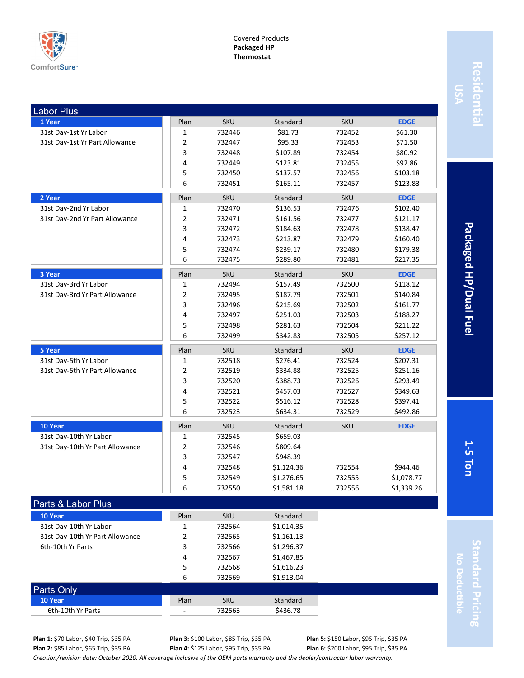

Covered Products: **Packaged HP Thermostat**

| <b>Labor Plus</b>               |                |            |            |            |             |
|---------------------------------|----------------|------------|------------|------------|-------------|
| 1 Year                          | Plan           | <b>SKU</b> | Standard   | <b>SKU</b> | <b>EDGE</b> |
| 31st Day-1st Yr Labor           | 1              | 732446     | \$81.73    | 732452     | \$61.30     |
| 31st Day-1st Yr Part Allowance  | 2              | 732447     | \$95.33    | 732453     | \$71.50     |
|                                 | 3              | 732448     | \$107.89   | 732454     | \$80.92     |
|                                 | 4              | 732449     | \$123.81   | 732455     | \$92.86     |
|                                 | 5              | 732450     | \$137.57   | 732456     | \$103.18    |
|                                 | 6              | 732451     | \$165.11   | 732457     | \$123.83    |
| 2 Year                          | Plan           | <b>SKU</b> | Standard   | <b>SKU</b> | <b>EDGE</b> |
| 31st Day-2nd Yr Labor           | 1              | 732470     | \$136.53   | 732476     | \$102.40    |
| 31st Day-2nd Yr Part Allowance  | $\overline{2}$ | 732471     | \$161.56   | 732477     | \$121.17    |
|                                 | 3              | 732472     | \$184.63   | 732478     | \$138.47    |
|                                 | 4              | 732473     | \$213.87   | 732479     | \$160.40    |
|                                 | 5              | 732474     | \$239.17   | 732480     | \$179.38    |
|                                 | 6              | 732475     | \$289.80   | 732481     | \$217.35    |
| 3 Year                          | Plan           | <b>SKU</b> | Standard   | SKU        | <b>EDGE</b> |
| 31st Day-3rd Yr Labor           | 1              | 732494     | \$157.49   | 732500     | \$118.12    |
| 31st Day-3rd Yr Part Allowance  | 2              | 732495     | \$187.79   | 732501     | \$140.84    |
|                                 | 3              | 732496     | \$215.69   | 732502     | \$161.77    |
|                                 | 4              | 732497     | \$251.03   | 732503     | \$188.27    |
|                                 | 5              | 732498     | \$281.63   | 732504     | \$211.22    |
|                                 | 6              | 732499     | \$342.83   | 732505     | \$257.12    |
| 5 Year                          | Plan           | SKU        | Standard   | SKU        | <b>EDGE</b> |
| 31st Day-5th Yr Labor           | 1              | 732518     | \$276.41   | 732524     | \$207.31    |
| 31st Day-5th Yr Part Allowance  | 2              | 732519     | \$334.88   | 732525     | \$251.16    |
|                                 | 3              | 732520     | \$388.73   | 732526     | \$293.49    |
|                                 | 4              | 732521     | \$457.03   | 732527     | \$349.63    |
|                                 | 5              | 732522     | \$516.12   | 732528     | \$397.41    |
|                                 | 6              | 732523     | \$634.31   | 732529     | \$492.86    |
| 10 Year                         | Plan           | <b>SKU</b> | Standard   | <b>SKU</b> | <b>EDGE</b> |
| 31st Day-10th Yr Labor          | 1              | 732545     | \$659.03   |            |             |
| 31st Day-10th Yr Part Allowance | 2              | 732546     | \$809.64   |            |             |
|                                 | 3              | 732547     | \$948.39   |            |             |
|                                 | 4              | 732548     | \$1,124.36 | 732554     | \$944.46    |
|                                 | 5              | 732549     | \$1,276.65 | 732555     | \$1,078.77  |
|                                 | 6              | 732550     | \$1,581.18 | 732556     | \$1,339.26  |
| Parts & Labor Plus              |                |            |            |            |             |
| 10 Year                         | Plan           | <b>SKU</b> | Standard   |            |             |
| 31st Day-10th Yr Labor          | 1              | 732564     | \$1,014.35 |            |             |
| 31st Day-10th Yr Part Allowance | 2              | 732565     | \$1,161.13 |            |             |
| 6th-10th Yr Parts               | 3              | 732566     | \$1,296.37 |            |             |
|                                 | 4              | 732567     | \$1,467.85 |            |             |

**Residential** Residenti

Packaged HP/Dual Fuel **5 Ton Packaged HP/Dual Fuel**

**1-**

**Standard Pricing** tandard Pricing **No Deductible**

**10 Year** Standard **Plan** SKU Standard 6th-10th Yr Parts  $\begin{array}{|c|c|c|c|c|c|c|c|c|} \hline \text{6th-10th Yr Parts} & & \text{732563} & & \text{5436.78} \ \hline \end{array}$ 

Parts Only

**Plan 3:** \$100 Labor, \$85 Trip, \$35 PA **Plan 4:** \$125 Labor, \$95 Trip, \$35 PA

5 732568 \$1,616.23 6 732569 \$1,913.04

> **Plan 5:** \$150 Labor, \$95 Trip, \$35 PA **Plan 6:** \$200 Labor, \$95 Trip, \$35 PA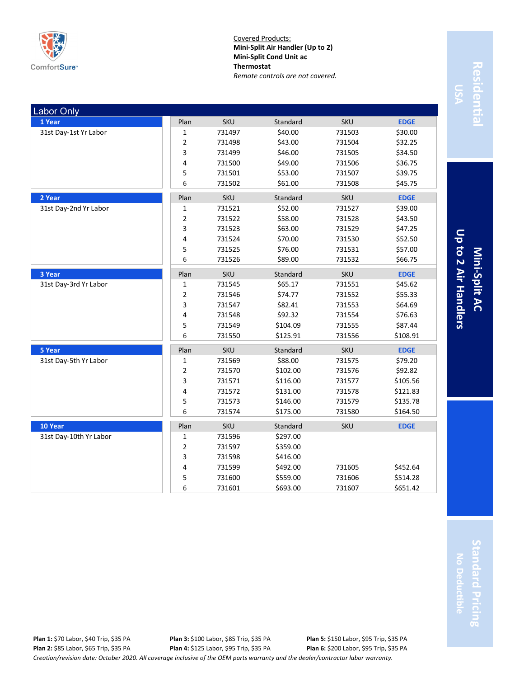

Covered Products: **Mini-Split Air Handler (Up to 2) Mini-Split Cond Unit ac Thermostat** *Remote controls are not covered.*

| <b>Labor Only</b>      |                |            |          |            |             |
|------------------------|----------------|------------|----------|------------|-------------|
| 1 Year                 | Plan           | <b>SKU</b> | Standard | <b>SKU</b> | <b>EDGE</b> |
| 31st Day-1st Yr Labor  | 1              | 731497     | \$40.00  | 731503     | \$30.00     |
|                        | $\overline{2}$ | 731498     | \$43.00  | 731504     | \$32.25     |
|                        | 3              | 731499     | \$46.00  | 731505     | \$34.50     |
|                        | 4              | 731500     | \$49.00  | 731506     | \$36.75     |
|                        | 5              | 731501     | \$53.00  | 731507     | \$39.75     |
|                        | 6              | 731502     | \$61.00  | 731508     | \$45.75     |
| 2 Year                 | Plan           | <b>SKU</b> | Standard | <b>SKU</b> | <b>EDGE</b> |
| 31st Day-2nd Yr Labor  | $\mathbf{1}$   | 731521     | \$52.00  | 731527     | \$39.00     |
|                        | $\mathbf 2$    | 731522     | \$58.00  | 731528     | \$43.50     |
|                        | 3              | 731523     | \$63.00  | 731529     | \$47.25     |
|                        | 4              | 731524     | \$70.00  | 731530     | \$52.50     |
|                        | 5              | 731525     | \$76.00  | 731531     | \$57.00     |
|                        | 6              | 731526     | \$89.00  | 731532     | \$66.75     |
| 3 Year                 | Plan           | <b>SKU</b> | Standard | <b>SKU</b> | <b>EDGE</b> |
| 31st Day-3rd Yr Labor  | 1              | 731545     | \$65.17  | 731551     | \$45.62     |
|                        | $\mathbf 2$    | 731546     | \$74.77  | 731552     | \$55.33     |
|                        | 3              | 731547     | \$82.41  | 731553     | \$64.69     |
|                        | 4              | 731548     | \$92.32  | 731554     | \$76.63     |
|                        | 5              | 731549     | \$104.09 | 731555     | \$87.44     |
|                        | 6              | 731550     | \$125.91 | 731556     | \$108.91    |
| 5 Year                 | Plan           | <b>SKU</b> | Standard | <b>SKU</b> | <b>EDGE</b> |
| 31st Day-5th Yr Labor  | $\mathbf{1}$   | 731569     | \$88.00  | 731575     | \$79.20     |
|                        | $\overline{2}$ | 731570     | \$102.00 | 731576     | \$92.82     |
|                        | 3              | 731571     | \$116.00 | 731577     | \$105.56    |
|                        | 4              | 731572     | \$131.00 | 731578     | \$121.83    |
|                        | 5              | 731573     | \$146.00 | 731579     | \$135.78    |
|                        | 6              | 731574     | \$175.00 | 731580     | \$164.50    |
| 10 Year                | Plan           | <b>SKU</b> | Standard | <b>SKU</b> | <b>EDGE</b> |
| 31st Day-10th Yr Labor | 1              | 731596     | \$297.00 |            |             |
|                        | $\overline{2}$ | 731597     | \$359.00 |            |             |
|                        | 3              | 731598     | \$416.00 |            |             |
|                        | 4              | 731599     | \$492.00 | 731605     | \$452.64    |
|                        | 5              | 731600     | \$559.00 | 731606     | \$514.28    |
|                        | 6              | 731601     | \$693.00 | 731607     | \$651.42    |

Residentia **Residential**

Up to 2 Air Handlers **Up to 2 Air Handlers Mini-Split AC**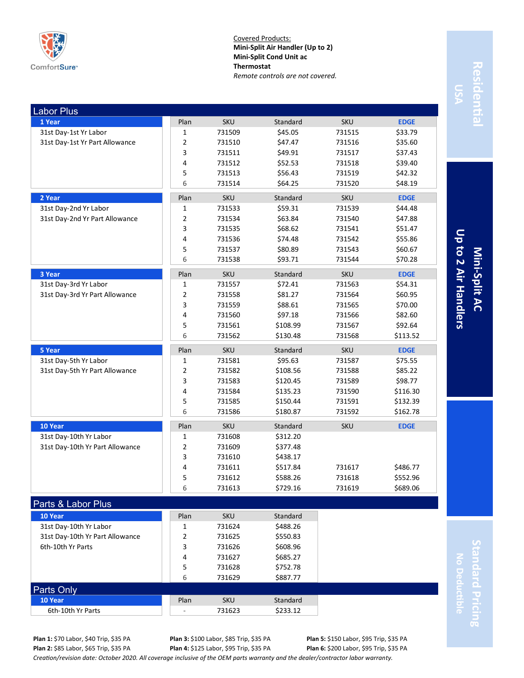

Covered Products: **Mini-Split Air Handler (Up to 2) Mini-Split Cond Unit ac Thermostat** *Remote controls are not covered.*

| <b>Labor Plus</b>               |                         |            |          |            |             |
|---------------------------------|-------------------------|------------|----------|------------|-------------|
| 1 Year                          | Plan                    | <b>SKU</b> | Standard | <b>SKU</b> | <b>EDGE</b> |
| 31st Day-1st Yr Labor           | $\mathbf 1$             | 731509     | \$45.05  | 731515     | \$33.79     |
| 31st Day-1st Yr Part Allowance  | $\overline{\mathbf{c}}$ | 731510     | \$47.47  | 731516     | \$35.60     |
|                                 | 3                       | 731511     | \$49.91  | 731517     | \$37.43     |
|                                 | 4                       | 731512     | \$52.53  | 731518     | \$39.40     |
|                                 | 5                       | 731513     | \$56.43  | 731519     | \$42.32     |
|                                 | 6                       | 731514     | \$64.25  | 731520     | \$48.19     |
| 2 Year                          | Plan                    | <b>SKU</b> | Standard | <b>SKU</b> | <b>EDGE</b> |
| 31st Day-2nd Yr Labor           | 1                       | 731533     | \$59.31  | 731539     | \$44.48     |
| 31st Day-2nd Yr Part Allowance  | 2                       | 731534     | \$63.84  | 731540     | \$47.88     |
|                                 | 3                       | 731535     | \$68.62  | 731541     | \$51.47     |
|                                 | 4                       | 731536     | \$74.48  | 731542     | \$55.86     |
|                                 | 5                       | 731537     | \$80.89  | 731543     | \$60.67     |
|                                 | 6                       | 731538     | \$93.71  | 731544     | \$70.28     |
| 3 Year                          | Plan                    | <b>SKU</b> | Standard | <b>SKU</b> | <b>EDGE</b> |
| 31st Day-3rd Yr Labor           | 1                       | 731557     | \$72.41  | 731563     | \$54.31     |
| 31st Day-3rd Yr Part Allowance  | $\overline{2}$          | 731558     | \$81.27  | 731564     | \$60.95     |
|                                 | 3                       | 731559     | \$88.61  | 731565     | \$70.00     |
|                                 | 4                       | 731560     | \$97.18  | 731566     | \$82.60     |
|                                 | 5                       | 731561     | \$108.99 | 731567     | \$92.64     |
|                                 | 6                       | 731562     | \$130.48 | 731568     | \$113.52    |
| 5 Year                          | Plan                    | <b>SKU</b> | Standard | <b>SKU</b> | <b>EDGE</b> |
| 31st Day-5th Yr Labor           | $\mathbf{1}$            | 731581     | \$95.63  | 731587     | \$75.55     |
| 31st Day-5th Yr Part Allowance  | $\overline{2}$          | 731582     | \$108.56 | 731588     | \$85.22     |
|                                 | 3                       | 731583     | \$120.45 | 731589     | \$98.77     |
|                                 | 4                       | 731584     | \$135.23 | 731590     | \$116.30    |
|                                 | 5                       | 731585     | \$150.44 | 731591     | \$132.39    |
|                                 | 6                       | 731586     | \$180.87 | 731592     | \$162.78    |
| 10 Year                         | Plan                    | <b>SKU</b> | Standard | <b>SKU</b> | <b>EDGE</b> |
| 31st Day-10th Yr Labor          | 1                       | 731608     | \$312.20 |            |             |
| 31st Day-10th Yr Part Allowance | 2                       | 731609     | \$377.48 |            |             |
|                                 | 3                       | 731610     | \$438.17 |            |             |
|                                 | 4                       | 731611     | \$517.84 | 731617     | \$486.77    |
|                                 | 5                       | 731612     | \$588.26 | 731618     | \$552.96    |
|                                 | 6                       | 731613     | \$729.16 | 731619     | \$689.06    |
| Parts & Labor Plus              |                         |            |          |            |             |
| 10 Year                         | Plan                    | <b>SKU</b> | Standard |            |             |
| 31st Day-10th Yr Labor          | 1                       | 731624     | \$488.26 |            |             |
| 31st Day-10th Yr Part Allowance | $\overline{2}$          | 731625     | \$550.83 |            |             |
| 6th-10th Yr Parts               | 3                       | 731626     | \$608.96 |            |             |

Residentia **Residential**

Up to 2 Air Handlers **Up to 2 Air Handlers Mini-Split AC**

> **Standard Pricing** tandard Pricing **No Deductible**

**Plan 1:** \$70 Labor, \$40 Trip, \$35 PA **Plan 2:** \$85 Labor, \$65 Trip, \$35 PA

Parts Only

*Creation/revision date: October 2020. All coverage inclusive of the OEM parts warranty and the dealer/contractor labor warranty.* **Plan 4:** \$125 Labor, \$95 Trip, \$35 PA

**10 Year** Standard **Plan** SKU Standard 6th-10th Yr Parts  $\begin{array}{|c|c|c|c|c|c|c|c|c|} \hline \text{6th-10th Yr Parts} & & \text{731623} & & \text{5233.12} \ \hline \end{array}$ 

**Plan 3:** \$100 Labor, \$85 Trip, \$35 PA

4 731627 \$685.27 5 731628 \$752.78 6 731629 \$887.77

**Plan 6:** \$200 Labor, \$95 Trip, \$35 PA

**Plan 5:** \$150 Labor, \$95 Trip, \$35 PA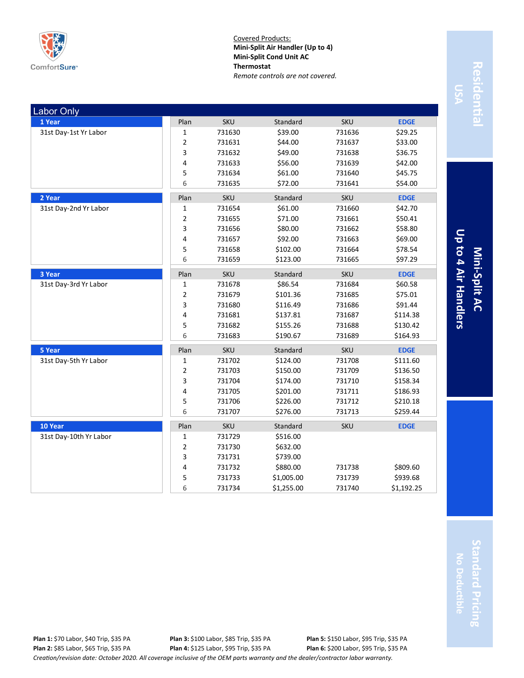

Covered Products: **Mini-Split Air Handler (Up to 4) Mini-Split Cond Unit AC Thermostat** *Remote controls are not covered.*

| <b>Labor Only</b>      |                |            |            |            |             |
|------------------------|----------------|------------|------------|------------|-------------|
| 1 Year                 | Plan           | <b>SKU</b> | Standard   | <b>SKU</b> | <b>EDGE</b> |
| 31st Day-1st Yr Labor  | 1              | 731630     | \$39.00    | 731636     | \$29.25     |
|                        | $\overline{2}$ | 731631     | \$44.00    | 731637     | \$33.00     |
|                        | 3              | 731632     | \$49.00    | 731638     | \$36.75     |
|                        | 4              | 731633     | \$56.00    | 731639     | \$42.00     |
|                        | 5              | 731634     | \$61.00    | 731640     | \$45.75     |
|                        | 6              | 731635     | \$72.00    | 731641     | \$54.00     |
| 2 Year                 | Plan           | SKU        | Standard   | <b>SKU</b> | <b>EDGE</b> |
| 31st Day-2nd Yr Labor  | $\mathbf{1}$   | 731654     | \$61.00    | 731660     | \$42.70     |
|                        | $\overline{2}$ | 731655     | \$71.00    | 731661     | \$50.41     |
|                        | 3              | 731656     | \$80.00    | 731662     | \$58.80     |
|                        | 4              | 731657     | \$92.00    | 731663     | \$69.00     |
|                        | 5              | 731658     | \$102.00   | 731664     | \$78.54     |
|                        | 6              | 731659     | \$123.00   | 731665     | \$97.29     |
| 3 Year                 | Plan           | <b>SKU</b> | Standard   | <b>SKU</b> | <b>EDGE</b> |
| 31st Day-3rd Yr Labor  | 1              | 731678     | \$86.54    | 731684     | \$60.58     |
|                        | $\overline{2}$ | 731679     | \$101.36   | 731685     | \$75.01     |
|                        | 3              | 731680     | \$116.49   | 731686     | \$91.44     |
|                        | 4              | 731681     | \$137.81   | 731687     | \$114.38    |
|                        | 5              | 731682     | \$155.26   | 731688     | \$130.42    |
|                        | 6              | 731683     | \$190.67   | 731689     | \$164.93    |
| 5 Year                 | Plan           | SKU        | Standard   | <b>SKU</b> | <b>EDGE</b> |
| 31st Day-5th Yr Labor  | $\mathbf{1}$   | 731702     | \$124.00   | 731708     | \$111.60    |
|                        | $\overline{2}$ | 731703     | \$150.00   | 731709     | \$136.50    |
|                        | 3              | 731704     | \$174.00   | 731710     | \$158.34    |
|                        | 4              | 731705     | \$201.00   | 731711     | \$186.93    |
|                        | 5              | 731706     | \$226.00   | 731712     | \$210.18    |
|                        | 6              | 731707     | \$276.00   | 731713     | \$259.44    |
| 10 Year                | Plan           | <b>SKU</b> | Standard   | <b>SKU</b> | <b>EDGE</b> |
| 31st Day-10th Yr Labor | 1              | 731729     | \$516.00   |            |             |
|                        | $\overline{2}$ | 731730     | \$632.00   |            |             |
|                        | 3              | 731731     | \$739.00   |            |             |
|                        | 4              | 731732     | \$880.00   | 731738     | \$809.60    |
|                        | 5              | 731733     | \$1,005.00 | 731739     | \$939.68    |
|                        | 6              | 731734     | \$1,255.00 | 731740     | \$1,192.25  |

Residentia **Residential**

Up to 4 Air Handlers **Up to 4 Air Handlers Mini-Split AC**

**Standard Pricing tandard Pricing No Deductible**

*Creation/revision date: October 2020. All coverage inclusive of the OEM parts warranty and the dealer/contractor labor warranty.* **Plan 1:** \$70 Labor, \$40 Trip, \$35 PA **Plan 2:** \$85 Labor, \$65 Trip, \$35 PA **Plan 3:** \$100 Labor, \$85 Trip, \$35 PA **Plan 4:** \$125 Labor, \$95 Trip, \$35 PA **Plan 5:** \$150 Labor, \$95 Trip, \$35 PA **Plan 6:** \$200 Labor, \$95 Trip, \$35 PA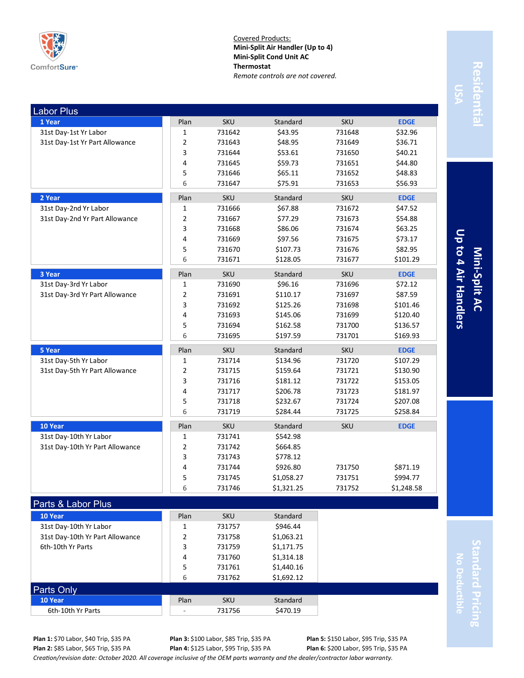

Covered Products: **Mini-Split Air Handler (Up to 4) Mini-Split Cond Unit AC Thermostat** *Remote controls are not covered.*

| <b>Labor Plus</b>               |                |            |            |            |             |
|---------------------------------|----------------|------------|------------|------------|-------------|
| 1 Year                          | Plan           | <b>SKU</b> | Standard   | <b>SKU</b> | <b>EDGE</b> |
| 31st Day-1st Yr Labor           | $\mathbf 1$    | 731642     | \$43.95    | 731648     | \$32.96     |
| 31st Day-1st Yr Part Allowance  | 2              | 731643     | \$48.95    | 731649     | \$36.71     |
|                                 | 3              | 731644     | \$53.61    | 731650     | \$40.21     |
|                                 | 4              | 731645     | \$59.73    | 731651     | \$44.80     |
|                                 | 5              | 731646     | \$65.11    | 731652     | \$48.83     |
|                                 | 6              | 731647     | \$75.91    | 731653     | \$56.93     |
| 2 Year                          | Plan           | <b>SKU</b> | Standard   | <b>SKU</b> | <b>EDGE</b> |
| 31st Day-2nd Yr Labor           | $\mathbf{1}$   | 731666     | \$67.88    | 731672     | \$47.52     |
| 31st Day-2nd Yr Part Allowance  | $\overline{2}$ | 731667     | \$77.29    | 731673     | \$54.88     |
|                                 | 3              | 731668     | \$86.06    | 731674     | \$63.25     |
|                                 | 4              | 731669     | \$97.56    | 731675     | \$73.17     |
|                                 | 5              | 731670     | \$107.73   | 731676     | \$82.95     |
|                                 | 6              | 731671     | \$128.05   | 731677     | \$101.29    |
| 3 Year                          | Plan           | <b>SKU</b> | Standard   | SKU        | <b>EDGE</b> |
| 31st Day-3rd Yr Labor           | $\mathbf{1}$   | 731690     | \$96.16    | 731696     | \$72.12     |
| 31st Day-3rd Yr Part Allowance  | 2              | 731691     | \$110.17   | 731697     | \$87.59     |
|                                 | 3              | 731692     | \$125.26   | 731698     | \$101.46    |
|                                 | 4              | 731693     | \$145.06   | 731699     | \$120.40    |
|                                 | 5              | 731694     | \$162.58   | 731700     | \$136.57    |
|                                 | 6              | 731695     | \$197.59   | 731701     | \$169.93    |
| 5 Year                          | Plan           | <b>SKU</b> | Standard   | <b>SKU</b> | <b>EDGE</b> |
| 31st Day-5th Yr Labor           | 1              | 731714     | \$134.96   | 731720     | \$107.29    |
| 31st Day-5th Yr Part Allowance  | 2              | 731715     | \$159.64   | 731721     | \$130.90    |
|                                 | 3              | 731716     | \$181.12   | 731722     | \$153.05    |
|                                 | 4              | 731717     | \$206.78   | 731723     | \$181.97    |
|                                 | 5              | 731718     | \$232.67   | 731724     | \$207.08    |
|                                 | 6              | 731719     | \$284.44   | 731725     | \$258.84    |
| 10 Year                         | Plan           | <b>SKU</b> | Standard   | <b>SKU</b> | <b>EDGE</b> |
| 31st Day-10th Yr Labor          | $\mathbf{1}$   | 731741     | \$542.98   |            |             |
| 31st Day-10th Yr Part Allowance | $\overline{2}$ | 731742     | \$664.85   |            |             |
|                                 | 3              | 731743     | \$778.12   |            |             |
|                                 | 4              | 731744     | \$926.80   | 731750     | \$871.19    |
|                                 | 5              | 731745     | \$1,058.27 | 731751     | \$994.77    |
|                                 | 6              | 731746     | \$1,321.25 | 731752     | \$1,248.58  |
| Parts & Labor Plus              |                |            |            |            |             |
| 10 Year                         | Plan           | <b>SKU</b> | Standard   |            |             |
| 31st Day-10th Yr Labor          | 1              | 731757     | \$946.44   |            |             |
| 31st Day-10th Yr Part Allowance | 2              | 731758     | \$1,063.21 |            |             |

# **Residential** Residentia

Up to 4 Air Handlers **Up to 4 Air Handlers Mini-Split AC**

> **Standard Pricing** tandard Pricing **No Deductible**

**Plan 1:** \$70 Labor, \$40 Trip, \$35 PA **Plan 2:** \$85 Labor, \$65 Trip, \$35 PA

Parts Only

**Plan 3:** \$100 Labor, \$85 Trip, \$35 PA **Plan 4:** \$125 Labor, \$95 Trip, \$35 PA

4 731760 \$1,314.18 5 731761 \$1,440.16 6 731762 \$1,692.12

> **Plan 5:** \$150 Labor, \$95 Trip, \$35 PA **Plan 6:** \$200 Labor, \$95 Trip, \$35 PA

*Creation/revision date: October 2020. All coverage inclusive of the OEM parts warranty and the dealer/contractor labor warranty.*

6th-10th Yr Parts **3** 731759 \$1,171.75

**10 Year** Standard **Plan** SKU Standard 6th-10th Yr Parts - 731756 \$470.19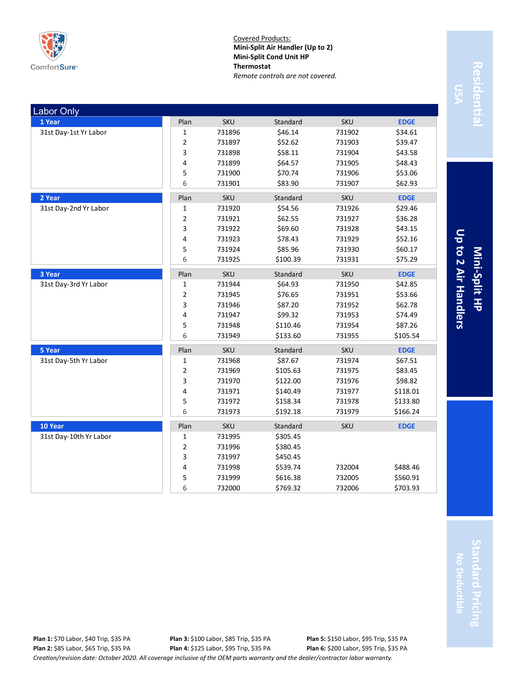

Covered Products: **Mini-Split Air Handler (Up to 2) Mini-Split Cond Unit HP Thermostat** *Remote controls are not covered.*

| <b>Labor Only</b>      |                         |            |          |            |             |
|------------------------|-------------------------|------------|----------|------------|-------------|
| 1 Year                 | Plan                    | <b>SKU</b> | Standard | <b>SKU</b> | <b>EDGE</b> |
| 31st Day-1st Yr Labor  | 1                       | 731896     | \$46.14  | 731902     | \$34.61     |
|                        | $\overline{\mathbf{c}}$ | 731897     | \$52.62  | 731903     | \$39.47     |
|                        | 3                       | 731898     | \$58.11  | 731904     | \$43.58     |
|                        | 4                       | 731899     | \$64.57  | 731905     | \$48.43     |
|                        | 5                       | 731900     | \$70.74  | 731906     | \$53.06     |
|                        | 6                       | 731901     | \$83.90  | 731907     | \$62.93     |
| 2 Year                 | Plan                    | <b>SKU</b> | Standard | SKU        | <b>EDGE</b> |
| 31st Day-2nd Yr Labor  | 1                       | 731920     | \$54.56  | 731926     | \$29.46     |
|                        | 2                       | 731921     | \$62.55  | 731927     | \$36.28     |
|                        | 3                       | 731922     | \$69.60  | 731928     | \$43.15     |
|                        | 4                       | 731923     | \$78.43  | 731929     | \$52.16     |
|                        | 5                       | 731924     | \$85.96  | 731930     | \$60.17     |
|                        | 6                       | 731925     | \$100.39 | 731931     | \$75.29     |
| 3 Year                 | Plan                    | <b>SKU</b> | Standard | <b>SKU</b> | <b>EDGE</b> |
| 31st Day-3rd Yr Labor  | 1                       | 731944     | \$64.93  | 731950     | \$42.85     |
|                        | 2                       | 731945     | \$76.65  | 731951     | \$53.66     |
|                        | 3                       | 731946     | \$87.20  | 731952     | \$62.78     |
|                        | 4                       | 731947     | \$99.32  | 731953     | \$74.49     |
|                        | 5                       | 731948     | \$110.46 | 731954     | \$87.26     |
|                        | 6                       | 731949     | \$133.60 | 731955     | \$105.54    |
| 5 Year                 | Plan                    | <b>SKU</b> | Standard | SKU        | <b>EDGE</b> |
| 31st Day-5th Yr Labor  | 1                       | 731968     | \$87.67  | 731974     | \$67.51     |
|                        | $\overline{\mathbf{c}}$ | 731969     | \$105.63 | 731975     | \$83.45     |
|                        | 3                       | 731970     | \$122.00 | 731976     | \$98.82     |
|                        | 4                       | 731971     | \$140.49 | 731977     | \$118.01    |
|                        | 5                       | 731972     | \$158.34 | 731978     | \$133.80    |
|                        | 6                       | 731973     | \$192.18 | 731979     | \$166.24    |
| 10 Year                | Plan                    | <b>SKU</b> | Standard | <b>SKU</b> | <b>EDGE</b> |
| 31st Day-10th Yr Labor | 1                       | 731995     | \$305.45 |            |             |
|                        | 2                       | 731996     | \$380.45 |            |             |
|                        | 3                       | 731997     | \$450.45 |            |             |
|                        | 4                       | 731998     | \$539.74 | 732004     | \$488.46    |
|                        | 5                       | 731999     | \$616.38 | 732005     | \$560.91    |
|                        | 6                       | 732000     | \$769.32 | 732006     | \$703.93    |

Residentia **Residential**

Up to 2 Air Handlers **Up to 2 Air Handlers Mini-Split HP**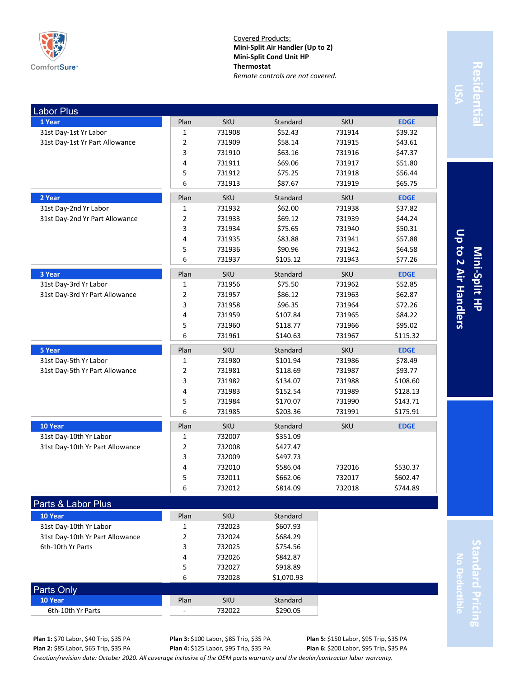

Covered Products: **Mini-Split Air Handler (Up to 2) Mini-Split Cond Unit HP Thermostat** *Remote controls are not covered.*

| <b>Labor Plus</b>               |                      |                  |                      |            |                      |
|---------------------------------|----------------------|------------------|----------------------|------------|----------------------|
| 1 Year                          | Plan                 | <b>SKU</b>       | Standard             | <b>SKU</b> | <b>EDGE</b>          |
| 31st Day-1st Yr Labor           | 1                    | 731908           | \$52.43              | 731914     | \$39.32              |
| 31st Day-1st Yr Part Allowance  | 2                    | 731909           | \$58.14              | 731915     | \$43.61              |
|                                 | 3                    | 731910           | \$63.16              | 731916     | \$47.37              |
|                                 | 4                    | 731911           | \$69.06              | 731917     | \$51.80              |
|                                 | 5                    | 731912           | \$75.25              | 731918     | \$56.44              |
|                                 | 6                    | 731913           | \$87.67              | 731919     | \$65.75              |
| 2 Year                          | Plan                 | <b>SKU</b>       | Standard             | <b>SKU</b> | <b>EDGE</b>          |
| 31st Day-2nd Yr Labor           | 1                    | 731932           | \$62.00              | 731938     | \$37.82              |
| 31st Day-2nd Yr Part Allowance  | 2                    | 731933           | \$69.12              | 731939     | \$44.24              |
|                                 | 3                    | 731934           | \$75.65              | 731940     | \$50.31              |
|                                 | 4                    | 731935           | \$83.88              | 731941     | \$57.88              |
|                                 | 5                    | 731936           | \$90.96              | 731942     | \$64.58              |
|                                 | 6                    | 731937           | \$105.12             | 731943     | \$77.26              |
| 3 Year                          | Plan                 | <b>SKU</b>       | Standard             | <b>SKU</b> | <b>EDGE</b>          |
| 31st Day-3rd Yr Labor           | $\mathbf 1$          | 731956           | \$75.50              | 731962     | \$52.85              |
| 31st Day-3rd Yr Part Allowance  | 2                    | 731957           | \$86.12              | 731963     | \$62.87              |
|                                 | 3                    | 731958           | \$96.35              | 731964     | \$72.26              |
|                                 | 4                    | 731959           | \$107.84             | 731965     | \$84.22              |
|                                 | 5                    | 731960           | \$118.77             | 731966     | \$95.02              |
|                                 | 6                    | 731961           | \$140.63             | 731967     | \$115.32             |
| 5 Year                          | Plan                 | SKU              | Standard             | <b>SKU</b> | <b>EDGE</b>          |
| 31st Day-5th Yr Labor           | 1                    | 731980           | \$101.94             | 731986     | \$78.49              |
| 31st Day-5th Yr Part Allowance  | 2                    | 731981           | \$118.69             | 731987     | \$93.77              |
|                                 |                      |                  |                      |            |                      |
|                                 | 3                    | 731982           | \$134.07             | 731988     | \$108.60             |
|                                 | 4                    | 731983           | \$152.54             | 731989     | \$128.13             |
|                                 | 5                    | 731984           | \$170.07             | 731990     | \$143.71             |
|                                 | 6                    | 731985           | \$203.36             | 731991     | \$175.91             |
|                                 |                      |                  |                      | <b>SKU</b> | <b>EDGE</b>          |
| 10 Year                         | Plan<br>$\mathbf{1}$ | <b>SKU</b>       | Standard             |            |                      |
| 31st Day-10th Yr Labor          |                      | 732007           | \$351.09             |            |                      |
| 31st Day-10th Yr Part Allowance | 2<br>3               | 732008<br>732009 | \$427.47<br>\$497.73 |            |                      |
|                                 | 4                    | 732010           | \$586.04             | 732016     | \$530.37             |
|                                 | 5                    | 732011           | \$662.06             | 732017     |                      |
|                                 | 6                    | 732012           | \$814.09             | 732018     | \$602.47<br>\$744.89 |
|                                 |                      |                  |                      |            |                      |
| Parts & Labor Plus              |                      |                  |                      |            |                      |
| 10 Year                         | Plan                 | <b>SKU</b>       | Standard             |            |                      |
| 31st Day-10th Yr Labor          | 1                    | 732023           | \$607.93             |            |                      |
| 31st Day-10th Yr Part Allowance | $\overline{2}$       | 732024           | \$684.29             |            |                      |
| 6th-10th Yr Parts               | 3                    | 732025           | \$754.56             |            |                      |
|                                 | 4<br>5               | 732026<br>732027 | \$842.87<br>\$918.89 |            |                      |

Up to 2 Air Handlers **Up to 2 Air Handlers Mini-Split HP**

**Standard Pricing** tandard Pricing **No Deductible**

**Plan 1:** \$70 Labor, \$40 Trip, \$35 PA **Plan 2:** \$85 Labor, \$65 Trip, \$35 PA

Parts Only

**Plan 3:** \$100 Labor, \$85 Trip, \$35 PA **Plan 4:** \$125 Labor, \$95 Trip, \$35 PA

6 732028 \$1,070.93

**Plan 5:** \$150 Labor, \$95 Trip, \$35 PA **Plan 6:** \$200 Labor, \$95 Trip, \$35 PA

*Creation/revision date: October 2020. All coverage inclusive of the OEM parts warranty and the dealer/contractor labor warranty.*

**10 Year** Standard **Plan** SKU Standard 6th-10th Yr Parts  $\begin{array}{|c|c|c|c|c|c|c|c|c|}\n\hline\n\text{6th-10th Yr Parts} & & & \text{732022} & & \text{5290.05} \\
\hline\n\end{array}$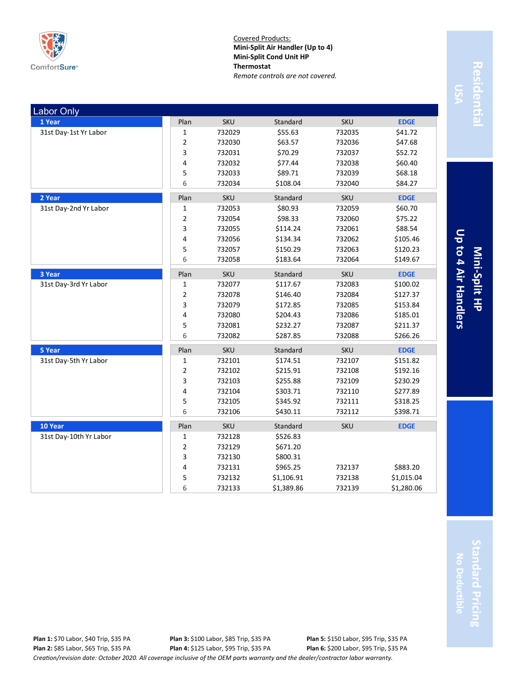

Covered Products: **Mini-Split Air Handler (Up to 4) Mini-Split Cond Unit HP Thermostat** *Remote controls are not covered.*

| <b>Labor Only</b>      |                |            |            |            |             |
|------------------------|----------------|------------|------------|------------|-------------|
| 1 Year                 | Plan           | <b>SKU</b> | Standard   | <b>SKU</b> | <b>EDGE</b> |
| 31st Day-1st Yr Labor  | $\mathbf 1$    | 732029     | \$55.63    | 732035     | \$41.72     |
|                        | $\mathbf 2$    | 732030     | \$63.57    | 732036     | \$47.68     |
|                        | 3              | 732031     | \$70.29    | 732037     | \$52.72     |
|                        | 4              | 732032     | \$77.44    | 732038     | \$60.40     |
|                        | 5              | 732033     | \$89.71    | 732039     | \$68.18     |
|                        | 6              | 732034     | \$108.04   | 732040     | \$84.27     |
| 2 Year                 | Plan           | SKU        | Standard   | <b>SKU</b> | <b>EDGE</b> |
| 31st Day-2nd Yr Labor  | 1              | 732053     | \$80.93    | 732059     | \$60.70     |
|                        | $\overline{2}$ | 732054     | \$98.33    | 732060     | \$75.22     |
|                        | 3              | 732055     | \$114.24   | 732061     | \$88.54     |
|                        | 4              | 732056     | \$134.34   | 732062     | \$105.46    |
|                        | 5              | 732057     | \$150.29   | 732063     | \$120.23    |
|                        | 6              | 732058     | \$183.64   | 732064     | \$149.67    |
| 3 Year                 | Plan           | <b>SKU</b> | Standard   | <b>SKU</b> | <b>EDGE</b> |
| 31st Day-3rd Yr Labor  | $\mathbf 1$    | 732077     | \$117.67   | 732083     | \$100.02    |
|                        | $\overline{2}$ | 732078     | \$146.40   | 732084     | \$127.37    |
|                        | 3              | 732079     | \$172.85   | 732085     | \$153.84    |
|                        | 4              | 732080     | \$204.43   | 732086     | \$185.01    |
|                        | 5              | 732081     | \$232.27   | 732087     | \$211.37    |
|                        | 6              | 732082     | \$287.85   | 732088     | \$266.26    |
| 5 Year                 | Plan           | SKU        | Standard   | <b>SKU</b> | <b>EDGE</b> |
| 31st Day-5th Yr Labor  | $\mathbf{1}$   | 732101     | \$174.51   | 732107     | \$151.82    |
|                        | $\mathbf 2$    | 732102     | \$215.91   | 732108     | \$192.16    |
|                        | $\mathsf{3}$   | 732103     | \$255.88   | 732109     | \$230.29    |
|                        | 4              | 732104     | \$303.71   | 732110     | \$277.89    |
|                        | 5              | 732105     | \$345.92   | 732111     | \$318.25    |
|                        | 6              | 732106     | \$430.11   | 732112     | \$398.71    |
| 10 Year                | Plan           | <b>SKU</b> | Standard   | <b>SKU</b> | <b>EDGE</b> |
| 31st Day-10th Yr Labor | $\mathbf{1}$   | 732128     | \$526.83   |            |             |
|                        | $\mathbf 2$    | 732129     | \$671.20   |            |             |
|                        | 3              | 732130     | \$800.31   |            |             |
|                        | 4              | 732131     | \$965.25   | 732137     | \$883.20    |
|                        | 5              | 732132     | \$1,106.91 | 732138     | \$1,015.04  |
|                        | 6              | 732133     | \$1,389.86 | 732139     | \$1,280.06  |

Residentia **Residential**

Up to 4 Air Handlers **Up to 4 Air Handlers Mini-Split HP**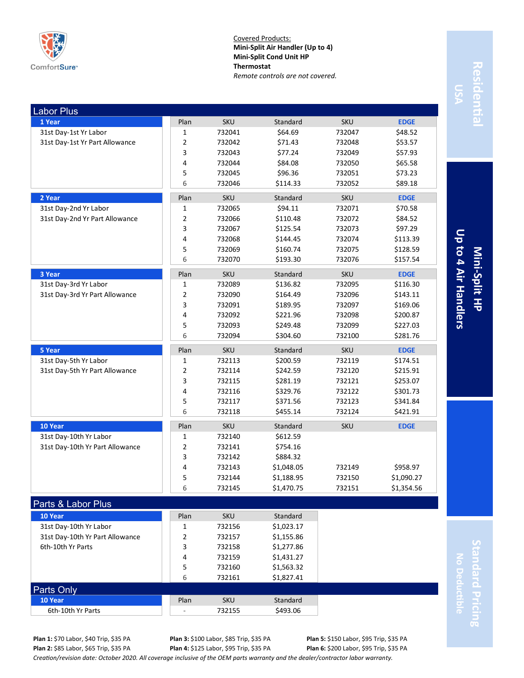

Covered Products: **Mini-Split Air Handler (Up to 4) Mini-Split Cond Unit HP Thermostat** *Remote controls are not covered.*

| <b>Labor Plus</b>                                    |        |                  |                          |            |             |
|------------------------------------------------------|--------|------------------|--------------------------|------------|-------------|
| 1 Year                                               | Plan   | <b>SKU</b>       | Standard                 | <b>SKU</b> | <b>EDGE</b> |
| 31st Day-1st Yr Labor                                | 1      | 732041           | \$64.69                  | 732047     | \$48.52     |
| 31st Day-1st Yr Part Allowance                       | 2      | 732042           | \$71.43                  | 732048     | \$53.57     |
|                                                      | 3      | 732043           | \$77.24                  | 732049     | \$57.93     |
|                                                      | 4      | 732044           | \$84.08                  | 732050     | \$65.58     |
|                                                      | 5      | 732045           | \$96.36                  | 732051     | \$73.23     |
|                                                      | 6      | 732046           | \$114.33                 | 732052     | \$89.18     |
| 2 Year                                               | Plan   | <b>SKU</b>       | Standard                 | <b>SKU</b> | <b>EDGE</b> |
| 31st Day-2nd Yr Labor                                | 1      | 732065           | \$94.11                  | 732071     | \$70.58     |
| 31st Day-2nd Yr Part Allowance                       | 2      | 732066           | \$110.48                 | 732072     | \$84.52     |
|                                                      | 3      | 732067           | \$125.54                 | 732073     | \$97.29     |
|                                                      | 4      | 732068           | \$144.45                 | 732074     | \$113.39    |
|                                                      | 5      | 732069           | \$160.74                 | 732075     | \$128.59    |
|                                                      | 6      | 732070           | \$193.30                 | 732076     | \$157.54    |
| 3 Year                                               | Plan   | <b>SKU</b>       | Standard                 | <b>SKU</b> | <b>EDGE</b> |
| 31st Day-3rd Yr Labor                                | 1      | 732089           | \$136.82                 | 732095     | \$116.30    |
| 31st Day-3rd Yr Part Allowance                       | 2      | 732090           | \$164.49                 | 732096     | \$143.11    |
|                                                      | 3      | 732091           | \$189.95                 | 732097     | \$169.06    |
|                                                      | 4      | 732092           | \$221.96                 | 732098     | \$200.87    |
|                                                      | 5      | 732093           | \$249.48                 | 732099     | \$227.03    |
|                                                      | 6      | 732094           | \$304.60                 | 732100     | \$281.76    |
|                                                      |        |                  |                          |            |             |
| 5 Year                                               | Plan   | <b>SKU</b>       | Standard                 | <b>SKU</b> | <b>EDGE</b> |
| 31st Day-5th Yr Labor                                | 1      | 732113           | \$200.59                 | 732119     | \$174.51    |
| 31st Day-5th Yr Part Allowance                       | 2      | 732114           | \$242.59                 | 732120     | \$215.91    |
|                                                      | 3      | 732115           | \$281.19                 | 732121     | \$253.07    |
|                                                      | 4      | 732116           | \$329.76                 | 732122     | \$301.73    |
|                                                      | 5      | 732117           | \$371.56                 | 732123     | \$341.84    |
|                                                      | 6      | 732118           | \$455.14                 | 732124     | \$421.91    |
| 10 Year                                              | Plan   | <b>SKU</b>       | Standard                 | <b>SKU</b> | <b>EDGE</b> |
| 31st Day-10th Yr Labor                               | 1      | 732140           | \$612.59                 |            |             |
| 31st Day-10th Yr Part Allowance                      | 2      | 732141           | \$754.16                 |            |             |
|                                                      | 3      | 732142           | \$884.32                 |            |             |
|                                                      | 4      | 732143           | \$1,048.05               | 732149     | \$958.97    |
|                                                      | 5      | 732144           | \$1,188.95               | 732150     | \$1,090.27  |
|                                                      | 6      | 732145           | \$1,470.75               | 732151     | \$1,354.56  |
|                                                      |        |                  |                          |            |             |
| Parts & Labor Plus                                   |        |                  |                          |            |             |
| 10 Year                                              | Plan   | <b>SKU</b>       | Standard                 |            |             |
| 31st Day-10th Yr Labor                               | 1      | 732156           | \$1,023.17               |            |             |
| 31st Day-10th Yr Part Allowance<br>6th-10th Yr Parts | 2<br>3 | 732157           | \$1,155.86               |            |             |
|                                                      | 4      | 732158           | \$1,277.86               |            |             |
|                                                      | 5      | 732159<br>732160 | \$1,431.27<br>\$1,563.32 |            |             |

# Residentia **Residential**

Up to 4 Air Handlers **Up to 4 Air Handlers Mini-Split HP**

> **Standard Pricing** tandard Pricing **No Deductible**

**10 Year** Standard **Plan** SKU Standard 6th-10th Yr Parts **6th-10th Yr Parts 6th-10th Yr Parts** 6th-10th Yr Parts **6th-10th Yr Parts** 

Parts Only

**Plan 5:** \$150 Labor, \$95 Trip, \$35 PA **Plan 6:** \$200 Labor, \$95 Trip, \$35 PA

*Creation/revision date: October 2020. All coverage inclusive of the OEM parts warranty and the dealer/contractor labor warranty.*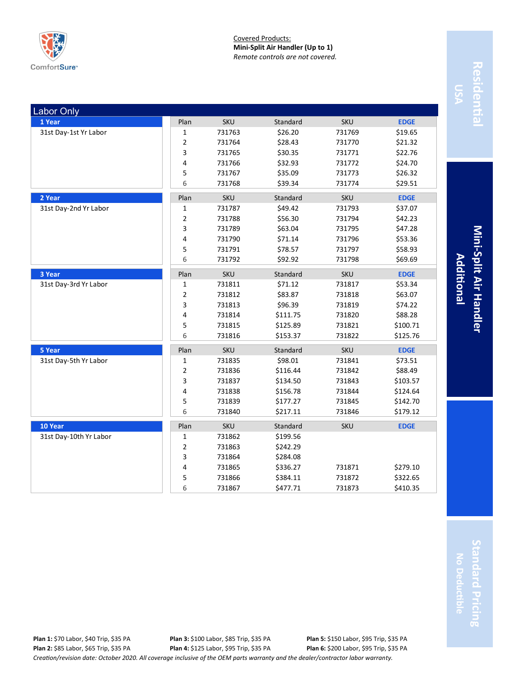

Covered Products: **Mini-Split Air Handler (Up to 1)** *Remote controls are not covered.*

| <b>Labor Only</b>      |              |            |          |            |             |
|------------------------|--------------|------------|----------|------------|-------------|
| 1 Year                 | Plan         | <b>SKU</b> | Standard | <b>SKU</b> | <b>EDGE</b> |
| 31st Day-1st Yr Labor  | 1            | 731763     | \$26.20  | 731769     | \$19.65     |
|                        | 2            | 731764     | \$28.43  | 731770     | \$21.32     |
|                        | 3            | 731765     | \$30.35  | 731771     | \$22.76     |
|                        | 4            | 731766     | \$32.93  | 731772     | \$24.70     |
|                        | 5            | 731767     | \$35.09  | 731773     | \$26.32     |
|                        | 6            | 731768     | \$39.34  | 731774     | \$29.51     |
| 2 Year                 | Plan         | <b>SKU</b> | Standard | <b>SKU</b> | <b>EDGE</b> |
| 31st Day-2nd Yr Labor  | 1            | 731787     | \$49.42  | 731793     | \$37.07     |
|                        | 2            | 731788     | \$56.30  | 731794     | \$42.23     |
|                        | 3            | 731789     | \$63.04  | 731795     | \$47.28     |
|                        | 4            | 731790     | \$71.14  | 731796     | \$53.36     |
|                        | 5            | 731791     | \$78.57  | 731797     | \$58.93     |
|                        | 6            | 731792     | \$92.92  | 731798     | \$69.69     |
| 3 Year                 | Plan         | <b>SKU</b> | Standard | SKU        | <b>EDGE</b> |
| 31st Day-3rd Yr Labor  | 1            | 731811     | \$71.12  | 731817     | \$53.34     |
|                        | 2            | 731812     | \$83.87  | 731818     | \$63.07     |
|                        | 3            | 731813     | \$96.39  | 731819     | \$74.22     |
|                        | 4            | 731814     | \$111.75 | 731820     | \$88.28     |
|                        | 5            | 731815     | \$125.89 | 731821     | \$100.71    |
|                        | 6            | 731816     | \$153.37 | 731822     | \$125.76    |
| 5 Year                 | Plan         | <b>SKU</b> | Standard | <b>SKU</b> | <b>EDGE</b> |
| 31st Day-5th Yr Labor  | $\mathbf{1}$ | 731835     | \$98.01  | 731841     | \$73.51     |
|                        | 2            | 731836     | \$116.44 | 731842     | \$88.49     |
|                        | 3            | 731837     | \$134.50 | 731843     | \$103.57    |
|                        | 4            | 731838     | \$156.78 | 731844     | \$124.64    |
|                        | 5            | 731839     | \$177.27 | 731845     | \$142.70    |
|                        | 6            | 731840     | \$217.11 | 731846     | \$179.12    |
| 10 Year                | Plan         | <b>SKU</b> | Standard | <b>SKU</b> | <b>EDGE</b> |
| 31st Day-10th Yr Labor | 1            | 731862     | \$199.56 |            |             |
|                        | 2            | 731863     | \$242.29 |            |             |
|                        | 3            | 731864     | \$284.08 |            |             |
|                        | 4            | 731865     | \$336.27 | 731871     | \$279.10    |
|                        | 5            | 731866     | \$384.11 | 731872     | \$322.65    |
|                        | 6            | 731867     | \$477.71 | 731873     | \$410.35    |

Residentia **Residential**

**Mini-Additional Split Air Handler**

**Standard Pricing** tandard Pricing **No Deductible**

*Creation/revision date: October 2020. All coverage inclusive of the OEM parts warranty and the dealer/contractor labor warranty.* **Plan 1:** \$70 Labor, \$40 Trip, \$35 PA **Plan 2:** \$85 Labor, \$65 Trip, \$35 PA **Plan 3:** \$100 Labor, \$85 Trip, \$35 PA **Plan 4:** \$125 Labor, \$95 Trip, \$35 PA **Plan 5:** \$150 Labor, \$95 Trip, \$35 PA **Plan 6:** \$200 Labor, \$95 Trip, \$35 PA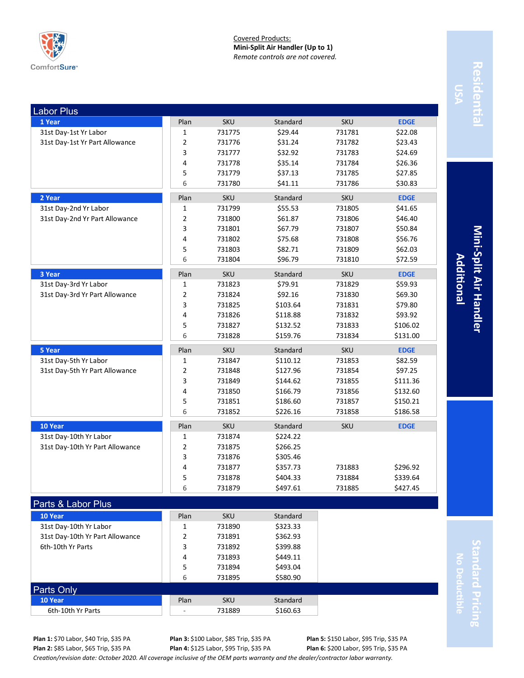

Covered Products: **Mini-Split Air Handler (Up to 1)** *Remote controls are not covered.*

| <b>Labor Plus</b>               |                |            |          |            |             |
|---------------------------------|----------------|------------|----------|------------|-------------|
| 1 Year                          | Plan           | <b>SKU</b> | Standard | <b>SKU</b> | <b>EDGE</b> |
| 31st Day-1st Yr Labor           | 1              | 731775     | \$29.44  | 731781     | \$22.08     |
| 31st Day-1st Yr Part Allowance  | 2              | 731776     | \$31.24  | 731782     | \$23.43     |
|                                 | 3              | 731777     | \$32.92  | 731783     | \$24.69     |
|                                 | 4              | 731778     | \$35.14  | 731784     | \$26.36     |
|                                 | 5              | 731779     | \$37.13  | 731785     | \$27.85     |
|                                 | 6              | 731780     | \$41.11  | 731786     | \$30.83     |
| 2 Year                          | Plan           | <b>SKU</b> | Standard | <b>SKU</b> | <b>EDGE</b> |
| 31st Day-2nd Yr Labor           | 1              | 731799     | \$55.53  | 731805     | \$41.65     |
| 31st Day-2nd Yr Part Allowance  | 2              | 731800     | \$61.87  | 731806     | \$46.40     |
|                                 | 3              | 731801     | \$67.79  | 731807     | \$50.84     |
|                                 | 4              | 731802     | \$75.68  | 731808     | \$56.76     |
|                                 | 5              | 731803     | \$82.71  | 731809     | \$62.03     |
|                                 | 6              | 731804     | \$96.79  | 731810     | \$72.59     |
| 3 Year                          | Plan           | <b>SKU</b> | Standard | <b>SKU</b> | <b>EDGE</b> |
| 31st Day-3rd Yr Labor           | 1              | 731823     | \$79.91  | 731829     | \$59.93     |
| 31st Day-3rd Yr Part Allowance  | $\overline{2}$ | 731824     | \$92.16  | 731830     | \$69.30     |
|                                 | 3              | 731825     | \$103.64 | 731831     | \$79.80     |
|                                 | 4              | 731826     | \$118.88 | 731832     | \$93.92     |
|                                 | 5              | 731827     | \$132.52 | 731833     | \$106.02    |
|                                 | 6              | 731828     | \$159.76 | 731834     | \$131.00    |
| 5 Year                          | Plan           | <b>SKU</b> | Standard | <b>SKU</b> | <b>EDGE</b> |
| 31st Day-5th Yr Labor           | 1              | 731847     | \$110.12 | 731853     | \$82.59     |
| 31st Day-5th Yr Part Allowance  | 2              | 731848     | \$127.96 | 731854     | \$97.25     |
|                                 | 3              | 731849     | \$144.62 | 731855     | \$111.36    |
|                                 | 4              | 731850     | \$166.79 | 731856     | \$132.60    |
|                                 | 5              | 731851     | \$186.60 | 731857     | \$150.21    |
|                                 | 6              | 731852     | \$226.16 | 731858     | \$186.58    |
| 10 Year                         | Plan           | <b>SKU</b> | Standard | <b>SKU</b> | <b>EDGE</b> |
| 31st Day-10th Yr Labor          | 1              | 731874     | \$224.22 |            |             |
| 31st Day-10th Yr Part Allowance | 2              | 731875     | \$266.25 |            |             |
|                                 | 3              | 731876     | \$305.46 |            |             |
|                                 | 4              | 731877     | \$357.73 | 731883     | \$296.92    |
|                                 | 5              | 731878     | \$404.33 | 731884     | \$339.64    |
|                                 | 6              | 731879     | \$497.61 | 731885     | \$427.45    |
| Parts & Labor Plus              |                |            |          |            |             |
| 10 Year                         | Plan           | <b>SKU</b> | Standard |            |             |
| 31st Day-10th Yr Labor          | 1              | 731890     | \$323.33 |            |             |
| 31st Day-10th Yr Part Allowance | 2              | 731891     | \$362.93 |            |             |
| 6th-10th Yr Parts               | 3              | 731892     | \$399.88 |            |             |
|                                 | 4              | 731893     | \$449.11 |            |             |

Residentia **Residential**

**Mini-Additional Split Air Handler**

**Standard Pricing** tandard Pricing **No Deductible**

**Plan 1:** \$70 Labor, \$40 Trip, \$35 PA **Plan 2:** \$85 Labor, \$65 Trip, \$35 PA

Parts Only

**Plan 3:** \$100 Labor, \$85 Trip, \$35 PA **Plan 4:** \$125 Labor, \$95 Trip, \$35 PA

5 731894 \$493.04 6 731895 \$580.90

> **Plan 5:** \$150 Labor, \$95 Trip, \$35 PA **Plan 6:** \$200 Labor, \$95 Trip, \$35 PA

*Creation/revision date: October 2020. All coverage inclusive of the OEM parts warranty and the dealer/contractor labor warranty.*

**10 Year** Standard **Plan** SKU Standard 6th-10th Yr Parts  $\begin{array}{|c|c|c|c|c|c|c|c|c|} \hline \text{6th-10th Yr Parts} & & \text{731889} & & \text{5160.63} \ \hline \end{array}$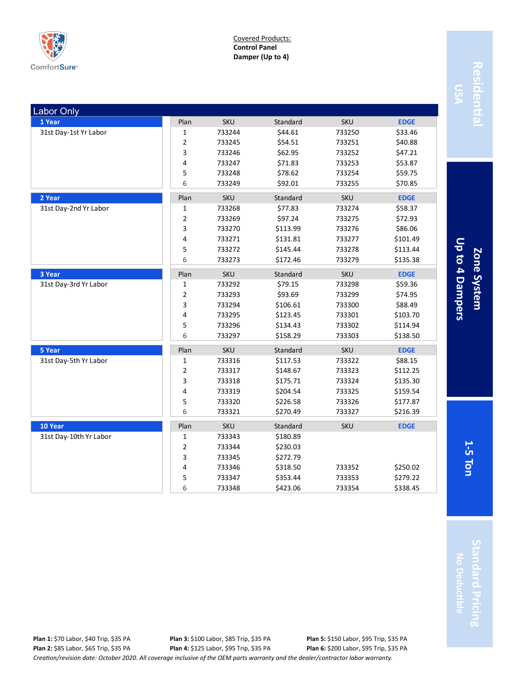

Covered Products: **Control Panel Damper (Up to 4)**

| <b>Labor Only</b>      |                |            |          |            |             |
|------------------------|----------------|------------|----------|------------|-------------|
| 1 Year                 | Plan           | <b>SKU</b> | Standard | <b>SKU</b> | <b>EDGE</b> |
| 31st Day-1st Yr Labor  | $\mathbf 1$    | 733244     | \$44.61  | 733250     | \$33.46     |
|                        | $\overline{2}$ | 733245     | \$54.51  | 733251     | \$40.88     |
|                        | 3              | 733246     | \$62.95  | 733252     | \$47.21     |
|                        | 4              | 733247     | \$71.83  | 733253     | \$53.87     |
|                        | 5              | 733248     | \$78.62  | 733254     | \$59.75     |
|                        | 6              | 733249     | \$92.01  | 733255     | \$70.85     |
| 2 Year                 | Plan           | <b>SKU</b> | Standard | <b>SKU</b> | <b>EDGE</b> |
| 31st Day-2nd Yr Labor  | $\mathbf{1}$   | 733268     | \$77.83  | 733274     | \$58.37     |
|                        | $\mathbf 2$    | 733269     | \$97.24  | 733275     | \$72.93     |
|                        | 3              | 733270     | \$113.99 | 733276     | \$86.06     |
|                        | 4              | 733271     | \$131.81 | 733277     | \$101.49    |
|                        | 5              | 733272     | \$145.44 | 733278     | \$113.44    |
|                        | 6              | 733273     | \$172.46 | 733279     | \$135.38    |
| 3 Year                 | Plan           | <b>SKU</b> | Standard | <b>SKU</b> | <b>EDGE</b> |
| 31st Day-3rd Yr Labor  | 1              | 733292     | \$79.15  | 733298     | \$59.36     |
|                        | $\overline{2}$ | 733293     | \$93.69  | 733299     | \$74.95     |
|                        | 3              | 733294     | \$106.61 | 733300     | \$88.49     |
|                        | 4              | 733295     | \$123.45 | 733301     | \$103.70    |
|                        | 5              | 733296     | \$134.43 | 733302     | \$114.94    |
|                        | 6              | 733297     | \$158.29 | 733303     | \$138.50    |
| 5 Year                 | Plan           | <b>SKU</b> | Standard | <b>SKU</b> | <b>EDGE</b> |
| 31st Day-5th Yr Labor  | $\mathbf{1}$   | 733316     | \$117.53 | 733322     | \$88.15     |
|                        | $\overline{2}$ | 733317     | \$148.67 | 733323     | \$112.25    |
|                        | $\mathsf{3}$   | 733318     | \$175.71 | 733324     | \$135.30    |
|                        | $\pmb{4}$      | 733319     | \$204.54 | 733325     | \$159.54    |
|                        | 5              | 733320     | \$226.58 | 733326     | \$177.87    |
|                        | 6              | 733321     | \$270.49 | 733327     | \$216.39    |
| 10 Year                | Plan           | <b>SKU</b> | Standard | <b>SKU</b> | <b>EDGE</b> |
| 31st Day-10th Yr Labor | $\mathbf 1$    | 733343     | \$180.89 |            |             |
|                        | $\overline{2}$ | 733344     | \$230.03 |            |             |
|                        | 3              | 733345     | \$272.79 |            |             |
|                        | 4              | 733346     | \$318.50 | 733352     | \$250.02    |
|                        | 5              | 733347     | \$353.44 | 733353     | \$279.22    |
|                        | 6              | 733348     | \$423.06 | 733354     | \$338.45    |

Residentia **Residential**

Up to 4 Dampers **Up to 4 Dampers** Zone System **5 Ton Zone System**

**1-**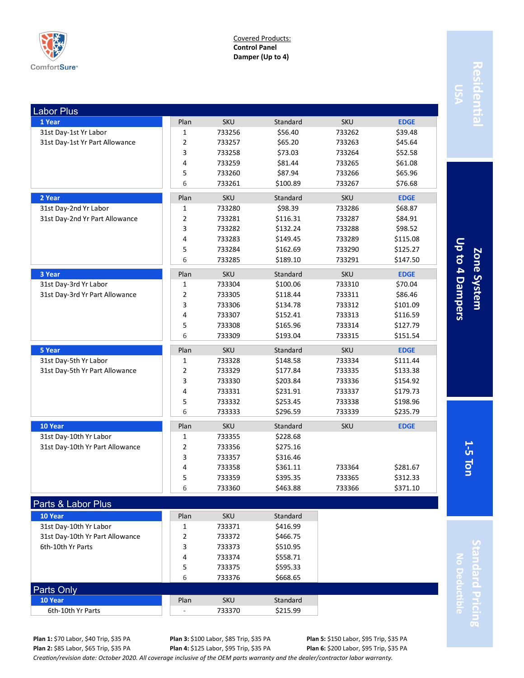

Covered Products: **Control Panel Damper (Up to 4)**

| <b>Labor Plus</b>               |                |            |          |            |             |
|---------------------------------|----------------|------------|----------|------------|-------------|
| 1 Year                          | Plan           | <b>SKU</b> | Standard | <b>SKU</b> | <b>EDGE</b> |
| 31st Day-1st Yr Labor           | $\mathbf 1$    | 733256     | \$56.40  | 733262     | \$39.48     |
| 31st Day-1st Yr Part Allowance  | 2              | 733257     | \$65.20  | 733263     | \$45.64     |
|                                 | 3              | 733258     | \$73.03  | 733264     | \$52.58     |
|                                 | 4              | 733259     | \$81.44  | 733265     | \$61.08     |
|                                 | 5              | 733260     | \$87.94  | 733266     | \$65.96     |
|                                 | 6              | 733261     | \$100.89 | 733267     | \$76.68     |
| 2 Year                          | Plan           | <b>SKU</b> | Standard | <b>SKU</b> | <b>EDGE</b> |
| 31st Day-2nd Yr Labor           | 1              | 733280     | \$98.39  | 733286     | \$68.87     |
| 31st Day-2nd Yr Part Allowance  | 2              | 733281     | \$116.31 | 733287     | \$84.91     |
|                                 | 3              | 733282     | \$132.24 | 733288     | \$98.52     |
|                                 | 4              | 733283     | \$149.45 | 733289     | \$115.08    |
|                                 | 5              | 733284     | \$162.69 | 733290     | \$125.27    |
|                                 | 6              | 733285     | \$189.10 | 733291     | \$147.50    |
| 3 Year                          | Plan           | <b>SKU</b> | Standard | <b>SKU</b> | <b>EDGE</b> |
| 31st Day-3rd Yr Labor           | 1              | 733304     | \$100.06 | 733310     | \$70.04     |
| 31st Day-3rd Yr Part Allowance  | $\overline{2}$ | 733305     | \$118.44 | 733311     | \$86.46     |
|                                 | 3              | 733306     | \$134.78 | 733312     | \$101.09    |
|                                 | 4              | 733307     | \$152.41 | 733313     | \$116.59    |
|                                 | 5              | 733308     | \$165.96 | 733314     | \$127.79    |
|                                 | 6              | 733309     | \$193.04 | 733315     | \$151.54    |
| 5 Year                          | Plan           | <b>SKU</b> | Standard | SKU        | <b>EDGE</b> |
| 31st Day-5th Yr Labor           | 1              | 733328     | \$148.58 | 733334     | \$111.44    |
| 31st Day-5th Yr Part Allowance  | $\overline{2}$ | 733329     | \$177.84 | 733335     | \$133.38    |
|                                 | 3              | 733330     | \$203.84 | 733336     | \$154.92    |
|                                 | 4              | 733331     | \$231.91 | 733337     | \$179.73    |
|                                 | 5              | 733332     | \$253.45 | 733338     | \$198.96    |
|                                 | 6              | 733333     | \$296.59 | 733339     | \$235.79    |
| 10 Year                         | Plan           | <b>SKU</b> | Standard | <b>SKU</b> | <b>EDGE</b> |
| 31st Day-10th Yr Labor          | 1              | 733355     | \$228.68 |            |             |
| 31st Day-10th Yr Part Allowance | $\overline{2}$ | 733356     | \$275.16 |            |             |
|                                 | 3              | 733357     | \$316.46 |            |             |
|                                 | 4              | 733358     | \$361.11 | 733364     | \$281.67    |
|                                 | 5              | 733359     | \$395.35 | 733365     | \$312.33    |
|                                 | 6              | 733360     | \$463.88 | 733366     | \$371.10    |
|                                 |                |            |          |            |             |
| Parts & Labor Plus              |                |            |          |            |             |
| 10 Year                         | Plan           | SKU        | Standard |            |             |
| 31st Day-10th Yr Labor          | 1              | 733371     | \$416.99 |            |             |
| 31st Day-10th Yr Part Allowance | 2              | 733372     | \$466.75 |            |             |
| 6th-10th Yr Parts               | 3              | 733373     | \$510.95 |            |             |
|                                 | 4              | 733374     | \$558.71 |            |             |

**Plan 1:** \$70 Labor, \$40 Trip, \$35 PA

Parts Only

**Plan 3:** \$100 Labor, \$85 Trip, \$35 PA **Plan 4:** \$125 Labor, \$95 Trip, \$35 PA

**10 Year** Standard **Plan** SKU Standard 6th-10th Yr Parts  $\begin{array}{|c|c|c|c|c|c|c|c|c|} \hline \text{6th-10th Yr Parts} & & & \text{733370} & & \text{\textsterling}215.99 \\ \hline \end{array}$ 

**Plan 5:** \$150 Labor, \$95 Trip, \$35 PA

*Creation/revision date: October 2020. All coverage inclusive of the OEM parts warranty and the dealer/contractor labor warranty.* **Plan 2:** \$85 Labor, \$65 Trip, \$35 PA **Plan 6:** \$200 Labor, \$95 Trip, \$35 PA

5 733375 \$595.33 6 733376 \$668.65

Residenti **Residential**

Up to 4 Dampers **Up to 4 Dampers** Zone System **5 Ton Zone System**

**1-**

**Standard Pricing No Deductible**

tandard Pricing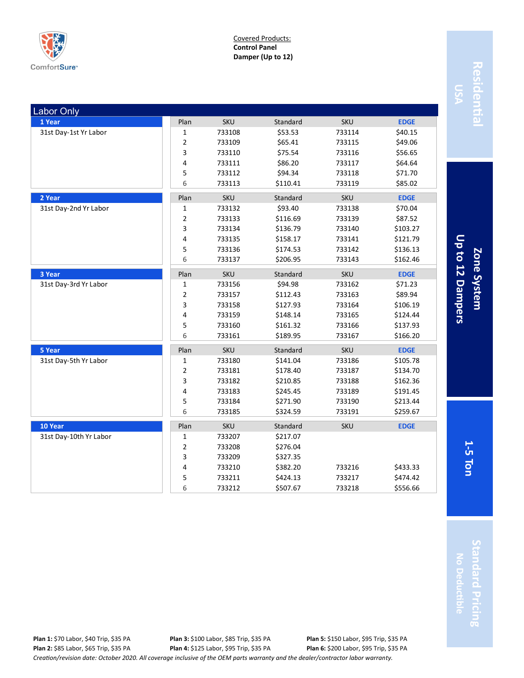

Covered Products: **Control Panel Damper (Up to 12)**

| Labor Only             |                |            |          |            |             |
|------------------------|----------------|------------|----------|------------|-------------|
| 1 Year                 | Plan           | <b>SKU</b> | Standard | <b>SKU</b> | <b>EDGE</b> |
| 31st Day-1st Yr Labor  | 1              | 733108     | \$53.53  | 733114     | \$40.15     |
|                        | $\overline{2}$ | 733109     | \$65.41  | 733115     | \$49.06     |
|                        | 3              | 733110     | \$75.54  | 733116     | \$56.65     |
|                        | 4              | 733111     | \$86.20  | 733117     | \$64.64     |
|                        | 5              | 733112     | \$94.34  | 733118     | \$71.70     |
|                        | 6              | 733113     | \$110.41 | 733119     | \$85.02     |
| 2 Year                 | Plan           | SKU        | Standard | <b>SKU</b> | <b>EDGE</b> |
| 31st Day-2nd Yr Labor  | 1              | 733132     | \$93.40  | 733138     | \$70.04     |
|                        | $\overline{2}$ | 733133     | \$116.69 | 733139     | \$87.52     |
|                        | 3              | 733134     | \$136.79 | 733140     | \$103.27    |
|                        | 4              | 733135     | \$158.17 | 733141     | \$121.79    |
|                        | 5              | 733136     | \$174.53 | 733142     | \$136.13    |
|                        | 6              | 733137     | \$206.95 | 733143     | \$162.46    |
| 3 Year                 | Plan           | <b>SKU</b> | Standard | <b>SKU</b> | <b>EDGE</b> |
| 31st Day-3rd Yr Labor  | 1              | 733156     | \$94.98  | 733162     | \$71.23     |
|                        | 2              | 733157     | \$112.43 | 733163     | \$89.94     |
|                        | 3              | 733158     | \$127.93 | 733164     | \$106.19    |
|                        | 4              | 733159     | \$148.14 | 733165     | \$124.44    |
|                        | 5              | 733160     | \$161.32 | 733166     | \$137.93    |
|                        | 6              | 733161     | \$189.95 | 733167     | \$166.20    |
| 5 Year                 | Plan           | <b>SKU</b> | Standard | SKU        | <b>EDGE</b> |
| 31st Day-5th Yr Labor  | 1              | 733180     | \$141.04 | 733186     | \$105.78    |
|                        | $\overline{2}$ | 733181     | \$178.40 | 733187     | \$134.70    |
|                        | 3              | 733182     | \$210.85 | 733188     | \$162.36    |
|                        | 4              | 733183     | \$245.45 | 733189     | \$191.45    |
|                        | 5              | 733184     | \$271.90 | 733190     | \$213.44    |
|                        | 6              | 733185     | \$324.59 | 733191     | \$259.67    |
| 10 Year                | Plan           | SKU        | Standard | <b>SKU</b> | <b>EDGE</b> |
| 31st Day-10th Yr Labor | 1              | 733207     | \$217.07 |            |             |
|                        | 2              | 733208     | \$276.04 |            |             |
|                        | 3              | 733209     | \$327.35 |            |             |
|                        | 4              | 733210     | \$382.20 | 733216     | \$433.33    |
|                        | 5              | 733211     | \$424.13 | 733217     | \$474.42    |
|                        | 6              | 733212     | \$507.67 | 733218     | \$556.66    |

Residentia **Residential**

Up to 12 Dampers **Up to 12 Dampers** Zone System **5 Ton Zone System**

**1-**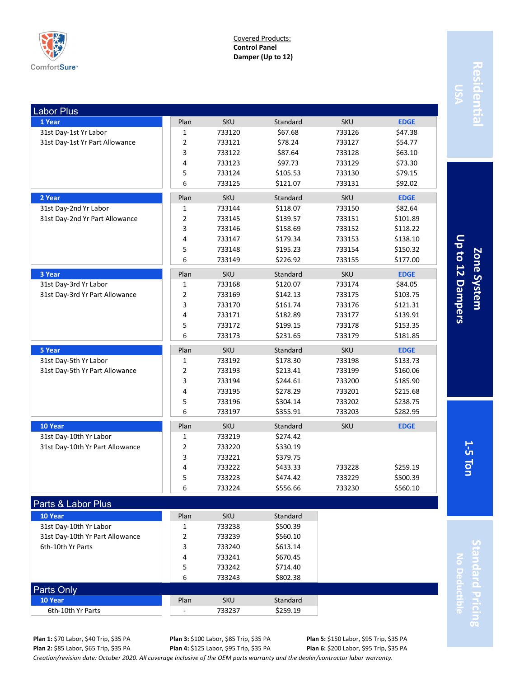

Covered Products: **Control Panel Damper (Up to 12)**

| <b>Labor Plus</b>               |                |            |          |            |             |
|---------------------------------|----------------|------------|----------|------------|-------------|
| 1 Year                          | Plan           | <b>SKU</b> | Standard | <b>SKU</b> | <b>EDGE</b> |
| 31st Day-1st Yr Labor           | $\mathbf{1}$   | 733120     | \$67.68  | 733126     | \$47.38     |
| 31st Day-1st Yr Part Allowance  | $\overline{2}$ | 733121     | \$78.24  | 733127     | \$54.77     |
|                                 | 3              | 733122     | \$87.64  | 733128     | \$63.10     |
|                                 | 4              | 733123     | \$97.73  | 733129     | \$73.30     |
|                                 | 5              | 733124     | \$105.53 | 733130     | \$79.15     |
|                                 | 6              | 733125     | \$121.07 | 733131     | \$92.02     |
| 2 Year                          | Plan           | <b>SKU</b> | Standard | <b>SKU</b> | <b>EDGE</b> |
| 31st Day-2nd Yr Labor           | 1              | 733144     | \$118.07 | 733150     | \$82.64     |
| 31st Day-2nd Yr Part Allowance  | 2              | 733145     | \$139.57 | 733151     | \$101.89    |
|                                 | 3              | 733146     | \$158.69 | 733152     | \$118.22    |
|                                 | 4              | 733147     | \$179.34 | 733153     | \$138.10    |
|                                 | 5              | 733148     | \$195.23 | 733154     | \$150.32    |
|                                 | 6              | 733149     | \$226.92 | 733155     | \$177.00    |
| 3 Year                          | Plan           | <b>SKU</b> | Standard | <b>SKU</b> | <b>EDGE</b> |
| 31st Day-3rd Yr Labor           | 1              | 733168     | \$120.07 | 733174     | \$84.05     |
| 31st Day-3rd Yr Part Allowance  | $\overline{2}$ | 733169     | \$142.13 | 733175     | \$103.75    |
|                                 | 3              | 733170     | \$161.74 | 733176     | \$121.31    |
|                                 | $\overline{4}$ | 733171     | \$182.89 | 733177     | \$139.91    |
|                                 | 5              | 733172     | \$199.15 | 733178     | \$153.35    |
|                                 | 6              | 733173     | \$231.65 | 733179     | \$181.85    |
| 5 Year                          | Plan           | <b>SKU</b> | Standard | <b>SKU</b> | <b>EDGE</b> |
| 31st Day-5th Yr Labor           | 1              | 733192     | \$178.30 | 733198     | \$133.73    |
| 31st Day-5th Yr Part Allowance  | $\mathbf 2$    | 733193     | \$213.41 | 733199     | \$160.06    |
|                                 | 3              | 733194     | \$244.61 | 733200     | \$185.90    |
|                                 | 4              | 733195     | \$278.29 | 733201     | \$215.68    |
|                                 | 5              | 733196     | \$304.14 | 733202     | \$238.75    |
|                                 | 6              | 733197     | \$355.91 | 733203     | \$282.95    |
| 10 Year                         | Plan           | <b>SKU</b> | Standard | <b>SKU</b> | <b>EDGE</b> |
| 31st Day-10th Yr Labor          | 1              | 733219     | \$274.42 |            |             |
| 31st Day-10th Yr Part Allowance | $\mathbf 2$    | 733220     | \$330.19 |            |             |
|                                 | 3              | 733221     | \$379.75 |            |             |
|                                 | 4              | 733222     | \$433.33 | 733228     | \$259.19    |
|                                 | 5              | 733223     | \$474.42 | 733229     | \$500.39    |
|                                 | 6              | 733224     | \$556.66 | 733230     | \$560.10    |
| Parts & Labor Plus              |                |            |          |            |             |
| 10 Year                         | Plan           | <b>SKU</b> | Standard |            |             |
| 31st Day-10th Yr Labor          | 1              | 733238     | \$500.39 |            |             |
| 31st Day-10th Yr Part Allowance | 2              | 733239     | \$560.10 |            |             |
| 6th-10th Yr Parts               | 3              | 733240     | \$613.14 |            |             |
|                                 | $\overline{4}$ | 733241     | \$670.45 |            |             |

**Residential** Residenti

Up to 12 Dampers **Up to 12 Dampers** Zone System **5 Ton Zone System**

**1-**

**Standard Pricing No Deductible Indard Pricing** 

Parts Only

**Plan 3:** \$100 Labor, \$85 Trip, \$35 PA **Plan 4:** \$125 Labor, \$95 Trip, \$35 PA

5 733242 \$714.40 6 733243 \$802.38

> **Plan 5:** \$150 Labor, \$95 Trip, \$35 PA **Plan 6:** \$200 Labor, \$95 Trip, \$35 PA

*Creation/revision date: October 2020. All coverage inclusive of the OEM parts warranty and the dealer/contractor labor warranty.*

**10 Year** Standard **Plan** SKU Standard 6th-10th Yr Parts - 733237 \$259.19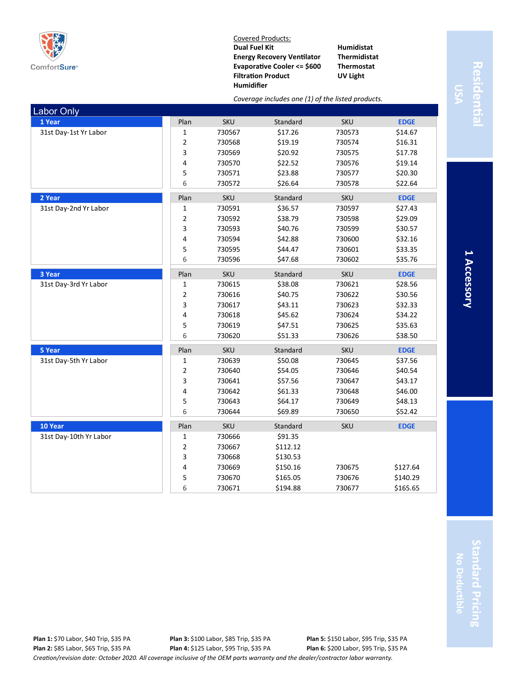

Labor Only

Covered Products: **Dual Fuel Kit Energy Recovery Ventilator Evaporative Cooler <= \$600 Filtration Product Humidifier**

**1 Year** Plan SKU Standard SKU **EDGE** 31st Day-1st Yr Labor 1 1 1 1 1 1 1 730567 517.26 730573 \$14.67

**2 Year** Plan SKU Standard SKU **EDGE** 31st Day-2nd Yr Labor 1 1 1 1 1 1 1 730591 536.57 730597 527.43

**3 Year** Plan SKU Standard SKU **EDGE** 31st Day-3rd Yr Labor 1 1 1 1 1 1 1 730615 \$38.08 730621 \$28.56

*Coverage includes one (1) of the listed products.*

 730568 \$19.19 730574 \$16.31 730569 \$20.92 730575 \$17.78 730570 \$22.52 730576 \$19.14 730571 \$23.88 730577 \$20.30 730572 \$26.64 730578 \$22.64

 730592 \$38.79 730598 \$29.09 730593 \$40.76 730599 \$30.57 730594 \$42.88 730600 \$32.16 730595 \$44.47 730601 \$33.35 730596 \$47.68 730602 \$35.76

**Humidistat Thermidistat Thermostat UV Light**

# **Residential esidenti**

**1 Accessory** I Accessory

|                        | $\overline{2}$ | 730616     | \$40.75  | 730622     | \$30.56     |
|------------------------|----------------|------------|----------|------------|-------------|
|                        | 3              | 730617     | \$43.11  | 730623     | \$32.33     |
|                        | 4              | 730618     | \$45.62  | 730624     | \$34.22     |
|                        | 5              | 730619     | \$47.51  | 730625     | \$35.63     |
|                        | 6              | 730620     | \$51.33  | 730626     | \$38.50     |
| 5 Year                 | Plan           | <b>SKU</b> | Standard | <b>SKU</b> | <b>EDGE</b> |
| 31st Day-5th Yr Labor  | 1              | 730639     | \$50.08  | 730645     | \$37.56     |
|                        | $\overline{2}$ | 730640     | \$54.05  | 730646     | \$40.54     |
|                        | 3              | 730641     | \$57.56  | 730647     | \$43.17     |
|                        | 4              | 730642     | \$61.33  | 730648     | \$46.00     |
|                        | 5              | 730643     | \$64.17  | 730649     | \$48.13     |
|                        | 6              | 730644     | \$69.89  | 730650     | \$52.42     |
| 10 Year                | Plan           | <b>SKU</b> | Standard | <b>SKU</b> | <b>EDGE</b> |
| 31st Day-10th Yr Labor | 1              | 730666     | \$91.35  |            |             |
|                        | $\overline{2}$ | 730667     | \$112.12 |            |             |
|                        | 3              | 730668     | \$130.53 |            |             |
|                        | 4              | 730669     | \$150.16 | 730675     | \$127.64    |
|                        | 5              | 730670     | \$165.05 | 730676     | \$140.29    |
|                        | 6              | 730671     | \$194.88 | 730677     | \$165.65    |

*Creation/revision date: October 2020. All coverage inclusive of the OEM parts warranty and the dealer/contractor labor warranty.* **Plan 1:** \$70 Labor, \$40 Trip, \$35 PA **Plan 2:** \$85 Labor, \$65 Trip, \$35 PA **Plan 3:** \$100 Labor, \$85 Trip, \$35 PA **Plan 4:** \$125 Labor, \$95 Trip, \$35 PA **Plan 5:** \$150 Labor, \$95 Trip, \$35 PA **Plan 6:** \$200 Labor, \$95 Trip, \$35 PA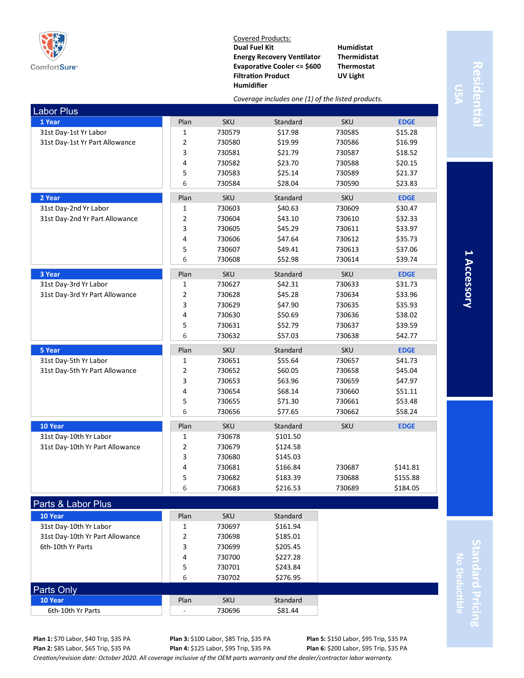

Covered Products: **Dual Fuel Kit Energy Recovery Ventilator Evaporative Cooler <= \$600 Filtration Product Humidifier**

**Humidistat Thermidistat Thermostat UV Light**

# **Residential** Residentia

|                                 | Coverage includes one (1) of the listed products. |            |          |            |             |
|---------------------------------|---------------------------------------------------|------------|----------|------------|-------------|
| Labor Plus                      |                                                   |            |          |            |             |
| 1 Year                          | Plan                                              | <b>SKU</b> | Standard | <b>SKU</b> | <b>EDGE</b> |
| 31st Day-1st Yr Labor           | $\mathbf{1}$                                      | 730579     | \$17.98  | 730585     | \$15.28     |
| 31st Day-1st Yr Part Allowance  | $\overline{2}$                                    | 730580     | \$19.99  | 730586     | \$16.99     |
|                                 | 3                                                 | 730581     | \$21.79  | 730587     | \$18.52     |
|                                 | 4                                                 | 730582     | \$23.70  | 730588     | \$20.15     |
|                                 | 5                                                 | 730583     | \$25.14  | 730589     | \$21.37     |
|                                 | 6                                                 | 730584     | \$28.04  | 730590     | \$23.83     |
| 2 Year                          | Plan                                              | <b>SKU</b> | Standard | <b>SKU</b> | <b>EDGE</b> |
| 31st Day-2nd Yr Labor           | $\mathbf{1}$                                      | 730603     | \$40.63  | 730609     | \$30.47     |
| 31st Day-2nd Yr Part Allowance  | $\overline{2}$                                    | 730604     | \$43.10  | 730610     | \$32.33     |
|                                 | 3                                                 | 730605     | \$45.29  | 730611     | \$33.97     |
|                                 | 4                                                 | 730606     | \$47.64  | 730612     | \$35.73     |
|                                 | 5                                                 | 730607     | \$49.41  | 730613     | \$37.06     |
|                                 | 6                                                 | 730608     | \$52.98  | 730614     | \$39.74     |
| 3 Year                          | Plan                                              | <b>SKU</b> | Standard | <b>SKU</b> | <b>EDGE</b> |
| 31st Day-3rd Yr Labor           | 1                                                 | 730627     | \$42.31  | 730633     | \$31.73     |
| 31st Day-3rd Yr Part Allowance  | $\overline{2}$                                    | 730628     | \$45.28  | 730634     | \$33.96     |
|                                 | 3                                                 | 730629     | \$47.90  | 730635     | \$35.93     |
|                                 | 4                                                 | 730630     | \$50.69  | 730636     | \$38.02     |
|                                 | 5                                                 | 730631     | \$52.79  | 730637     | \$39.59     |
|                                 | 6                                                 | 730632     | \$57.03  | 730638     | \$42.77     |
| 5 Year                          | Plan                                              | <b>SKU</b> | Standard | <b>SKU</b> | <b>EDGE</b> |
| 31st Day-5th Yr Labor           | 1                                                 | 730651     | \$55.64  | 730657     | \$41.73     |
| 31st Day-5th Yr Part Allowance  | $\overline{2}$                                    | 730652     | \$60.05  | 730658     | \$45.04     |
|                                 | 3                                                 | 730653     | \$63.96  | 730659     | \$47.97     |
|                                 | 4                                                 | 730654     | \$68.14  | 730660     | \$51.11     |
|                                 | 5                                                 | 730655     | \$71.30  | 730661     | \$53.48     |
|                                 | 6                                                 | 730656     | \$77.65  | 730662     | \$58.24     |
| 10 Year                         | Plan                                              | <b>SKU</b> | Standard | <b>SKU</b> | <b>EDGE</b> |
| 31st Day-10th Yr Labor          | 1                                                 | 730678     | \$101.50 |            |             |
| 31st Day-10th Yr Part Allowance | $\overline{2}$                                    | 730679     | \$124.58 |            |             |
|                                 | 3                                                 | 730680     | \$145.03 |            |             |
|                                 | 4                                                 | 730681     | \$166.84 | 730687     | \$141.81    |
|                                 | 5                                                 | 730682     | \$183.39 | 730688     | \$155.88    |
|                                 | 6                                                 | 730683     | \$216.53 | 730689     | \$184.05    |
| Parts & Labor Plus              |                                                   |            |          |            |             |
| 10 Year                         | Plan                                              | <b>SKU</b> | Standard |            |             |
| 31st Day-10th Yr Labor          | $\mathbf{1}$                                      | 730697     | \$161.94 |            |             |

1 Accessory **1 Accessory**

**Standard Pricing** tandard Prici No Deductible **No Deductible**

*Creation/revision date: October 2020. All coverage inclusive of the OEM parts warranty and the dealer/contractor labor warranty.* **Plan 1:** \$70 Labor, \$40 Trip, \$35 PA **Plan 2:** \$85 Labor, \$65 Trip, \$35 PA

31st Day-10th Yr Part Allowance 2 730698 \$185.01 6th-10th Yr Parts **3** 730699 \$205.45

**10 Year Plan SKU** Standard 6th-10th Yr Parts - 730696 \$81.44

Parts Only

**Plan 3:** \$100 Labor, \$85 Trip, \$35 PA **Plan 4:** \$125 Labor, \$95 Trip, \$35 PA

4 730700 \$227.28 5 730701 \$243.84 6 730702 \$276.95

> **Plan 5:** \$150 Labor, \$95 Trip, \$35 PA **Plan 6:** \$200 Labor, \$95 Trip, \$35 PA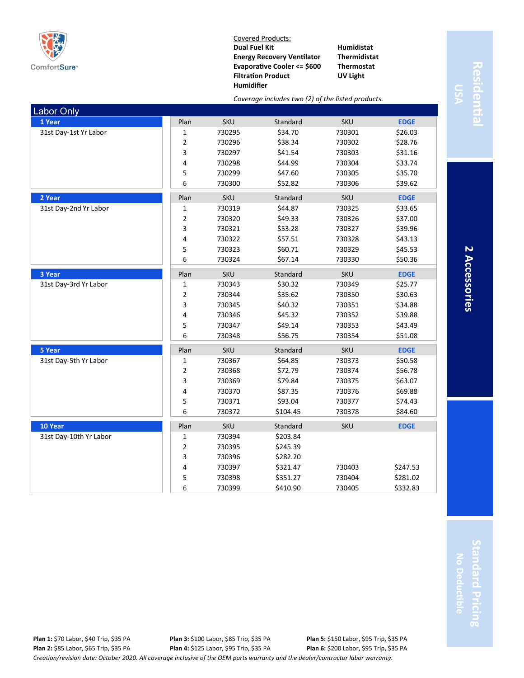

Labor Only

Covered Products: **Dual Fuel Kit Energy Recovery Ventilator Evaporative Cooler <= \$600 Filtration Product Humidifier**

**1 Year** Plan SKU Standard SKU **EDGE** 31st Day-1st Yr Labor 1 1 1 1 1 1 1 1 730295 730301 \$26.03

**2 Year** Plan SKU Standard SKU **EDGE** 31st Day-2nd Yr Labor 1 1 1 1 1 1 1 730319 544.87 730325 \$33.65

**3 Year** Plan SKU Standard SKU **EDGE** 31st Day-3rd Yr Labor 1 1 730343 \$30.32 730349 \$25.77

**5 Year** Plan SKU Standard SKU **EDGE** 31st Day-5th Yr Labor 1 | 1 730367 \$64.85 730373 \$50.58

**10 Year** Plan SKU Standard SKU **EDGE**

2 730395 \$245.39 3 730396 \$282.20

31st Day-10th Yr Labor 1 1 1 730394 \$203.84

*Coverage includes two (2) of the listed products.*

 730296 \$38.34 730302 \$28.76 730297 \$41.54 730303 \$31.16 730298 \$44.99 730304 \$33.74 730299 \$47.60 730305 \$35.70 730300 \$52.82 730306 \$39.62

 730320 \$49.33 730326 \$37.00 730321 \$53.28 730327 \$39.96 730322 \$57.51 730328 \$43.13 730323 \$60.71 730329 \$45.53 730324 \$67.14 730330 \$50.36

 730344 \$35.62 730350 \$30.63 730345 \$40.32 730351 \$34.88 730346 \$45.32 730352 \$39.88 730347 \$49.14 730353 \$43.49 730348 \$56.75 730354 \$51.08

 730368 \$72.79 730374 \$56.78 730369 \$79.84 730375 \$63.07 730370 \$87.35 730376 \$69.88 730371 \$93.04 730377 \$74.43 730372 \$104.45 730378 \$84.60

4 730397 \$321.47 730403 \$247.53 5 730398 \$351.27 730404 \$281.02 6 730399 \$410.90 730405 \$332.83

**Humidistat Thermidistat Thermostat UV Light**

# **Residential** Residentia

**2 Accessories**

| Š |
|---|
| ۳ |
| - |
|   |

**SSOries** 

**Standard Pricing** tandard Prici **No Deductible**  $\overline{3}$ 

| <b>Plan 1: \$70 Labor, \$40 Trip, \$35 PA</b>                                                                                    | <b>Plan 3: \$100 Labor, \$85 Trip, \$35 PA</b> | <b>Plan 5: \$150 Labor, \$95 Trip, \$35 PA</b> |  |  |  |  |
|----------------------------------------------------------------------------------------------------------------------------------|------------------------------------------------|------------------------------------------------|--|--|--|--|
| <b>Plan 2: \$85 Labor, \$65 Trip, \$35 PA</b>                                                                                    | <b>Plan 4: \$125 Labor, \$95 Trip, \$35 PA</b> | <b>Plan 6: \$200 Labor, \$95 Trip, \$35 PA</b> |  |  |  |  |
| Creation/revision date: October 2020. All coverage inclusive of the OEM parts warranty and the dealer/contractor labor warranty. |                                                |                                                |  |  |  |  |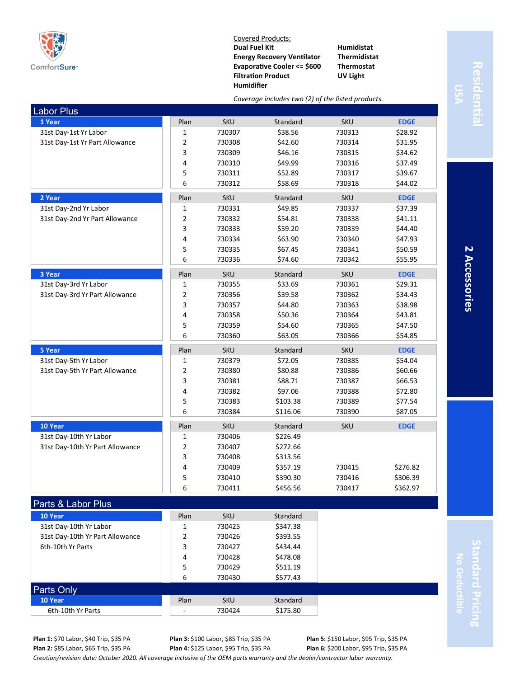

Parts Only

Covered Products: **Dual Fuel Kit Energy Recovery Ventilator Evaporative Cooler <= \$600 Filtration Product Humidifier**

*Coverage includes two (2) of the listed products.*

**Humidistat Thermidistat Thermostat UV Light**

# **Residential** Residenti

**2 Accessories**

2 Accessories

| <b>Labor Plus</b>               |                         |            |          |            |             |
|---------------------------------|-------------------------|------------|----------|------------|-------------|
| 1 Year                          | Plan                    | <b>SKU</b> | Standard | <b>SKU</b> | <b>EDGE</b> |
| 31st Day-1st Yr Labor           | $\mathbf 1$             | 730307     | \$38.56  | 730313     | \$28.92     |
| 31st Day-1st Yr Part Allowance  | $\mathbf 2$             | 730308     | \$42.60  | 730314     | \$31.95     |
|                                 | $\overline{\mathbf{3}}$ | 730309     | \$46.16  | 730315     | \$34.62     |
|                                 | 4                       | 730310     | \$49.99  | 730316     | \$37.49     |
|                                 | 5                       | 730311     | \$52.89  | 730317     | \$39.67     |
|                                 | 6                       | 730312     | \$58.69  | 730318     | \$44.02     |
| 2 Year                          | Plan                    | <b>SKU</b> | Standard | <b>SKU</b> | <b>EDGE</b> |
| 31st Day-2nd Yr Labor           | $\mathbf{1}$            | 730331     | \$49.85  | 730337     | \$37.39     |
| 31st Day-2nd Yr Part Allowance  | $\overline{2}$          | 730332     | \$54.81  | 730338     | \$41.11     |
|                                 | 3                       | 730333     | \$59.20  | 730339     | \$44.40     |
|                                 | $\pmb{4}$               | 730334     | \$63.90  | 730340     | \$47.93     |
|                                 | 5                       | 730335     | \$67.45  | 730341     | \$50.59     |
|                                 | 6                       | 730336     | \$74.60  | 730342     | \$55.95     |
| 3 Year                          | Plan                    | <b>SKU</b> | Standard | SKU        | <b>EDGE</b> |
| 31st Day-3rd Yr Labor           | $\mathbf{1}$            | 730355     | \$33.69  | 730361     | \$29.31     |
| 31st Day-3rd Yr Part Allowance  | $\overline{2}$          | 730356     | \$39.58  | 730362     | \$34.43     |
|                                 | 3                       | 730357     | \$44.80  | 730363     | \$38.98     |
|                                 | 4                       | 730358     | \$50.36  | 730364     | \$43.81     |
|                                 | 5                       | 730359     | \$54.60  | 730365     | \$47.50     |
|                                 | 6                       | 730360     | \$63.05  | 730366     | \$54.85     |
| 5 Year                          | Plan                    | <b>SKU</b> | Standard | <b>SKU</b> | <b>EDGE</b> |
| 31st Day-5th Yr Labor           | $\mathbf{1}$            | 730379     | \$72.05  | 730385     | \$54.04     |
| 31st Day-5th Yr Part Allowance  | $\overline{2}$          | 730380     | \$80.88  | 730386     | \$60.66     |
|                                 | 3                       | 730381     | \$88.71  | 730387     | \$66.53     |
|                                 | 4                       | 730382     | \$97.06  | 730388     | \$72.80     |
|                                 | 5                       | 730383     | \$103.38 | 730389     | \$77.54     |
|                                 | 6                       | 730384     | \$116.06 | 730390     | \$87.05     |
| 10 Year                         | Plan                    | <b>SKU</b> | Standard | <b>SKU</b> | <b>EDGE</b> |
| 31st Day-10th Yr Labor          | $\mathbf{1}$            | 730406     | \$226.49 |            |             |
| 31st Day-10th Yr Part Allowance | $\overline{2}$          | 730407     | \$272.66 |            |             |
|                                 | 3                       | 730408     | \$313.56 |            |             |
|                                 | 4                       | 730409     | \$357.19 | 730415     | \$276.82    |
|                                 | 5                       | 730410     | \$390.30 | 730416     | \$306.39    |
|                                 | 6                       | 730411     | \$456.56 | 730417     | \$362.97    |
| Parts & Labor Plus              |                         |            |          |            |             |
| 10 Year                         | Plan                    | <b>SKU</b> | Standard |            |             |

**Standard Pricing** No Deductible **No Deductible** ndard Prici

**Plan 1:** \$70 Labor, \$40 Trip, \$35 PA **Plan 2:** \$85 Labor, \$65 Trip, \$35 PA

**Plan 3:** \$100 Labor, \$85 Trip, \$35 PA **Plan 4:** \$125 Labor, \$95 Trip, \$35 PA

4 730428 \$478.08 5 730429 \$511.19 6 730430 \$577.43

> **Plan 5:** \$150 Labor, \$95 Trip, \$35 PA **Plan 6:** \$200 Labor, \$95 Trip, \$35 PA

*Creation/revision date: October 2020. All coverage inclusive of the OEM parts warranty and the dealer/contractor labor warranty.*

31st Day-10th Yr Labor 1 1 1 730425 \$347.38 31st Day-10th Yr Part Allowance  $\begin{array}{|c|c|c|c|c|} \hline \end{array}$  2 730426 \$393.55 6th-10th Yr Parts **3** 730427 \$434.44

**10 Year** Standard SKU Standard 6th-10th Yr Parts **19 12 12:30 12:30 12:30 12:30 12:30 12:30 12:30 12:30 12:30 12:30 12:30 12:30 12:30 12:30 12:30**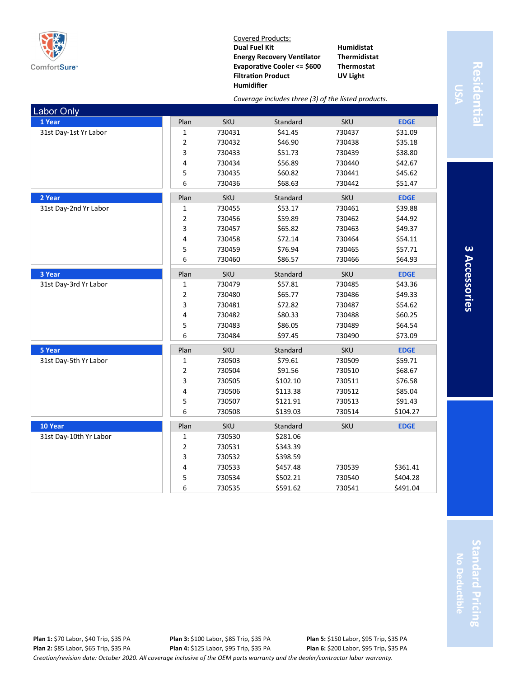

Covered Products: **Dual Fuel Kit Energy Recovery Ventilator Evaporative Cooler <= \$600 Filtration Product Humidifier**

**Humidistat Thermidistat Thermostat UV Light**

#### *Coverage includes three (3) of the listed products.*

| <b>Labor Only</b>      |                         |            |          |            |             |
|------------------------|-------------------------|------------|----------|------------|-------------|
| 1 Year                 | Plan                    | <b>SKU</b> | Standard | <b>SKU</b> | <b>EDGE</b> |
| 31st Day-1st Yr Labor  | 1                       | 730431     | \$41.45  | 730437     | \$31.09     |
|                        | 2                       | 730432     | \$46.90  | 730438     | \$35.18     |
|                        | 3                       | 730433     | \$51.73  | 730439     | \$38.80     |
|                        | 4                       | 730434     | \$56.89  | 730440     | \$42.67     |
|                        | 5                       | 730435     | \$60.82  | 730441     | \$45.62     |
|                        | 6                       | 730436     | \$68.63  | 730442     | \$51.47     |
| 2 Year                 | Plan                    | SKU        | Standard | SKU        | <b>EDGE</b> |
| 31st Day-2nd Yr Labor  | $\mathbf{1}$            | 730455     | \$53.17  | 730461     | \$39.88     |
|                        | 2                       | 730456     | \$59.89  | 730462     | \$44.92     |
|                        | 3                       | 730457     | \$65.82  | 730463     | \$49.37     |
|                        | 4                       | 730458     | \$72.14  | 730464     | \$54.11     |
|                        | 5                       | 730459     | \$76.94  | 730465     | \$57.71     |
|                        | 6                       | 730460     | \$86.57  | 730466     | \$64.93     |
| 3 Year                 | Plan                    | <b>SKU</b> | Standard | <b>SKU</b> | <b>EDGE</b> |
| 31st Day-3rd Yr Labor  | 1                       | 730479     | \$57.81  | 730485     | \$43.36     |
|                        | 2                       | 730480     | \$65.77  | 730486     | \$49.33     |
|                        | 3                       | 730481     | \$72.82  | 730487     | \$54.62     |
|                        | 4                       | 730482     | \$80.33  | 730488     | \$60.25     |
|                        | 5                       | 730483     | \$86.05  | 730489     | \$64.54     |
|                        | 6                       | 730484     | \$97.45  | 730490     | \$73.09     |
| 5 Year                 | Plan                    | SKU        | Standard | SKU        | <b>EDGE</b> |
| 31st Day-5th Yr Labor  | $\mathbf{1}$            | 730503     | \$79.61  | 730509     | \$59.71     |
|                        | $\overline{\mathbf{c}}$ | 730504     | \$91.56  | 730510     | \$68.67     |
|                        | 3                       | 730505     | \$102.10 | 730511     | \$76.58     |
|                        | 4                       | 730506     | \$113.38 | 730512     | \$85.04     |
|                        | 5                       | 730507     | \$121.91 | 730513     | \$91.43     |
|                        | 6                       | 730508     | \$139.03 | 730514     | \$104.27    |
| 10 Year                | Plan                    | SKU        | Standard | SKU        | <b>EDGE</b> |
| 31st Day-10th Yr Labor | $\mathbf{1}$            | 730530     | \$281.06 |            |             |
|                        | 2                       | 730531     | \$343.39 |            |             |
|                        | 3                       | 730532     | \$398.59 |            |             |
|                        | 4                       | 730533     | \$457.48 | 730539     | \$361.41    |
|                        | 5                       | 730534     | \$502.21 | 730540     | \$404.28    |
|                        | 6                       | 730535     | \$591.62 | 730541     | \$491.04    |